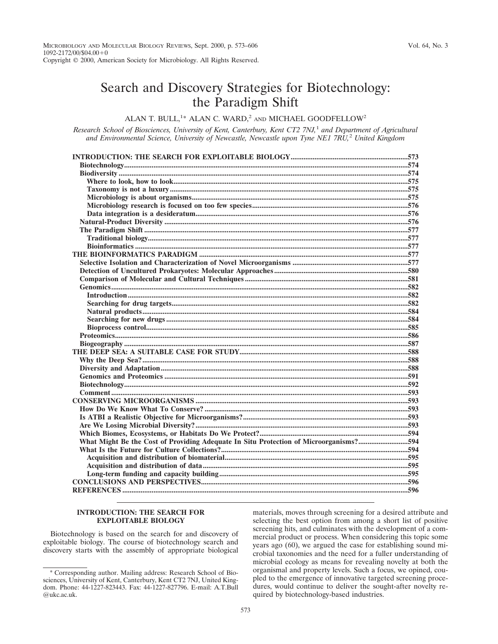# Search and Discovery Strategies for Biotechnology: the Paradigm Shift

# ALAN T. BULL,<sup>1\*</sup> ALAN C. WARD,<sup>2</sup> AND MICHAEL GOODFELLOW<sup>2</sup>

*Research School of Biosciences, University of Kent, Canterbury, Kent CT2 7NJ,*<sup>1</sup> *and Department of Agricultural and Environmental Science, University of Newcastle, Newcastle upon Tyne NE1 7RU,*<sup>2</sup> *United Kingdom*

| What Might Be the Cost of Providing Adequate In Situ Protection of Microorganisms?594 |  |
|---------------------------------------------------------------------------------------|--|
|                                                                                       |  |
|                                                                                       |  |
|                                                                                       |  |
|                                                                                       |  |
|                                                                                       |  |
|                                                                                       |  |
|                                                                                       |  |
|                                                                                       |  |
|                                                                                       |  |
|                                                                                       |  |
|                                                                                       |  |
|                                                                                       |  |
|                                                                                       |  |
|                                                                                       |  |
|                                                                                       |  |
|                                                                                       |  |
|                                                                                       |  |
|                                                                                       |  |
|                                                                                       |  |
|                                                                                       |  |
|                                                                                       |  |
|                                                                                       |  |
|                                                                                       |  |
|                                                                                       |  |
|                                                                                       |  |
|                                                                                       |  |
|                                                                                       |  |
|                                                                                       |  |
|                                                                                       |  |
|                                                                                       |  |
|                                                                                       |  |
|                                                                                       |  |
|                                                                                       |  |
|                                                                                       |  |
|                                                                                       |  |
|                                                                                       |  |
|                                                                                       |  |
|                                                                                       |  |
|                                                                                       |  |
|                                                                                       |  |
|                                                                                       |  |

# **INTRODUCTION: THE SEARCH FOR EXPLOITABLE BIOLOGY**

Biotechnology is based on the search for and discovery of exploitable biology. The course of biotechnology search and discovery starts with the assembly of appropriate biological

materials, moves through screening for a desired attribute and selecting the best option from among a short list of positive screening hits, and culminates with the development of a commercial product or process. When considering this topic some years ago (60), we argued the case for establishing sound microbial taxonomies and the need for a fuller understanding of microbial ecology as means for revealing novelty at both the organismal and property levels. Such a focus, we opined, coupled to the emergence of innovative targeted screening procedures, would continue to deliver the sought-after novelty required by biotechnology-based industries.

<sup>\*</sup> Corresponding author. Mailing address: Research School of Biosciences, University of Kent, Canterbury, Kent CT2 7NJ, United Kingdom. Phone: 44-1227-823443. Fax: 44-1227-827796. E-mail: A.T.Bull @ukc.ac.uk.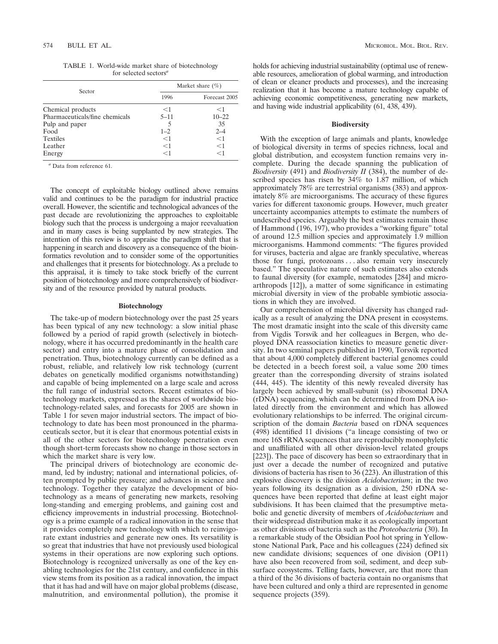TABLE 1. World-wide market share of biotechnology for selected sectors*<sup>a</sup>*

|                                | Market share $(\% )$ |               |  |  |
|--------------------------------|----------------------|---------------|--|--|
| Sector                         | 1996                 | Forecast 2005 |  |  |
| Chemical products              | $<$ 1                | $<$ 1         |  |  |
| Pharmaceuticals/fine chemicals | $5 - 11$             | $10 - 22$     |  |  |
| Pulp and paper                 |                      | 35            |  |  |
| Food                           | $1 - 2$              | $2 - 4$       |  |  |
| <b>Textiles</b>                | $<$ 1                | $\leq$ 1      |  |  |
| Leather                        | $<$ 1                | <1            |  |  |
| Energy                         | $<$ 1                | $<$ 1         |  |  |

*<sup>a</sup>* Data from reference 61.

The concept of exploitable biology outlined above remains valid and continues to be the paradigm for industrial practice overall. However, the scientific and technological advances of the past decade are revolutionizing the approaches to exploitable biology such that the process is undergoing a major reevaluation and in many cases is being supplanted by new strategies. The intention of this review is to appraise the paradigm shift that is happening in search and discovery as a consequence of the bioinformatics revolution and to consider some of the opportunities and challenges that it presents for biotechnology. As a prelude to this appraisal, it is timely to take stock briefly of the current position of biotechnology and more comprehensively of biodiversity and of the resource provided by natural products.

## **Biotechnology**

The take-up of modern biotechnology over the past 25 years has been typical of any new technology: a slow initial phase followed by a period of rapid growth (selectively in biotechnology, where it has occurred predominantly in the health care sector) and entry into a mature phase of consolidation and penetration. Thus, biotechnology currently can be defined as a robust, reliable, and relatively low risk technology (current debates on genetically modified organisms notwithstanding) and capable of being implemented on a large scale and across the full range of industrial sectors. Recent estimates of biotechnology markets, expressed as the shares of worldwide biotechnology-related sales, and forecasts for 2005 are shown in Table 1 for seven major industrial sectors. The impact of biotechnology to date has been most pronounced in the pharmaceuticals sector, but it is clear that enormous potential exists in all of the other sectors for biotechnology penetration even though short-term forecasts show no change in those sectors in which the market share is very low.

The principal drivers of biotechnology are economic demand, led by industry; national and international policies, often prompted by public pressure; and advances in science and technology. Together they catalyze the development of biotechnology as a means of generating new markets, resolving long-standing and emerging problems, and gaining cost and efficiency improvements in industrial processing. Biotechnology is a prime example of a radical innovation in the sense that it provides completely new technology with which to reinvigorate extant industries and generate new ones. Its versatility is so great that industries that have not previously used biological systems in their operations are now exploring such options. Biotechnology is recognized universally as one of the key enabling technologies for the 21st century, and confidence in this view stems from its position as a radical innovation, the impact that it has had and will have on major global problems (disease, malnutrition, and environmental pollution), the promise it

holds for achieving industrial sustainability (optimal use of renewable resources, amelioration of global warming, and introduction of clean or cleaner products and processes), and the increasing realization that it has become a mature technology capable of achieving economic competitiveness, generating new markets, and having wide industrial applicability (61, 438, 439).

#### **Biodiversity**

With the exception of large animals and plants, knowledge of biological diversity in terms of species richness, local and global distribution, and ecosystem function remains very incomplete. During the decade spanning the publication of *Biodiversity* (491) and *Biodiversity II* (384), the number of described species has risen by 34% to 1.87 million, of which approximately 78% are terrestrial organisms (383) and approximately 8% are microorganisms. The accuracy of these figures varies for different taxonomic groups. However, much greater uncertainty accompanies attempts to estimate the numbers of undescribed species. Arguably the best estimates remain those of Hammond (196, 197), who provides a "working figure" total of around 12.5 million species and approximately 1.9 million microorganisms. Hammond comments: "The figures provided for viruses, bacteria and algae are frankly speculative, whereas those for fungi, protozoans... also remain very insecurely based." The speculative nature of such estimates also extends to faunal diversity (for example, nematodes [284] and microarthropods [12]), a matter of some significance in estimating microbial diversity in view of the probable symbiotic associations in which they are involved.

Our comprehension of microbial diversity has changed radically as a result of analyzing the DNA present in ecosystems. The most dramatic insight into the scale of this diversity came from Vigdis Torsvik and her colleagues in Bergen, who deployed DNA reassociation kinetics to measure genetic diversity. In two seminal papers published in 1990, Torsvik reported that about 4,000 completely different bacterial genomes could be detected in a beech forest soil, a value some 200 times greater than the corresponding diversity of strains isolated (444, 445). The identity of this newly revealed diversity has largely been achieved by small-subunit (ss) ribosomal DNA (rDNA) sequencing, which can be determined from DNA isolated directly from the environment and which has allowed evolutionary relationships to be inferred. The original circumscription of the domain *Bacteria* based on rDNA sequences (498) identified 11 divisions ("a lineage consisting of two or more 16S rRNA sequences that are reproducibly monophyletic and unaffiliated with all other division-level related groups [223]). The pace of discovery has been so extraordinary that in just over a decade the number of recognized and putative divisions of bacteria has risen to 36 (223). An illustration of this explosive discovery is the division *Acidobacterium*; in the two years following its designation as a division, 250 rDNA sequences have been reported that define at least eight major subdivisions. It has been claimed that the presumptive metabolic and genetic diversity of members of *Acidobacterium* and their widespread distribution make it as ecologically important as other divisions of bacteria such as the *Proteobacteria* (30). In a remarkable study of the Obsidian Pool hot spring in Yellowstone National Park, Pace and his colleagues (224) defined six new candidate divisions; sequences of one division (OP11) have also been recovered from soil, sediment, and deep subsurface ecosystems. Telling facts, however, are that more than a third of the 36 divisions of bacteria contain no organisms that have been cultured and only a third are represented in genome sequence projects (359).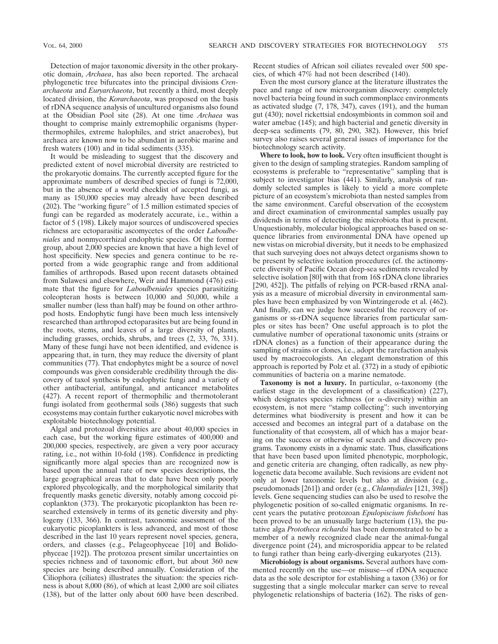Detection of major taxonomic diversity in the other prokaryotic domain, *Archaea*, has also been reported. The archaeal phylogenetic tree bifurcates into the principal divisions *Crenarchaeota* and *Euryarchaeota*, but recently a third, most deeply located division, the *Korarchaeota*, was proposed on the basis of rDNA sequence analysis of uncultured organisms also found at the Obsidian Pool site (28). At one time *Archaea* was thought to comprise mainly extremophilic organisms (hyperthermophiles, extreme halophiles, and strict anaerobes), but archaea are known now to be abundant in aerobic marine and fresh waters (100) and in tidal sediments (335).

It would be misleading to suggest that the discovery and predicted extent of novel microbial diversity are restricted to the prokaryotic domains. The currently accepted figure for the approximate numbers of described species of fungi is 72,000, but in the absence of a world checklist of accepted fungi, as many as 150,000 species may already have been described (202). The "working figure" of 1.5 million estimated species of fungi can be regarded as moderately accurate, i.e., within a factor of 5 (198). Likely major sources of undiscovered species richness are ectoparasitic ascomycetes of the order *Laboulbeniales* and nonmycorrhizal endophytic species. Of the former group, about 2,000 species are known that have a high level of host specificity. New species and genera continue to be reported from a wide geographic range and from additional families of arthropods. Based upon recent datasets obtained from Sulawesi and elsewhere, Weir and Hammond (476) estimate that the figure for *Laboulbeniales* species parasitizing coleopteran hosts is between 10,000 and 50,000, while a smaller number (less than half) may be found on other arthropod hosts. Endophytic fungi have been much less intensively researched than arthropod ectoparasites but are being found in the roots, stems, and leaves of a large diversity of plants, including grasses, orchids, shrubs, and trees (2, 33, 76, 331). Many of these fungi have not been identified, and evidence is appearing that, in turn, they may reduce the diversity of plant communities (77). That endophytes might be a source of novel compounds was given considerable credibility through the discovery of taxol synthesis by endophytic fungi and a variety of other antibacterial, antifungal, and anticancer metabolites (427). A recent report of thermophilic and thermotolerant fungi isolated from geothermal soils (386) suggests that such ecosystems may contain further eukaryotic novel microbes with exploitable biotechnology potential.

Algal and protozoal diversities are about 40,000 species in each case, but the working figure estimates of 400,000 and 200,000 species, respectively, are given a very poor accuracy rating, i.e., not within 10-fold (198). Confidence in predicting significantly more algal species than are recognized now is based upon the annual rate of new species descriptions, the large geographical areas that to date have been only poorly explored phycologically, and the morphological similarity that frequently masks genetic diversity, notably among coccoid picoplankton (373). The prokaryotic picoplankton has been researched extensively in terms of its genetic diversity and phylogeny (133, 366). In contrast, taxonomic assessment of the eukaryotic picoplankters is less advanced, and most of those described in the last 10 years represent novel species, genera, orders, and classes (e.g., Pelageophyceae [10] and Bolidophyceae [192]). The protozoa present similar uncertainties on species richness and of taxonomic effort, but about 360 new species are being described annually. Consideration of the Ciliophora (ciliates) illustrates the situation: the species richness is about 8,000 (86), of which at least 2,000 are soil ciliates (138), but of the latter only about 600 have been described.

Recent studies of African soil ciliates revealed over 500 species, of which 47% had not been described (140).

Even the most cursory glance at the literature illustrates the pace and range of new microorganism discovery: completely novel bacteria being found in such commonplace environments as activated sludge (7, 178, 347), caves (191), and the human gut (430); novel rickettsial endosymbionts in common soil and water amebae (145); and high bacterial and genetic diversity in deep-sea sediments (79, 80, 290, 382). However, this brief survey also raises several general issues of importance for the biotechnology search activity.

**Where to look, how to look.** Very often insufficient thought is given to the design of sampling strategies. Random sampling of ecosystems is preferable to "representative" sampling that is subject to investigator bias (441). Similarly, analysis of randomly selected samples is likely to yield a more complete picture of an ecosystem's microbiota than nested samples from the same environment. Careful observation of the ecosystem and direct examination of environmental samples usually pay dividends in terms of detecting the microbiota that is present. Unquestionably, molecular biological approaches based on sequence libraries from environmental DNA have opened up new vistas on microbial diversity, but it needs to be emphasized that such surveying does not always detect organisms shown to be present by selective isolation procedures (cf. the actinomycete diversity of Pacific Ocean deep-sea sediments revealed by selective isolation [80] with that from 16S rDNA clone libraries [290, 452]). The pitfalls of relying on PCR-based rRNA analysis as a measure of microbial diversity in environmental samples have been emphasized by von Wintzingerode et al. (462). And finally, can we judge how successful the recovery of organisms or ss-rDNA sequence libraries from particular samples or sites has been? One useful approach is to plot the cumulative number of operational taxonomic units (strains or rDNA clones) as a function of their appearance during the sampling of strains or clones, i.e., adopt the rarefaction analysis used by macroecologists. An elegant demonstration of this approach is reported by Polz et al. (372) in a study of epibiotic communities of bacteria on a marine nematode.

**Taxonomy is not a luxury.** In particular,  $\alpha$ -taxonomy (the earliest stage in the development of a classification) (227), which designates species richness (or  $\alpha$ -diversity) within an ecosystem, is not mere "stamp collecting": such inventorying determines what biodiversity is present and how it can be accessed and becomes an integral part of a database on the functionality of that ecosystem, all of which has a major bearing on the success or otherwise of search and discovery programs. Taxonomy exists in a dynamic state. Thus, classifications that have been based upon limited phenotypic, morphologic, and genetic criteria are changing, often radically, as new phylogenetic data become available. Such revisions are evident not only at lower taxonomic levels but also at division (e.g., pseudomonads [261]) and order (e.g., *Chlamydiales* [121, 398]) levels. Gene sequencing studies can also be used to resolve the phylogenetic position of so-called enigmatic organisms. In recent years the putative protozoan *Epulopiscium fishelsoni* has been proved to be an unusually large bacterium (13), the putative alga *Prototheca richardsi* has been demonstrated to be a member of a newly recognized clade near the animal-fungal divergence point (24), and microsporidia appear to be related to fungi rather than being early-diverging eukaryotes (213).

**Microbiology is about organisms.** Several authors have commented recently on the use—or misuse—of rDNA sequence data as the sole descriptor for establishing a taxon (336) or for suggesting that a single molecular marker can serve to reveal phylogenetic relationships of bacteria (162). The risks of gen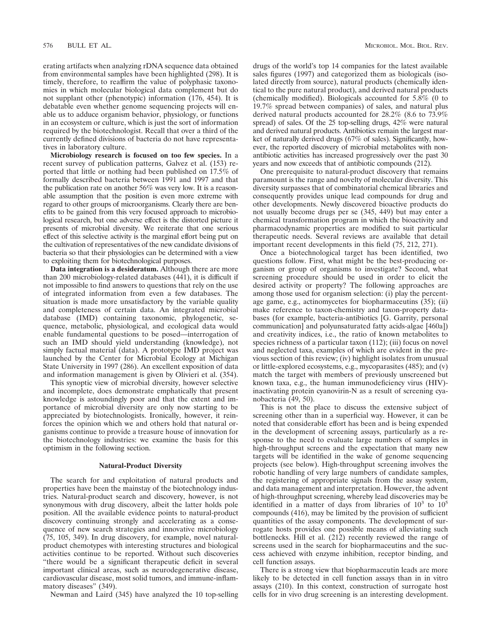erating artifacts when analyzing rDNA sequence data obtained from environmental samples have been highlighted (298). It is timely, therefore, to reaffirm the value of polyphasic taxonomies in which molecular biological data complement but do not supplant other (phenotypic) information (176, 454). It is debatable even whether genome sequencing projects will enable us to adduce organism behavior, physiology, or functions in an ecosystem or culture, which is just the sort of information required by the biotechnologist. Recall that over a third of the currently defined divisions of bacteria do not have representatives in laboratory culture.

**Microbiology research is focused on too few species.** In a recent survey of publication patterns, Galvez et al. (153) reported that little or nothing had been published on 17.5% of formally described bacteria between 1991 and 1997 and that the publication rate on another 56% was very low. It is a reasonable assumption that the position is even more extreme with regard to other groups of microorganisms. Clearly there are benefits to be gained from this very focused approach to microbiological research, but one adverse effect is the distorted picture it presents of microbial diversity. We reiterate that one serious effect of this selective activity is the marginal effort being put on the cultivation of representatives of the new candidate divisions of bacteria so that their physiologies can be determined with a view to exploiting them for biotechnological purposes.

**Data integration is a desideratum.** Although there are more than 200 microbiology-related databases (441), it is difficult if not impossible to find answers to questions that rely on the use of integrated information from even a few databases. The situation is made more unsatisfactory by the variable quality and completeness of certain data. An integrated microbial database (IMD) containing taxonomic, phylogenetic, sequence, metabolic, physiological, and ecological data would enable fundamental questions to be posed—interrogation of such an IMD should yield understanding (knowledge), not simply factual material (data). A prototype IMD project was launched by the Center for Microbial Ecology at Michigan State University in 1997 (286). An excellent exposition of data and information management is given by Olivieri et al. (354).

This synoptic view of microbial diversity, however selective and incomplete, does demonstrate emphatically that present knowledge is astoundingly poor and that the extent and importance of microbial diversity are only now starting to be appreciated by biotechnologists. Ironically, however, it reinforces the opinion which we and others hold that natural organisms continue to provide a treasure house of innovation for the biotechnology industries: we examine the basis for this optimism in the following section.

#### **Natural-Product Diversity**

The search for and exploitation of natural products and properties have been the mainstay of the biotechnology industries. Natural-product search and discovery, however, is not synonymous with drug discovery, albeit the latter holds pole position. All the available evidence points to natural-product discovery continuing strongly and accelerating as a consequence of new search strategies and innovative microbiology (75, 105, 349). In drug discovery, for example, novel naturalproduct chemotypes with interesting structures and biological activities continue to be reported. Without such discoveries "there would be a significant therapeutic deficit in several important clinical areas, such as neurodegenerative disease, cardiovascular disease, most solid tumors, and immune-inflammatory diseases" (349).

Newman and Laird (345) have analyzed the 10 top-selling

drugs of the world's top 14 companies for the latest available sales figures (1997) and categorized them as biologicals (isolated directly from source), natural products (chemically identical to the pure natural product), and derived natural products (chemically modified). Biologicals accounted for 5.8% (0 to 19.7% spread between companies) of sales, and natural plus derived natural products accounted for 28.2% (8.6 to 73.9% spread) of sales. Of the 25 top-selling drugs,  $42\%$  were natural and derived natural products. Antibiotics remain the largest market of naturally derived drugs (67% of sales). Significantly, however, the reported discovery of microbial metabolites with nonantibiotic activities has increased progressively over the past 30 years and now exceeds that of antibiotic compounds (212).

One prerequisite to natural-product discovery that remains paramount is the range and novelty of molecular diversity. This diversity surpasses that of combinatorial chemical libraries and consequently provides unique lead compounds for drug and other developments. Newly discovered bioactive products do not usually become drugs per se (345, 449) but may enter a chemical transformation program in which the bioactivity and pharmacodynamic properties are modified to suit particular therapeutic needs. Several reviews are available that detail important recent developments in this field (75, 212, 271).

Once a biotechnological target has been identified, two questions follow. First, what might be the best-producing organism or group of organisms to investigate? Second, what screening procedure should be used in order to elicit the desired activity or property? The following approaches are among those used for organism selection: (i) play the percentage game, e.g., actinomycetes for biopharmaceutins (35); (ii) make reference to taxon-chemistry and taxon-property databases (for example, bacteria-antibiotics [G. Garrity, personal communication] and polyunsaturated fatty acids-algae [460a]) and creativity indices, i.e., the ratio of known metabolites to species richness of a particular taxon (112); (iii) focus on novel and neglected taxa, examples of which are evident in the previous section of this review; (iv) highlight isolates from unusual or little-explored ecosystems, e.g., mycoparasites (485); and (v) match the target with members of previously unscreened but known taxa, e.g., the human immunodeficiency virus (HIV) inactivating protein cyanovirin-N as a result of screening cyanobacteria (49, 50).

This is not the place to discuss the extensive subject of screening other than in a superficial way. However, it can be noted that considerable effort has been and is being expended in the development of screening assays, particularly as a response to the need to evaluate large numbers of samples in high-throughput screens and the expectation that many new targets will be identified in the wake of genome sequencing projects (see below). High-throughput screening involves the robotic handling of very large numbers of candidate samples, the registering of appropriate signals from the assay system, and data management and interpretation. However, the advent of high-throughput screening, whereby lead discoveries may be identified in a matter of days from libraries of  $10^3$  to  $10^5$ compounds (416), may be limited by the provision of sufficient quantities of the assay components. The development of surrogate hosts provides one possible means of alleviating such bottlenecks. Hill et al. (212) recently reviewed the range of screens used in the search for biopharmaceutins and the success achieved with enzyme inhibition, receptor binding, and cell function assays.

There is a strong view that biopharmaceutin leads are more likely to be detected in cell function assays than in in vitro assays (210). In this context, construction of surrogate host cells for in vivo drug screening is an interesting development.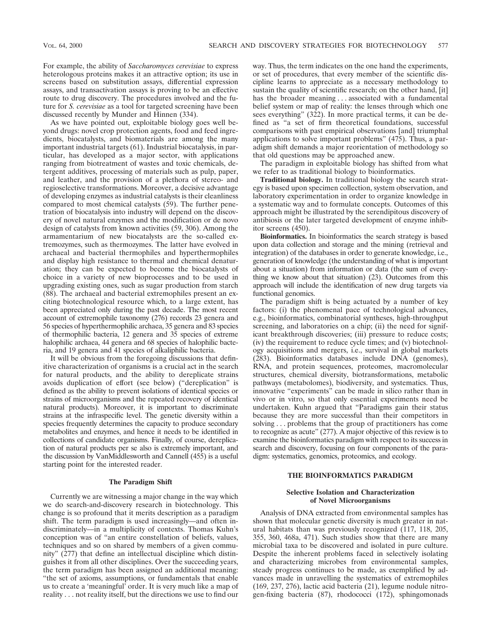For example, the ability of *Saccharomyces cerevisiae* to express heterologous proteins makes it an attractive option; its use in screens based on substitution assays, differential expression assays, and transactivation assays is proving to be an effective route to drug discovery. The procedures involved and the future for *S. cerevisiae* as a tool for targeted screening have been discussed recently by Munder and Hinnen (334).

As we have pointed out, exploitable biology goes well beyond drugs: novel crop protection agents, food and feed ingredients, biocatalysts, and biomaterials are among the many important industrial targets (61). Industrial biocatalysis, in particular, has developed as a major sector, with applications ranging from biotreatment of wastes and toxic chemicals, detergent additives, processing of materials such as pulp, paper, and leather, and the provision of a plethora of stereo- and regioselective transformations. Moreover, a decisive advantage of developing enzymes as industrial catalysts is their cleanliness compared to most chemical catalysts (59). The further penetration of biocatalysis into industry will depend on the discovery of novel natural enzymes and the modification or de novo design of catalysts from known activities (59, 306). Among the armamentarium of new biocatalysts are the so-called extremozymes, such as thermozymes. The latter have evolved in archaeal and bacterial thermophiles and hyperthermophiles and display high resistance to thermal and chemical denaturation; they can be expected to become the biocatalysts of choice in a variety of new bioprocesses and to be used in upgrading existing ones, such as sugar production from starch (88). The archaeal and bacterial extremophiles present an exciting biotechnological resource which, to a large extent, has been appreciated only during the past decade. The most recent account of extremophile taxonomy (276) records 23 genera and 56 species of hyperthermophilic archaea, 35 genera and 83 species of thermophilic bacteria, 12 genera and 35 species of extreme halophilic archaea, 44 genera and 68 species of halophilic bacteria, and 19 genera and 41 species of alkaliphilic bacteria.

It will be obvious from the foregoing discussions that definitive characterization of organisms is a crucial act in the search for natural products, and the ability to dereplicate strains avoids duplication of effort (see below) ("dereplication" is defined as the ability to prevent isolations of identical species or strains of microorganisms and the repeated recovery of identical natural products). Moreover, it is important to discriminate strains at the infraspecific level. The genetic diversity within a species frequently determines the capacity to produce secondary metabolites and enzymes, and hence it needs to be identified in collections of candidate organisms. Finally, of course, dereplication of natural products per se also is extremely important, and the discussion by VanMiddlesworth and Cannell (455) is a useful starting point for the interested reader.

#### **The Paradigm Shift**

Currently we are witnessing a major change in the way which we do search-and-discovery research in biotechnology. This change is so profound that it merits description as a paradigm shift. The term paradigm is used increasingly—and often indiscriminately—in a multiplicity of contexts. Thomas Kuhn's conception was of "an entire constellation of beliefs, values, techniques and so on shared by members of a given community" (277) that define an intellectual discipline which distinguishes it from all other disciplines. Over the succeeding years, the term paradigm has been assigned an additional meaning: "the set of axioms, assumptions, or fundamentals that enable us to create a 'meaningful' order. It is very much like a map of reality . . . not reality itself, but the directions we use to find our

way. Thus, the term indicates on the one hand the experiments, or set of procedures, that every member of the scientific discipline learns to appreciate as a necessary methodology to sustain the quality of scientific research; on the other hand, [it] has the broader meaning... associated with a fundamental belief system or map of reality: the lenses through which one sees everything" (322). In more practical terms, it can be defined as "a set of firm theoretical foundations, successful comparisons with past empirical observations [and] triumphal applications to solve important problems" (475). Thus, a paradigm shift demands a major reorientation of methodology so that old questions may be approached anew.

The paradigm in exploitable biology has shifted from what we refer to as traditional biology to bioinformatics.

**Traditional biology.** In traditional biology the search strategy is based upon specimen collection, system observation, and laboratory experimentation in order to organize knowledge in a systematic way and to formulate concepts. Outcomes of this approach might be illustrated by the serendipitous discovery of antibiosis or the later targeted development of enzyme inhibitor screens (450).

**Bioinformatics.** In bioinformatics the search strategy is based upon data collection and storage and the mining (retrieval and integration) of the databases in order to generate knowledge, i.e., generation of knowledge (the understanding of what is important about a situation) from information or data (the sum of everything we know about that situation) (23). Outcomes from this approach will include the identification of new drug targets via functional genomics.

The paradigm shift is being actuated by a number of key factors: (i) the phenomenal pace of technological advances, e.g., bioinformatics, combinatorial syntheses, high-throughput screening, and laboratories on a chip; (ii) the need for significant breakthrough discoveries; (iii) pressure to reduce costs; (iv) the requirement to reduce cycle times; and (v) biotechnology acquisitions and mergers, i.e., survival in global markets (283). Bioinformatics databases include DNA (genomes), RNA, and protein sequences, proteomes, macromolecular structures, chemical diversity, biotransformations, metabolic pathways (metabolomes), biodiversity, and systematics. Thus, innovative "experiments" can be made in silico rather than in vivo or in vitro, so that only essential experiments need be undertaken. Kuhn argued that "Paradigms gain their status because they are more successful than their competitors in solving... problems that the group of practitioners has come to recognize as acute" (277). A major objective of this review is to examine the bioinformatics paradigm with respect to its success in search and discovery, focusing on four components of the paradigm: systematics, genomics, proteomics, and ecology.

# **THE BIOINFORMATICS PARADIGM**

## **Selective Isolation and Characterization of Novel Microorganisms**

Analysis of DNA extracted from environmental samples has shown that molecular genetic diversity is much greater in natural habitats than was previously recognized (117, 118, 205, 355, 360, 468a, 471). Such studies show that there are many microbial taxa to be discovered and isolated in pure culture. Despite the inherent problems faced in selectively isolating and characterizing microbes from environmental samples, steady progress continues to be made, as exemplified by advances made in unravelling the systematics of extremophiles (169, 237, 276), lactic acid bacteria (21), legume nodule nitrogen-fixing bacteria (87), rhodococci (172), sphingomonads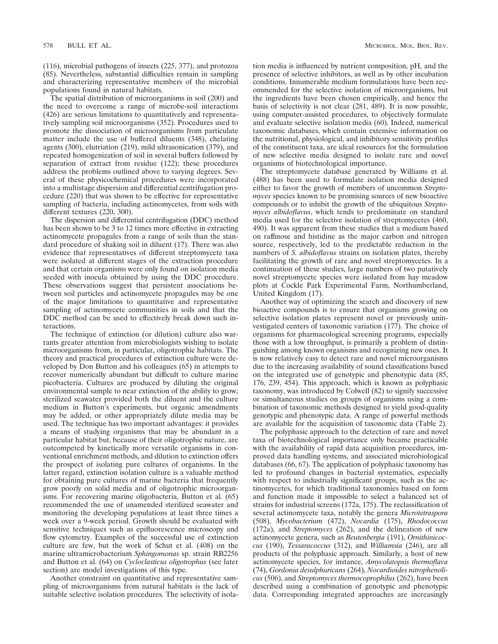(116), microbial pathogens of insects (225, 377), and protozoa (85). Nevertheless, substantial difficulties remain in sampling and characterizing representative members of the microbial populations found in natural habitats.

The spatial distribution of microorganisms in soil (200) and the need to overcome a range of microbe-soil interactions (426) are serious limitations to quantitatively and representatively sampling soil microorganisms (352). Procedures used to promote the dissociation of microorganisms from particulate matter include the use of buffered diluents (348), chelating agents (300), elutriation (219), mild ultrasonication (379), and repeated homogenization of soil in several buffers followed by separation of extract from residue (122); these procedures address the problems outlined above to varying degrees. Several of these physicochemical procedures were incorporated into a multistage dispersion and differential centrifugation procedure (220) that was shown to be effective for representative sampling of bacteria, including actinomycetes, from soils with different textures (220, 300).

The dispersion and differential centrifugation (DDC) method has been shown to be 3 to 12 times more effective in extracting actinomycete propagules from a range of soils than the standard procedure of shaking soil in diluent (17). There was also evidence that representatives of different streptomycete taxa were isolated at different stages of the extraction procedure and that certain organisms were only found on isolation media seeded with inocula obtained by using the DDC procedure. These observations suggest that persistent associations between soil particles and actinomycete propagules may be one of the major limitations to quantitative and representative sampling of actinomycete communities in soils and that the DDC method can be used to effectively break down such interactions.

The technique of extinction (or dilution) culture also warrants greater attention from microbiologists wishing to isolate microorganisms from, in particular, oligotrophic habitats. The theory and practical procedures of extinction culture were developed by Don Button and his colleagues (65) in attempts to recover numerically abundant but difficult to culture marine picobacteria. Cultures are produced by diluting the original environmental sample to near extinction of the ability to grow; sterilized seawater provided both the diluent and the culture medium in Button's experiments, but organic amendments may be added, or other appropriately dilute media may be used. The technique has two important advantages: it provides a means of studying organisms that may be abundant in a particular habitat but, because of their oligotrophic nature, are outcompeted by kinetically more versatile organisms in conventional enrichment methods, and dilution to extinction offers the prospect of isolating pure cultures of organisms. In the latter regard, extinction isolation culture is a valuable method for obtaining pure cultures of marine bacteria that frequently grow poorly on solid media and of oligotrophic microorganisms. For recovering marine oligobacteria, Button et al. (65) recommended the use of unamended sterilized seawater and monitoring the developing populations at least three times a week over a 9-week period. Growth should be evaluated with sensitive techniques such as epifluorescence microscopy and flow cytometry. Examples of the successful use of extinction culture are few, but the work of Schut et al. (408) on the marine ultramicrobacterium *Sphingomonas* sp. strain RB2256 and Button et al. (64) on *Cycloclasticus oligotrophus* (see later section) are model investigations of this type.

Another constraint on quantitative and representative sampling of microorganisms from natural habitats is the lack of suitable selective isolation procedures. The selectivity of isolation media is influenced by nutrient composition, pH, and the presence of selective inhibitors, as well as by other incubation conditions. Innumerable medium formulations have been recommended for the selective isolation of microorganisms, but the ingredients have been chosen empirically, and hence the basis of selectivity is not clear (281, 489). It is now possible, using computer-assisted procedures, to objectively formulate and evaluate selective isolation media (60). Indeed, numerical taxonomic databases, which contain extensive information on the nutritional, physiological, and inhibitory sensitivity profiles of the constituent taxa, are ideal resources for the formulation of new selective media designed to isolate rare and novel organisms of biotechnological importance.

The streptomycete database generated by Williams et al. (488) has been used to formulate isolation media designed either to favor the growth of members of uncommon *Streptomyces* species known to be promising sources of new bioactive compounds or to inhibit the growth of the ubiquitous *Streptomyces albidoflavus*, which tends to predominate on standard media used for the selective isolation of streptomycetes (460, 490). It was apparent from these studies that a medium based on raffinose and histidine as the major carbon and nitrogen source, respectively, led to the predictable reduction in the numbers of *S. albidoflavus* strains on isolation plates, thereby facilitating the growth of rare and novel streptomycetes. In a continuation of these studies, large numbers of two putatively novel streptomycete species were isolated from hay meadow plots at Cockle Park Experimental Farm, Northumberland, United Kingdom (17).

Another way of optimizing the search and discovery of new bioactive compounds is to ensure that organisms growing on selective isolation plates represent novel or previously uninvestigated centers of taxonomic variation (177). The choice of organisms for pharmacological screening programs, especially those with a low throughput, is primarily a problem of distinguishing among known organisms and recognizing new ones. It is now relatively easy to detect rare and novel microorganisms due to the increasing availability of sound classifications based on the integrated use of genotypic and phenotypic data (85, 176, 239, 454). This approach, which is known as polyphasic taxonomy, was introduced by Colwell (82) to signify successive or simultaneous studies on groups of organisms using a combination of taxonomic methods designed to yield good-quality genotypic and phenotypic data. A range of powerful methods are available for the acquisition of taxonomic data (Table 2).

The polyphasic approach to the detection of rare and novel taxa of biotechnological importance only became practicable with the availability of rapid data acquisition procedures, improved data handling systems, and associated microbiological databases (66, 67). The application of polyphasic taxonomy has led to profound changes in bacterial systematics, especially with respect to industrially significant groups, such as the actinomycetes, for which traditional taxonomies based on form and function made it impossible to select a balanced set of strains for industrial screens (172a, 175). The reclassification of several actinomycete taxa, notably the genera *Microtetraspora* (508), *Mycobacterium* (472), *Nocardia* (175), *Rhodococcus* (172a), and *Streptomyces* (262), and the delineation of new actinomycete genera, such as *Beutenbergia* (191), *Ornithinicoccus* (190), *Tessaracoccus* (312), and *Williamsia* (246), are all products of the polyphasic approach. Similarly, a host of new actinomycete species, for instance, *Amycolatopsis thermoflava* (74), *Gordonia desulphuricans* (264), *Nocardioides nitrophenolicus* (506), and *Streptomyces thermocoprophilus* (262), have been described using a combination of genotypic and phenotypic data. Corresponding integrated approaches are increasingly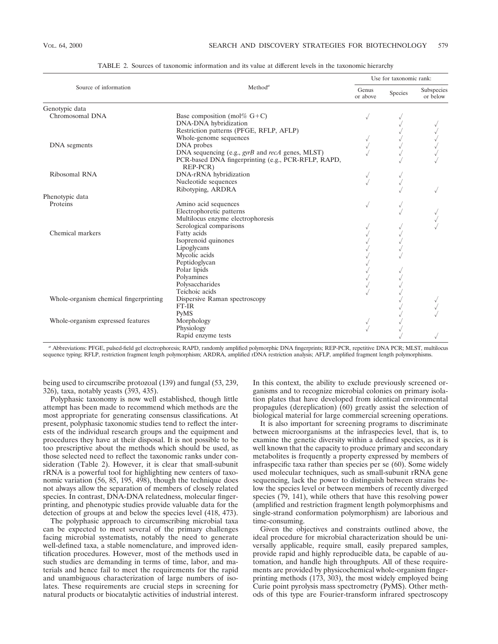|                                        |                                                     | Use for taxonomic rank: |         |                        |
|----------------------------------------|-----------------------------------------------------|-------------------------|---------|------------------------|
| Source of information                  | Method <sup>a</sup>                                 | Genus<br>or above       | Species | Subspecies<br>or below |
| Genotypic data                         |                                                     |                         |         |                        |
| Chromosomal DNA                        | Base composition (mol% $G+C$ )                      | √                       |         |                        |
|                                        | DNA-DNA hybridization                               |                         |         |                        |
|                                        | Restriction patterns (PFGE, RFLP, AFLP)             |                         |         |                        |
|                                        | Whole-genome sequences                              |                         |         |                        |
| DNA segments                           | DNA probes                                          |                         |         |                        |
|                                        | DNA sequencing (e.g., gyrB and recA genes, MLST)    |                         |         |                        |
|                                        | PCR-based DNA fingerprinting (e.g., PCR-RFLP, RAPD, |                         |         |                        |
|                                        | REP-PCR)                                            |                         |         |                        |
| Ribosomal RNA                          | DNA-rRNA hybridization                              |                         |         |                        |
|                                        | Nucleotide sequences                                |                         |         |                        |
|                                        | Ribotyping, ARDRA                                   |                         |         |                        |
| Phenotypic data                        |                                                     |                         |         |                        |
| Proteins                               | Amino acid sequences                                |                         |         |                        |
|                                        | Electrophoretic patterns                            |                         |         |                        |
|                                        | Multilocus enzyme electrophoresis                   |                         |         |                        |
|                                        | Serological comparisons                             |                         |         |                        |
| Chemical markers                       | Fatty acids                                         |                         |         |                        |
|                                        | Isoprenoid quinones                                 |                         |         |                        |
|                                        | Lipoglycans                                         |                         |         |                        |
|                                        | Mycolic acids                                       |                         |         |                        |
|                                        | Peptidoglycan                                       |                         |         |                        |
|                                        | Polar lipids                                        |                         |         |                        |
|                                        | Polyamines                                          |                         |         |                        |
|                                        | Polysaccharides                                     |                         |         |                        |
|                                        | Teichoic acids                                      |                         |         |                        |
| Whole-organism chemical fingerprinting | Dispersive Raman spectroscopy                       |                         |         |                        |
|                                        | FT-IR                                               |                         |         |                        |
|                                        | <b>PyMS</b>                                         |                         |         |                        |
| Whole-organism expressed features      | Morphology                                          |                         |         |                        |
|                                        | Physiology                                          |                         |         |                        |
|                                        | Rapid enzyme tests                                  |                         |         |                        |
|                                        |                                                     |                         |         |                        |

TABLE 2. Sources of taxonomic information and its value at different levels in the taxonomic hierarchy

*<sup>a</sup>* Abbreviations: PFGE, pulsed-field gel electrophoresis; RAPD, randomly amplified polymorphic DNA fingerprints; REP-PCR, repetitive DNA PCR; MLST, multilocus sequence typing; RFLP, restriction fragment length polymorphism; ARDRA, amplified rDNA restriction analysis; AFLP, amplified fragment length polymorphisms.

being used to circumscribe protozoal (139) and fungal (53, 239, 326), taxa, notably yeasts (393, 435).

Polyphasic taxonomy is now well established, though little attempt has been made to recommend which methods are the most appropriate for generating consensus classifications. At present, polyphasic taxonomic studies tend to reflect the interests of the individual research groups and the equipment and procedures they have at their disposal. It is not possible to be too prescriptive about the methods which should be used, as those selected need to reflect the taxonomic ranks under consideration (Table 2). However, it is clear that small-subunit rRNA is a powerful tool for highlighting new centers of taxonomic variation (56, 85, 195, 498), though the technique does not always allow the separation of members of closely related species. In contrast, DNA-DNA relatedness, molecular fingerprinting, and phenotypic studies provide valuable data for the detection of groups at and below the species level (418, 473).

The polyphasic approach to circumscribing microbial taxa can be expected to meet several of the primary challenges facing microbial systematists, notably the need to generate well-defined taxa, a stable nomenclature, and improved identification procedures. However, most of the methods used in such studies are demanding in terms of time, labor, and materials and hence fail to meet the requirements for the rapid and unambiguous characterization of large numbers of isolates. These requirements are crucial steps in screening for natural products or biocatalytic activities of industrial interest.

In this context, the ability to exclude previously screened organisms and to recognize microbial colonies on primary isolation plates that have developed from identical environmental propagules (dereplication) (60) greatly assist the selection of biological material for large commercial screening operations.

It is also important for screening programs to discriminate between microorganisms at the infraspecies level, that is, to examine the genetic diversity within a defined species, as it is well known that the capacity to produce primary and secondary metabolites is frequently a property expressed by members of infraspecific taxa rather than species per se (60). Some widely used molecular techniques, such as small-subunit rRNA gene sequencing, lack the power to distinguish between strains below the species level or between members of recently diverged species (79, 141), while others that have this resolving power (amplified and restriction fragment length polymorphisms and single-strand conformation polymorphism) are laborious and time-consuming.

Given the objectives and constraints outlined above, the ideal procedure for microbial characterization should be universally applicable, require small, easily prepared samples, provide rapid and highly reproducible data, be capable of automation, and handle high throughputs. All of these requirements are provided by physicochemical whole-organism fingerprinting methods (173, 303), the most widely employed being Curie point pyrolysis mass spectrometry (PyMS). Other methods of this type are Fourier-transform infrared spectroscopy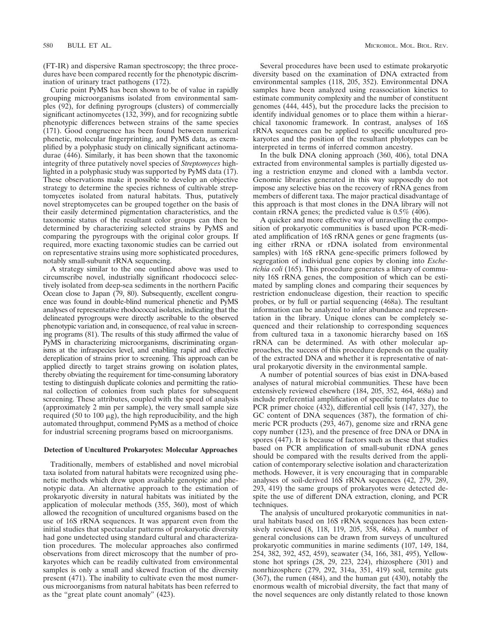(FT-IR) and dispersive Raman spectroscopy; the three procedures have been compared recently for the phenotypic discrimination of urinary tract pathogens (172).

Curie point PyMS has been shown to be of value in rapidly grouping microorganisms isolated from environmental samples (92), for defining pyrogroups (clusters) of commercially significant actinomycetes (132, 399), and for recognizing subtle phenotypic differences between strains of the same species (171). Good congruence has been found between numerical phenetic, molecular fingerprinting, and PyMS data, as exemplified by a polyphasic study on clinically significant actinomadurae (446). Similarly, it has been shown that the taxonomic integrity of three putatively novel species of *Streptomyces* highlighted in a polyphasic study was supported by PyMS data (17). These observations make it possible to develop an objective strategy to determine the species richness of cultivable streptomycetes isolated from natural habitats. Thus, putatively novel streptomycetes can be grouped together on the basis of their easily determined pigmentation characteristics, and the taxonomic status of the resultant color groups can then be determined by characterizing selected strains by PyMS and comparing the pyrogroups with the original color groups. If required, more exacting taxonomic studies can be carried out on representative strains using more sophisticated procedures, notably small-subunit rRNA sequencing.

A strategy similar to the one outlined above was used to circumscribe novel, industrially significant rhodococci selectively isolated from deep-sea sediments in the northern Pacific Ocean close to Japan (79, 80). Subsequently, excellent congruence was found in double-blind numerical phenetic and PyMS analyses of representative rhodococcal isolates, indicating that the delineated pyrogroups were directly ascribable to the observed phenotypic variation and, in consequence, of real value in screening programs (81). The results of this study affirmed the value of PyMS in characterizing microorganisms, discriminating organisms at the infraspecies level, and enabling rapid and effective dereplication of strains prior to screening. This approach can be applied directly to target strains growing on isolation plates, thereby obviating the requirement for time-consuming laboratory testing to distinguish duplicate colonies and permitting the rational collection of colonies from such plates for subsequent screening. These attributes, coupled with the speed of analysis (approximately 2 min per sample), the very small sample size required (50 to 100  $\mu$ g), the high reproducibility, and the high automated throughput, commend PyMS as a method of choice for industrial screening programs based on microorganisms.

## **Detection of Uncultured Prokaryotes: Molecular Approaches**

Traditionally, members of established and novel microbial taxa isolated from natural habitats were recognized using phenetic methods which drew upon available genotypic and phenotypic data. An alternative approach to the estimation of prokaryotic diversity in natural habitats was initiated by the application of molecular methods (355, 360), most of which allowed the recognition of uncultured organisms based on the use of 16S rRNA sequences. It was apparent even from the initial studies that spectacular patterns of prokaryotic diversity had gone undetected using standard cultural and characterization procedures. The molecular approaches also confirmed observations from direct microscopy that the number of prokaryotes which can be readily cultivated from environmental samples is only a small and skewed fraction of the diversity present (471). The inability to cultivate even the most numerous microorganisms from natural habitats has been referred to as the "great plate count anomaly" (423).

Several procedures have been used to estimate prokaryotic diversity based on the examination of DNA extracted from environmental samples (118, 205, 352). Environmental DNA samples have been analyzed using reassociation kinetics to estimate community complexity and the number of constituent genomes (444, 445), but the procedure lacks the precision to identify individual genomes or to place them within a hierarchical taxonomic framework. In contrast, analyses of 16S rRNA sequences can be applied to specific uncultured prokaryotes and the position of the resultant phylotypes can be interpreted in terms of inferred common ancestry.

In the bulk DNA cloning approach (360, 406), total DNA extracted from environmental samples is partially digested using a restriction enzyme and cloned with a lambda vector. Genomic libraries generated in this way supposedly do not impose any selective bias on the recovery of rRNA genes from members of different taxa. The major practical disadvantage of this approach is that most clones in the DNA library will not contain rRNA genes; the predicted value is 0.5% (406).

A quicker and more effective way of unravelling the composition of prokaryotic communities is based upon PCR-mediated amplification of 16S rRNA genes or gene fragments (using either rRNA or rDNA isolated from environmental samples) with 16S rRNA gene-specific primers followed by segregation of individual gene copies by cloning into *Escherichia coli* (165). This procedure generates a library of community 16S rRNA genes, the composition of which can be estimated by sampling clones and comparing their sequences by restriction endonuclease digestion, their reaction to specific probes, or by full or partial sequencing (468a). The resultant information can be analyzed to infer abundance and representation in the library. Unique clones can be completely sequenced and their relationship to corresponding sequences from cultured taxa in a taxonomic hierarchy based on 16S rRNA can be determined. As with other molecular approaches, the success of this procedure depends on the quality of the extracted DNA and whether it is representative of natural prokaryotic diversity in the environmental sample.

A number of potential sources of bias exist in DNA-based analyses of natural microbial communities. These have been extensively reviewed elsewhere (184, 205, 352, 464, 468a) and include preferential amplification of specific templates due to PCR primer choice (432), differential cell lysis (147, 327), the GC content of DNA sequences (387), the formation of chimeric PCR products (293, 467), genome size and rRNA gene copy number (123), and the presence of free DNA or DNA in spores (447). It is because of factors such as these that studies based on PCR amplification of small-subunit rDNA genes should be compared with the results derived from the application of contemporary selective isolation and characterization methods. However, it is very encouraging that in comparable analyses of soil-derived 16S rRNA sequences (42, 279, 289, 293, 419) the same groups of prokaryotes were detected despite the use of different DNA extraction, cloning, and PCR techniques.

The analysis of uncultured prokaryotic communities in natural habitats based on 16S rRNA sequences has been extensively reviewed (8, 118, 119, 205, 358, 468a). A number of general conclusions can be drawn from surveys of uncultured prokaryotic communities in marine sediments (107, 149, 184, 254, 382, 392, 452, 459), seawater (34, 166, 381, 495), Yellowstone hot springs  $(28, 29, 223, 224)$ , rhizosphere  $(301)$  and nonrhizosphere (279, 292, 314a, 351, 419) soil, termite guts (367), the rumen (484), and the human gut (430), notably the enormous wealth of microbial diversity, the fact that many of the novel sequences are only distantly related to those known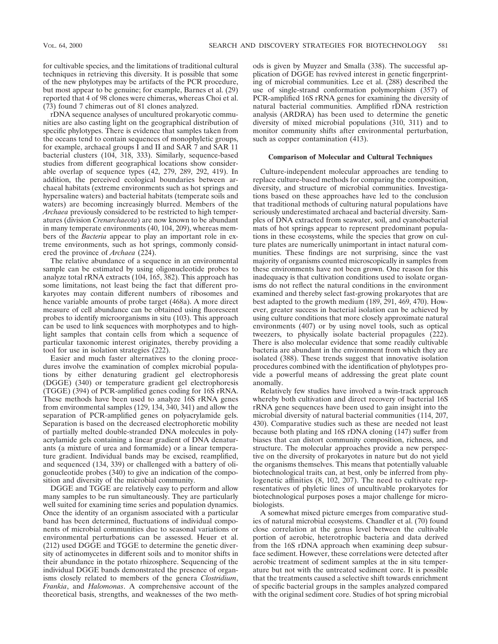for cultivable species, and the limitations of traditional cultural techniques in retrieving this diversity. It is possible that some of the new phylotypes may be artifacts of the PCR procedure, but most appear to be genuine; for example, Barnes et al. (29) reported that 4 of 98 clones were chimeras, whereas Choi et al. (73) found 7 chimeras out of 81 clones analyzed.

rDNA sequence analyses of uncultured prokaryotic communities are also casting light on the geographical distribution of specific phylotypes. There is evidence that samples taken from the oceans tend to contain sequences of monophyletic groups, for example, archaeal groups I and II and SAR 7 and SAR 11 bacterial clusters (104, 318, 333). Similarly, sequence-based studies from different geographical locations show considerable overlap of sequence types (42, 279, 289, 292, 419). In addition, the perceived ecological boundaries between archaeal habitats (extreme environments such as hot springs and hypersaline waters) and bacterial habitats (temperate soils and waters) are becoming increasingly blurred. Members of the *Archaea* previously considered to be restricted to high temperatures (division *Crenarchaeota*) are now known to be abundant in many temperate environments (40, 104, 209), whereas members of the *Bacteria* appear to play an important role in extreme environments, such as hot springs, commonly considered the province of *Archaea* (224).

The relative abundance of a sequence in an environmental sample can be estimated by using oligonucleotide probes to analyze total rRNA extracts (104, 165, 382). This approach has some limitations, not least being the fact that different prokaryotes may contain different numbers of ribosomes and hence variable amounts of probe target (468a). A more direct measure of cell abundance can be obtained using fluorescent probes to identify microorganisms in situ (103). This approach can be used to link sequences with morphotypes and to highlight samples that contain cells from which a sequence of particular taxonomic interest originates, thereby providing a tool for use in isolation strategies (222).

Easier and much faster alternatives to the cloning procedures involve the examination of complex microbial populations by either denaturing gradient gel electrophoresis (DGGE) (340) or temperature gradient gel electrophoresis (TGGE) (394) of PCR-amplified genes coding for 16S rRNA. These methods have been used to analyze 16S rRNA genes from environmental samples (129, 134, 340, 341) and allow the separation of PCR-amplified genes on polyacrylamide gels. Separation is based on the decreased electrophoretic mobility of partially melted double-stranded DNA molecules in polyacrylamide gels containing a linear gradient of DNA denaturants (a mixture of urea and formamide) or a linear temperature gradient. Individual bands may be excised, reamplified, and sequenced (134, 339) or challenged with a battery of oligonucleotide probes (340) to give an indication of the composition and diversity of the microbial community.

DGGE and TGGE are relatively easy to perform and allow many samples to be run simultaneously. They are particularly well suited for examining time series and population dynamics. Once the identity of an organism associated with a particular band has been determined, fluctuations of individual components of microbial communities due to seasonal variations or environmental perturbations can be assessed. Heuer et al. (212) used DGGE and TGGE to determine the genetic diversity of actinomycetes in different soils and to monitor shifts in their abundance in the potato rhizosphere. Sequencing of the individual DGGE bands demonstrated the presence of organisms closely related to members of the genera *Clostridium*, *Frankia*, and *Halomonas*. A comprehensive account of the theoretical basis, strengths, and weaknesses of the two methods is given by Muyzer and Smalla (338). The successful application of DGGE has revived interest in genetic fingerprinting of microbial communities. Lee et al. (288) described the use of single-strand conformation polymorphism (357) of PCR-amplified 16S rRNA genes for examining the diversity of natural bacterial communities. Amplified rDNA restriction analysis (ARDRA) has been used to determine the genetic diversity of mixed microbial populations (310, 311) and to monitor community shifts after environmental perturbation, such as copper contamination (413).

## **Comparison of Molecular and Cultural Techniques**

Culture-independent molecular approaches are tending to replace culture-based methods for comparing the composition, diversity, and structure of microbial communities. Investigations based on these approaches have led to the conclusion that traditional methods of culturing natural populations have seriously underestimated archaeal and bacterial diversity. Samples of DNA extracted from seawater, soil, and cyanobacterial mats of hot springs appear to represent predominant populations in these ecosystems, while the species that grow on culture plates are numerically unimportant in intact natural communities. These findings are not surprising, since the vast majority of organisms counted microscopically in samples from these environments have not been grown. One reason for this inadequacy is that cultivation conditions used to isolate organisms do not reflect the natural conditions in the environment examined and thereby select fast-growing prokaryotes that are best adapted to the growth medium (189, 291, 469, 470). However, greater success in bacterial isolation can be achieved by using culture conditions that more closely approximate natural environments (407) or by using novel tools, such as optical tweezers, to physically isolate bacterial propagules (222). There is also molecular evidence that some readily cultivable bacteria are abundant in the environment from which they are isolated (388). These trends suggest that innovative isolation procedures combined with the identification of phylotypes provide a powerful means of addressing the great plate count anomally.

Relatively few studies have involved a twin-track approach whereby both cultivation and direct recovery of bacterial 16S rRNA gene sequences have been used to gain insight into the microbial diversity of natural bacterial communities (114, 207, 430). Comparative studies such as these are needed not least because both plating and 16S rDNA cloning (147) suffer from biases that can distort community composition, richness, and structure. The molecular approaches provide a new perspective on the diversity of prokaryotes in nature but do not yield the organisms themselves. This means that potentially valuable biotechnological traits can, at best, only be inferred from phylogenetic affinities (8, 102, 207). The need to cultivate representatives of phyletic lines of uncultivable prokaryotes for biotechnological purposes poses a major challenge for microbiologists.

A somewhat mixed picture emerges from comparative studies of natural microbial ecosystems. Chandler et al. (70) found close correlation at the genus level between the cultivable portion of aerobic, heterotrophic bacteria and data derived from the 16S rDNA approach when examining deep subsurface sediment. However, these correlations were detected after aerobic treatment of sediment samples at the in situ temperature but not with the untreated sediment core. It is possible that the treatments caused a selective shift towards enrichment of specific bacterial groups in the samples analyzed compared with the original sediment core. Studies of hot spring microbial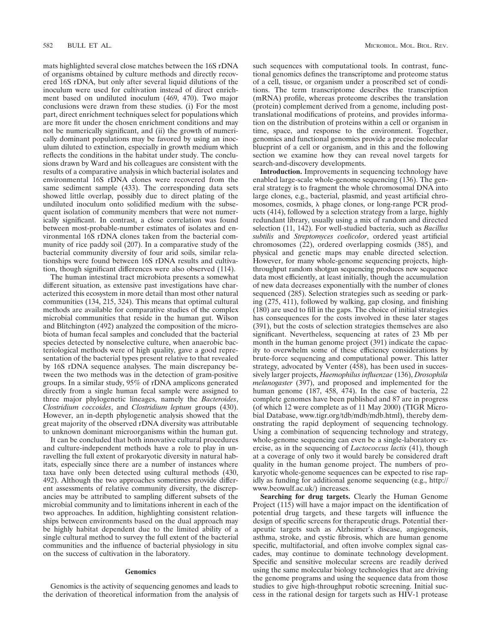mats highlighted several close matches between the 16S rDNA of organisms obtained by culture methods and directly recovered 16S rDNA, but only after several liquid dilutions of the inoculum were used for cultivation instead of direct enrichment based on undiluted inoculum (469, 470). Two major conclusions were drawn from these studies. (i) For the most part, direct enrichment techniques select for populations which are more fit under the chosen enrichment conditions and may not be numerically significant, and (ii) the growth of numerically dominant populations may be favored by using an inoculum diluted to extinction, especially in growth medium which reflects the conditions in the habitat under study. The conclusions drawn by Ward and his colleagues are consistent with the results of a comparative analysis in which bacterial isolates and environmental 16S rDNA clones were recovered from the same sediment sample (433). The corresponding data sets showed little overlap, possibly due to direct plating of the undiluted inoculum onto solidified medium with the subsequent isolation of community members that were not numerically significant. In contrast, a close correlation was found between most-probable-number estimates of isolates and environmental 16S rDNA clones taken from the bacterial community of rice paddy soil (207). In a comparative study of the bacterial community diversity of four arid soils, similar relationships were found between 16S rDNA results and cultivation, though significant differences were also observed (114).

The human intestinal tract microbiota presents a somewhat different situation, as extensive past investigations have characterized this ecosystem in more detail than most other natural communities (134, 215, 324). This means that optimal cultural methods are available for comparative studies of the complex microbial communities that reside in the human gut. Wilson and Blitchington (492) analyzed the composition of the microbiota of human fecal samples and concluded that the bacterial species detected by nonselective culture, when anaerobic bacteriological methods were of high quality, gave a good representation of the bacterial types present relative to that revealed by 16S rDNA sequence analyses. The main discrepancy between the two methods was in the detection of gram-positive groups. In a similar study, 95% of rDNA amplicons generated directly from a single human fecal sample were assigned to three major phylogenetic lineages, namely the *Bacteroides*, *Clostridium coccoides*, and *Clostridium leptum* groups (430). However, an in-depth phylogenetic analysis showed that the great majority of the observed rDNA diversity was attributable to unknown dominant microorganisms within the human gut.

It can be concluded that both innovative cultural procedures and culture-independent methods have a role to play in unravelling the full extent of prokaryotic diversity in natural habitats, especially since there are a number of instances where taxa have only been detected using cultural methods (430, 492). Although the two approaches sometimes provide different assessments of relative community diversity, the discrepancies may be attributed to sampling different subsets of the microbial community and to limitations inherent in each of the two approaches. In addition, highlighting consistent relationships between environments based on the dual approach may be highly habitat dependent due to the limited ability of a single cultural method to survey the full extent of the bacterial communities and the influence of bacterial physiology in situ on the success of cultivation in the laboratory.

# **Genomics**

Genomics is the activity of sequencing genomes and leads to the derivation of theoretical information from the analysis of such sequences with computational tools. In contrast, functional genomics defines the transcriptome and proteome status of a cell, tissue, or organism under a proscribed set of conditions. The term transcriptome describes the transcription (mRNA) profile, whereas proteome describes the translation (protein) complement derived from a genome, including posttranslational modifications of proteins, and provides information on the distribution of proteins within a cell or organism in time, space, and response to the environment. Together, genomics and functional genomics provide a precise molecular blueprint of a cell or organism, and in this and the following section we examine how they can reveal novel targets for search-and-discovery developments.

**Introduction.** Improvements in sequencing technology have enabled large-scale whole-genome sequencing (136). The general strategy is to fragment the whole chromosomal DNA into large clones, e.g., bacterial, plasmid, and yeast artificial chromosomes, cosmids,  $\lambda$  phage clones, or long-range PCR products (414), followed by a selection strategy from a large, highly redundant library, usually using a mix of random and directed selection (11, 142). For well-studied bacteria, such as *Bacillus subtilis* and *Streptomyces coelicolor*, ordered yeast artificial chromosomes (22), ordered overlapping cosmids (385), and physical and genetic maps may enable directed selection. However, for many whole-genome sequencing projects, highthroughput random shotgun sequencing produces new sequence data most efficiently, at least initially, though the accumulation of new data decreases exponentially with the number of clones sequenced (285). Selection strategies such as seeding or parking (275, 411), followed by walking, gap closing, and finishing (180) are used to fill in the gaps. The choice of initial strategies has consequences for the costs involved in these later stages (391), but the costs of selection strategies themselves are also significant. Nevertheless, sequencing at rates of 23 Mb per month in the human genome project (391) indicate the capacity to overwhelm some of these efficiency considerations by brute-force sequencing and computational power. This latter strategy, advocated by Venter (458), has been used in successively larger projects, *Haemophilus influenzae* (136), *Drosophila melanogaster* (397), and proposed and implemented for the human genome (187, 458, 474). In the case of bacteria, 22 complete genomes have been published and 87 are in progress (of which 12 were complete as of 11 May 2000) (TIGR Microbial Database, www.tigr.org/tdb/mdb/mdb.html), thereby demonstrating the rapid deployment of sequencing technology. Using a combination of sequencing technology and strategy, whole-genome sequencing can even be a single-laboratory exercise, as in the sequencing of *Lactococcus lactis* (41), though at a coverage of only two it would barely be considered draft quality in the human genome project. The numbers of prokaryotic whole-genome sequences can be expected to rise rapidly as funding for additional genome sequencing (e.g., http:// www.beowulf.ac.uk/) increases.

**Searching for drug targets.** Clearly the Human Genome Project (115) will have a major impact on the identification of potential drug targets, and these targets will influence the design of specific screens for therapeutic drugs. Potential therapeutic targets such as Alzheimer's disease, angiogenesis, asthma, stroke, and cystic fibrosis, which are human genome specific, multifactorial, and often involve complex signal cascades, may continue to dominate technology development. Specific and sensitive molecular screens are readily derived using the same molecular biology technologies that are driving the genome programs and using the sequence data from those studies to give high-throughput robotic screening. Initial success in the rational design for targets such as HIV-1 protease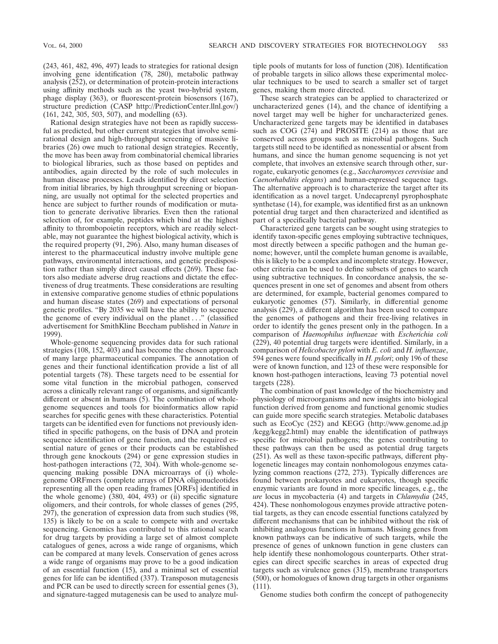(243, 461, 482, 496, 497) leads to strategies for rational design involving gene identification (78, 280), metabolic pathway analysis (252), or determination of protein-protein interactions using affinity methods such as the yeast two-hybrid system, phage display (363), or fluorescent-protein biosensors (167), structure prediction (CASP http://PredictionCenter.llnl.gov/) (161, 242, 305, 503, 507), and modelling (63).

Rational design strategies have not been as rapidly successful as predicted, but other current strategies that involve semirational design and high-throughput screening of massive libraries (26) owe much to rational design strategies. Recently, the move has been away from combinatorial chemical libraries to biological libraries, such as those based on peptides and antibodies, again directed by the role of such molecules in human disease processes. Leads identified by direct selection from initial libraries, by high throughput screening or biopanning, are usually not optimal for the selected properties and hence are subject to further rounds of modification or mutation to generate derivative libraries. Even then the rational selection of, for example, peptides which bind at the highest affinity to thrombopoietin receptors, which are readily selectable, may not guarantee the highest biological activity, which is the required property (91, 296). Also, many human diseases of interest to the pharmaceutical industry involve multiple gene pathways, environmental interactions, and genetic predisposition rather than simply direct causal effects (269). These factors also mediate adverse drug reactions and dictate the effectiveness of drug treatments. These considerations are resulting in extensive comparative genome studies of ethnic populations and human disease states (269) and expectations of personal genetic profiles. "By 2035 we will have the ability to sequence the genome of every individual on the planet . . ." (classified advertisement for SmithKline Beecham published in *Nature* in 1999).

Whole-genome sequencing provides data for such rational strategies (108, 152, 403) and has become the chosen approach of many large pharmaceutical companies. The annotation of genes and their functional identification provide a list of all potential targets (78). These targets need to be essential for some vital function in the microbial pathogen, conserved across a clinically relevant range of organisms, and significantly different or absent in humans (5). The combination of wholegenome sequences and tools for bioinformatics allow rapid searches for specific genes with these characteristics. Potential targets can be identified even for functions not previously identified in specific pathogens, on the basis of DNA and protein sequence identification of gene function, and the required essential nature of genes or their products can be established through gene knockouts (294) or gene expression studies in host-pathogen interactions (72, 304). With whole-genome sequencing making possible DNA microarrays of (i) wholegenome ORFmers (complete arrays of DNA oligonucleotides representing all the open reading frames [ORFs] identified in the whole genome) (380, 404, 493) or (ii) specific signature oligomers, and their controls, for whole classes of genes (295, 297), the generation of expression data from such studies (98, 135) is likely to be on a scale to compete with and overtake sequencing. Genomics has contributed to this rational search for drug targets by providing a large set of almost complete catalogues of genes, across a wide range of organisms, which can be compared at many levels. Conservation of genes across a wide range of organisms may prove to be a good indication of an essential function (15), and a minimal set of essential genes for life can be identified (337). Transposon mutagenesis and PCR can be used to directly screen for essential genes (3), and signature-tagged mutagenesis can be used to analyze multiple pools of mutants for loss of function (208). Identification of probable targets in silico allows these experimental molecular techniques to be used to search a smaller set of target genes, making them more directed.

These search strategies can be applied to characterized or uncharacterized genes (14), and the chance of identifying a novel target may well be higher for uncharacterized genes. Uncharacterized gene targets may be identified in databases such as COG (274) and PROSITE (214) as those that are conserved across groups such as microbial pathogens. Such targets still need to be identified as nonessential or absent from humans, and since the human genome sequencing is not yet complete, that involves an extensive search through other, surrogate, eukaryotic genomes (e.g., *Saccharomyces cerevisiae* and *Caenorhabditis elegans*) and human-expressed sequence tags. The alternative approach is to characterize the target after its identification as a novel target. Undecaprenyl pyrophosphate synthetase (14), for example, was identified first as an unknown potential drug target and then characterized and identified as part of a specifically bacterial pathway.

Characterized gene targets can be sought using strategies to identify taxon-specific genes employing subtractive techniques, most directly between a specific pathogen and the human genome; however, until the complete human genome is available, this is likely to be a complex and incomplete strategy. However, other criteria can be used to define subsets of genes to search using subtractive techniques. In concordance analysis, the sequences present in one set of genomes and absent from others are determined, for example, bacterial genomes compared to eukaryotic genomes (57). Similarly, in differential genome analysis (229), a different algorithm has been used to compare the genomes of pathogens and their free-living relatives in order to identify the genes present only in the pathogen. In a comparison of *Haemophilus influenzae* with *Escherichia coli* (229), 40 potential drug targets were identified. Similarly, in a comparison of *Helicobacter pylori* with *E. coli* and *H. influenzae*, 594 genes were found specifically in *H. pylori*; only 196 of these were of known function, and 123 of these were responsible for known host-pathogen interactions, leaving 73 potential novel targets (228).

The combination of past knowledge of the biochemistry and physiology of microorganisms and new insights into biological function derived from genome and functional genomic studies can guide more specific search strategies. Metabolic databases such as EcoCyc (252) and KEGG (http://www.genome.ad.jp /kegg/kegg2.html) may enable the identification of pathways specific for microbial pathogens; the genes contributing to these pathways can then be used as potential drug targets (251). As well as these taxon-specific pathways, different phylogenetic lineages may contain nonhomologous enzymes catalyzing common reactions (272, 273). Typically differences are found between prokaryotes and eukaryotes, though specific enzymic variants are found in more specific lineages, e.g., the *ure* locus in mycobacteria (4) and targets in *Chlamydia* (245, 424). These nonhomologous enzymes provide attractive potential targets, as they can encode essential functions catalyzed by different mechanisms that can be inhibited without the risk of inhibiting analogous functions in humans. Missing genes from known pathways can be indicative of such targets, while the presence of genes of unknown function in gene clusters can help identify these nonhomologous counterparts. Other strategies can direct specific searches in areas of expected drug targets such as virulence genes (315), membrane transporters (500), or homologues of known drug targets in other organisms (111).

Genome studies both confirm the concept of pathogenecity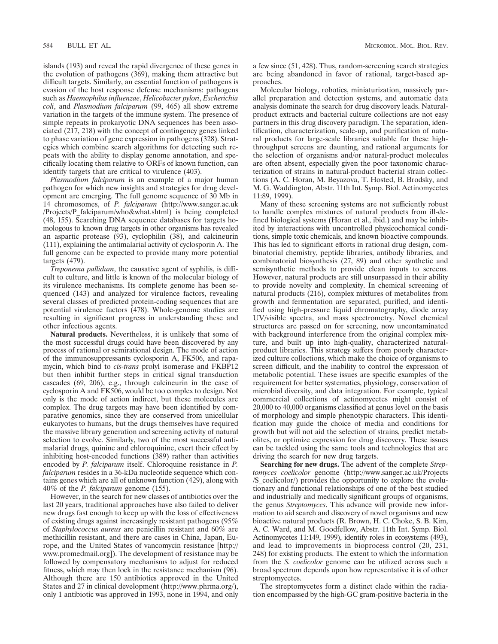islands (193) and reveal the rapid divergence of these genes in the evolution of pathogens (369), making them attractive but difficult targets. Similarly, an essential function of pathogens is evasion of the host response defense mechanisms: pathogens such as *Haemophilus influenzae*, *Helicobacter pylori*, *Escherichia coli*, and *Plasmodium falciparum* (99, 465) all show extreme variation in the targets of the immune system. The presence of simple repeats in prokaryotic DNA sequences has been associated (217, 218) with the concept of contingency genes linked to phase variation of gene expression in pathogens (328). Strategies which combine search algorithms for detecting such repeats with the ability to display genome annotation, and specifically locating them relative to ORFs of known function, can identify targets that are critical to virulence (403).

*Plasmodium falciparum* is an example of a major human pathogen for which new insights and strategies for drug development are emerging. The full genome sequence of 30 Mb in 14 chromosomes, of *P. falciparum* (http://www.sanger.ac.uk /Projects/P\_falciparum/who&what.shtml) is being completed (48, 155). Searching DNA sequence databases for targets homologous to known drug targets in other organisms has revealed an aspartic protease (93), cyclophilin (38), and calcineurin (111), explaining the antimalarial activity of cyclosporin A. The full genome can be expected to provide many more potential targets (479).

*Treponema pallidum*, the causative agent of syphilis, is difficult to culture, and little is known of the molecular biology of its virulence mechanisms. Its complete genome has been sequenced (143) and analyzed for virulence factors, revealing several classes of predicted protein-coding sequences that are potential virulence factors (478). Whole-genome studies are resulting in significant progress in understanding these and other infectious agents.

**Natural products.** Nevertheless, it is unlikely that some of the most successful drugs could have been discovered by any process of rational or semirational design. The mode of action of the immunosuppressants cyclosporin A, FK506, and rapamycin, which bind to *cis-trans* prolyl isomerase and FKBP12 but then inhibit further steps in critical signal transduction cascades (69, 206), e.g., through calcineurin in the case of cyclosporin A and FK506, would be too complex to design. Not only is the mode of action indirect, but these molecules are complex. The drug targets may have been identified by comparative genomics, since they are conserved from unicellular eukaryotes to humans, but the drugs themselves have required the massive library generation and screening activity of natural selection to evolve. Similarly, two of the most successful antimalarial drugs, quinine and chloroquinine, exert their effect by inhibiting host-encoded functions (389) rather than activities encoded by *P. falciparum* itself. Chloroquine resistance in *P. falciparum* resides in a 36-kDa nucleotide sequence which contains genes which are all of unknown function (429), along with 40% of the *P. falciparum* genome (155).

However, in the search for new classes of antibiotics over the last 20 years, traditional approaches have also failed to deliver new drugs fast enough to keep up with the loss of effectiveness of existing drugs against increasingly resistant pathogens (95% of *Staphylococcus aureus* are penicillin resistant and 60% are methicillin resistant, and there are cases in China, Japan, Europe, and the United States of vancomycin resistance [http:// www.promedmail.org]). The development of resistance may be followed by compensatory mechanisms to adjust for reduced fitness, which may then lock in the resistance mechanism (96). Although there are 150 antibiotics approved in the United States and 27 in clinical development (http://www.phrma.org/), only 1 antibiotic was approved in 1993, none in 1994, and only a few since (51, 428). Thus, random-screening search strategies are being abandoned in favor of rational, target-based approaches.

Molecular biology, robotics, miniaturization, massively parallel preparation and detection systems, and automatic data analysis dominate the search for drug discovery leads. Naturalproduct extracts and bacterial culture collections are not easy partners in this drug discovery paradigm. The separation, identification, characterization, scale-up, and purification of natural products for large-scale libraries suitable for these highthroughput screens are daunting, and rational arguments for the selection of organisms and/or natural-product molecules are often absent, especially given the poor taxonomic characterization of strains in natural-product bacterial strain collections (A. C. Horan, M. Beyazova, T. Hosted, B. Brodsky, and M. G. Waddington, Abstr. 11th Int. Symp. Biol. Actinomycetes 11:89, 1999).

Many of these screening systems are not sufficiently robust to handle complex mixtures of natural products from ill-defined biological systems (Horan et al., ibid.) and may be inhibited by interactions with uncontrolled physicochemical conditions, simple toxic chemicals, and known bioactive compounds. This has led to significant efforts in rational drug design, combinatorial chemistry, peptide libraries, antibody libraries, and combinatorial biosynthesis (27, 89) and other synthetic and semisynthetic methods to provide clean inputs to screens. However, natural products are still unsurpassed in their ability to provide novelty and complexity. In chemical screening of natural products (216), complex mixtures of metabolites from growth and fermentation are separated, purified, and identified using high-pressure liquid chromatography, diode array UV/visible spectra, and mass spectrometry. Novel chemical structures are passed on for screening, now uncontaminated with background interference from the original complex mixture, and built up into high-quality, characterized naturalproduct libraries. This strategy suffers from poorly characterized culture collections, which make the choice of organisms to screen difficult, and the inability to control the expression of metabolic potential. These issues are specific examples of the requirement for better systematics, physiology, conservation of microbial diversity, and data integration. For example, typical commercial collections of actinomycetes might consist of 20,000 to 40,000 organisms classified at genus level on the basis of morphology and simple phenotypic characters. This identification may guide the choice of media and conditions for growth but will not aid the selection of strains, predict metabolites, or optimize expression for drug discovery. These issues can be tackled using the same tools and technologies that are driving the search for new drug targets.

**Searching for new drugs.** The advent of the complete *Streptomyces coelicolor* genome (http://www.sanger.ac.uk/Projects /S\_coelicolor/) provides the opportunity to explore the evolutionary and functional relationships of one of the best studied and industrially and medically significant groups of organisms, the genus *Streptomyces*. This advance will provide new information to aid search and discovery of novel organisms and new bioactive natural products (R. Brown, H. C. Choke, S. B. Kim, A. C. Ward, and M. Goodfellow, Abstr. 11th Int. Symp. Biol. Actinomycetes 11:149, 1999), identify roles in ecosystems (493), and lead to improvements in bioprocess control (20, 231, 248) for existing products. The extent to which the information from the *S. coelicolor* genome can be utilized across such a broad spectrum depends upon how representative it is of other streptomycetes.

The streptomycetes form a distinct clade within the radiation encompassed by the high-GC gram-positive bacteria in the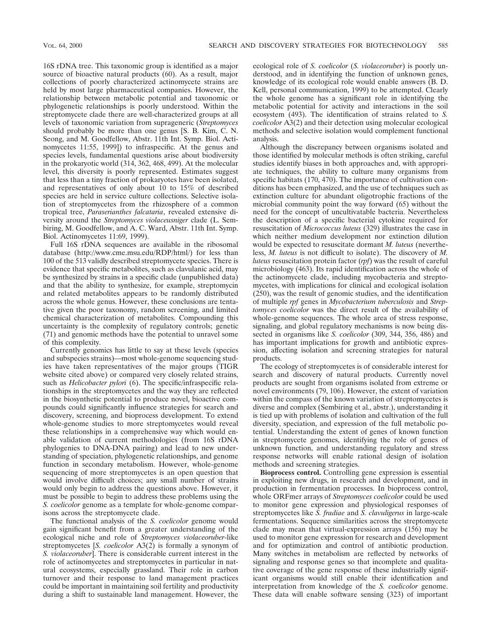16S rDNA tree. This taxonomic group is identified as a major source of bioactive natural products (60). As a result, major collections of poorly characterized actinomycete strains are held by most large pharmaceutical companies. However, the relationship between metabolic potential and taxonomic or phylogenetic relationships is poorly understood. Within the streptomycete clade there are well-characterized groups at all levels of taxonomic variation from suprageneric (*Streptomyces* should probably be more than one genus [S. B. Kim, C. N. Seong, and M. Goodfellow, Abstr. 11th Int. Symp. Biol. Actinomycetes 11:55, 1999]) to infraspecific. At the genus and species levels, fundamental questions arise about biodiversity in the prokaryotic world (314, 362, 468, 499). At the molecular level, this diversity is poorly represented. Estimates suggest that less than a tiny fraction of prokaryotes have been isolated, and representatives of only about 10 to 15% of described species are held in service culture collections. Selective isolation of streptomycetes from the rhizosphere of a common tropical tree, *Paraserianthes falcataria*, revealed extensive diversity around the *Streptomyces violaceusniger* clade (L. Sembiring, M. Goodfellow, and A. C. Ward, Abstr. 11th Int. Symp. Biol. Actinomycetes 11:69, 1999).

Full 16S rDNA sequences are available in the ribosomal database (http://www.cme.msu.edu/RDP/html/) for less than 100 of the 513 validly described streptomycete species. There is evidence that specific metabolites, such as clavulanic acid, may be synthesized by strains in a specific clade (unpublished data) and that the ability to synthesize, for example, streptomycin and related metabolites appears to be randomly distributed across the whole genus. However, these conclusions are tentative given the poor taxonomy, random screening, and limited chemical characterization of metabolites. Compounding this uncertainty is the complexity of regulatory controls; genetic (71) and genomic methods have the potential to unravel some of this complexity.

Currently genomics has little to say at these levels (species and subspecies strains)—most whole-genome sequencing studies have taken representatives of the major groups (TIGR website cited above) or compared very closely related strains, such as *Helicobacter pylori* (6). The specific/infraspecific relationships in the streptomycetes and the way they are reflected in the biosynthetic potential to produce novel, bioactive compounds could significantly influence strategies for search and discovery, screening, and bioprocess development. To extend whole-genome studies to more streptomycetes would reveal these relationships in a comprehensive way which would enable validation of current methodologies (from 16S rDNA phylogenies to DNA-DNA pairing) and lead to new understanding of speciation, phylogenetic relationships, and genome function in secondary metabolism. However, whole-genome sequencing of more streptomycetes is an open question that would involve difficult choices; any small number of strains would only begin to address the questions above. However, it must be possible to begin to address these problems using the *S. coelicolor* genome as a template for whole-genome comparisons across the streptomycete clade.

The functional analysis of the *S. coelicolor* genome would gain significant benefit from a greater understanding of the ecological niche and role of *Streptomyces violaceoruber*-like streptomycetes [*S. coelicolor* A3(2) is formally a synonym of *S. violaceoruber*]. There is considerable current interest in the role of actinomycetes and streptomycetes in particular in natural ecosystems, especially grassland. Their role in carbon turnover and their response to land management practices could be important in maintaining soil fertility and productivity during a shift to sustainable land management. However, the

ecological role of *S. coelicolor* (*S. violaceoruber*) is poorly understood, and in identifying the function of unknown genes, knowledge of its ecological role would enable answers (B. D. Kell, personal communication, 1999) to be attempted. Clearly the whole genome has a significant role in identifying the metabolic potential for activity and interactions in the soil ecosystem (493). The identification of strains related to *S. coelicolor* A3(2) and their detection using molecular ecological methods and selective isolation would complement functional analysis.

Although the discrepancy between organisms isolated and those identified by molecular methods is often striking, careful studies identify biases in both approaches and, with appropriate techniques, the ability to culture many organisms from specific habitats (170, 470). The importance of cultivation conditions has been emphasized, and the use of techniques such as extinction culture for abundant oligotrophic fractions of the microbial community point the way forward (65) without the need for the concept of uncultivatable bacteria. Nevertheless the description of a specific bacterial cytokine required for resuscitation of *Micrococcus luteus* (329) illustrates the case in which neither medium development nor extinction dilution would be expected to resuscitate dormant *M. luteus* (nevertheless, *M. luteus* is not difficult to isolate). The discovery of *M. luteus* resuscitation protein factor (*rpf*) was the result of careful microbiology (463). Its rapid identification across the whole of the actinomycete clade, including mycobacteria and streptomycetes, with implications for clinical and ecological isolation (250), was the result of genomic studies, and the identification of multiple *rpf* genes in *Mycobacterium tuberculosis* and *Streptomyces coelicolor* was the direct result of the availability of whole-genome sequences. The whole area of stress response, signaling, and global regulatory mechanisms is now being dissected in organisms like *S. coelicolor* (309, 344, 356, 486) and has important implications for growth and antibiotic expression, affecting isolation and screening strategies for natural products.

The ecology of streptomycetes is of considerable interest for search and discovery of natural products. Currently novel products are sought from organisms isolated from extreme or novel environments (79, 106). However, the extent of variation within the compass of the known variation of streptomycetes is diverse and complex (Sembiring et al., abstr.), understanding it is tied up with problems of isolation and cultivation of the full diversity, speciation, and expression of the full metabolic potential. Understanding the extent of genes of known function in streptomycete genomes, identifying the role of genes of unknown function, and understanding regulatory and stress response networks will enable rational design of isolation methods and screening strategies.

**Bioprocess control.** Controlling gene expression is essential in exploiting new drugs, in research and development, and in production in fermentation processes. In bioprocess control, whole ORFmer arrays of *Streptomyces coelicolor* could be used to monitor gene expression and physiological responses of streptomycetes like *S. fradiae* and *S. clavuligerus* in large-scale fermentations. Sequence similarities across the streptomycete clade may mean that virtual-expression arrays (156) may be used to monitor gene expression for research and development and for optimization and control of antibiotic production. Many switches in metabolism are reflected by networks of signaling and response genes so that incomplete and qualitative coverage of the gene response of these industrially significant organisms would still enable their identification and interpretation from knowledge of the *S. coelicolor* genome. These data will enable software sensing (323) of important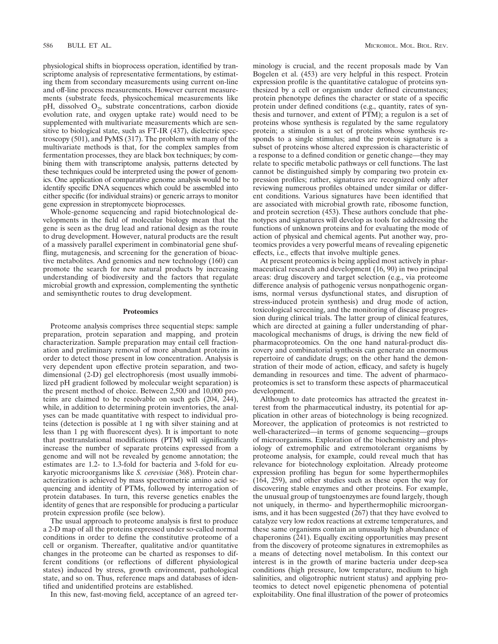physiological shifts in bioprocess operation, identified by transcriptome analysis of representative fermentations, by estimating them from secondary measurements using current on-line and off-line process measurements. However current measurements (substrate feeds, physicochemical measurements like pH, dissolved  $O<sub>2</sub>$ , substrate concentrations, carbon dioxide evolution rate, and oxygen uptake rate) would need to be supplemented with multivariate measurements which are sensitive to biological state, such as FT-IR (437), dielectric spectroscopy (501), and PyMS (317). The problem with many of the multivariate methods is that, for the complex samples from fermentation processes, they are black box techniques; by combining them with transcriptome analysis, patterns detected by these techniques could be interpreted using the power of genomics. One application of comparative genome analysis would be to identify specific DNA sequences which could be assembled into either specific (for individual strains) or generic arrays to monitor gene expression in streptomycete bioprocesses.

Whole-genome sequencing and rapid biotechnological developments in the field of molecular biology mean that the gene is seen as the drug lead and rational design as the route to drug development. However, natural products are the result of a massively parallel experiment in combinatorial gene shuffling, mutagenesis, and screening for the generation of bioactive metabolites. And genomics and new technology (160) can promote the search for new natural products by increasing understanding of biodiversity and the factors that regulate microbial growth and expression, complementing the synthetic and semisynthetic routes to drug development.

# **Proteomics**

Proteome analysis comprises three sequential steps: sample preparation, protein separation and mapping, and protein characterization. Sample preparation may entail cell fractionation and preliminary removal of more abundant proteins in order to detect those present in low concentration. Analysis is very dependent upon effective protein separation, and twodimensional (2-D) gel electrophoresis (most usually immobilized pH gradient followed by molecular weight separation) is the present method of choice. Between 2,500 and 10,000 proteins are claimed to be resolvable on such gels (204, 244), while, in addition to determining protein inventories, the analyses can be made quantitative with respect to individual proteins (detection is possible at 1 ng with silver staining and at less than 1 pg with fluorescent dyes). It is important to note that posttranslational modifications (PTM) will significantly increase the number of separate proteins expressed from a genome and will not be revealed by genome annotation; the estimates are 1.2- to 1.3-fold for bacteria and 3-fold for eukaryotic microorganisms like *S. cerevisiae* (368). Protein characterization is achieved by mass spectrometric amino acid sequencing and identity of PTMs, followed by interrogation of protein databases. In turn, this reverse genetics enables the identity of genes that are responsible for producing a particular protein expression profile (see below).

The usual approach to proteome analysis is first to produce a 2-D map of all the proteins expressed under so-called normal conditions in order to define the constitutive proteome of a cell or organism. Thereafter, qualitative and/or quantitative changes in the proteome can be charted as responses to different conditions (or reflections of different physiological states) induced by stress, growth environment, pathological state, and so on. Thus, reference maps and databases of identified and unidentified proteins are established.

In this new, fast-moving field, acceptance of an agreed ter-

minology is crucial, and the recent proposals made by Van Bogelen et al. (453) are very helpful in this respect. Protein expression profile is the quantitative catalogue of proteins synthesized by a cell or organism under defined circumstances; protein phenotype defines the character or state of a specific protein under defined conditions (e.g., quantity, rates of synthesis and turnover, and extent of PTM); a regulon is a set of proteins whose synthesis is regulated by the same regulatory protein; a stimulon is a set of proteins whose synthesis responds to a single stimulus; and the protein signature is a subset of proteins whose altered expression is characteristic of a response to a defined condition or genetic change—they may relate to specific metabolic pathways or cell functions. The last cannot be distinguished simply by comparing two protein expression profiles; rather, signatures are recognized only after reviewing numerous profiles obtained under similar or different conditions. Various signatures have been identified that are associated with microbial growth rate, ribosome function, and protein secretion (453). These authors conclude that phenotypes and signatures will develop as tools for addressing the functions of unknown proteins and for evaluating the mode of action of physical and chemical agents. Put another way, proteomics provides a very powerful means of revealing epigenetic effects, i.e., effects that involve multiple genes.

At present proteomics is being applied most actively in pharmaceutical research and development (16, 90) in two principal areas: drug discovery and target selection (e.g., via proteome difference analysis of pathogenic versus nonpathogenic organisms, normal versus dysfunctional states, and disruption of stress-induced protein synthesis) and drug mode of action, toxicological screening, and the monitoring of disease progression during clinical trials. The latter group of clinical features, which are directed at gaining a fuller understanding of pharmacological mechanisms of drugs, is driving the new field of pharmacoproteomics. On the one hand natural-product discovery and combinatorial synthesis can generate an enormous repertoire of candidate drugs; on the other hand the demonstration of their mode of action, efficacy, and safety is hugely demanding in resources and time. The advent of pharmacoproteomics is set to transform these aspects of pharmaceutical development.

Although to date proteomics has attracted the greatest interest from the pharmaceutical industry, its potential for application in other areas of biotechnology is being recognized. Moreover, the application of proteomics is not restricted to well-characterized—in terms of genome sequencing—groups of microorganisms. Exploration of the biochemistry and physiology of extremophilic and extremotolerant organisms by proteome analysis, for example, could reveal much that has relevance for biotechnology exploitation. Already proteome expression profiling has begun for some hyperthermophiles (164, 259), and other studies such as these open the way for discovering stable enzymes and other proteins. For example, the unusual group of tungstoenzymes are found largely, though not uniquely, in thermo- and hyperthermophilic microorganisms, and it has been suggested (267) that they have evolved to catalyze very low redox reactions at extreme temperatures, and these same organisms contain an unusually high abundance of chaperonins (241). Equally exciting opportunities may present from the discovery of proteome signatures in extremophiles as a means of detecting novel metabolism. In this context our interest is in the growth of marine bacteria under deep-sea conditions (high pressure, low temperature, medium to high salinities, and oligotrophic nutrient status) and applying proteomics to detect novel epigenetic phenomena of potential exploitability. One final illustration of the power of proteomics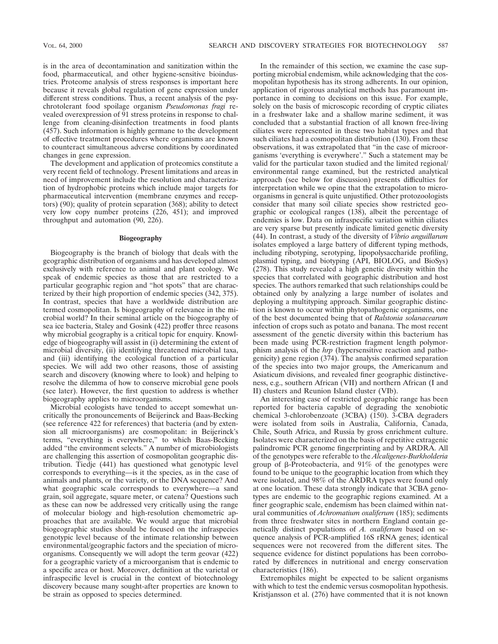is in the area of decontamination and sanitization within the food, pharmaceutical, and other hygiene-sensitive bioindustries. Proteome analysis of stress responses is important here because it reveals global regulation of gene expression under different stress conditions. Thus, a recent analysis of the psychrotolerant food spoilage organism *Pseudomonas fragi* revealed overexpression of 91 stress proteins in response to challenge from cleaning-disinfection treatments in food plants (457). Such information is highly germane to the development of effective treatment procedures where organisms are known to counteract simultaneous adverse conditions by coordinated changes in gene expression.

The development and application of proteomics constitute a very recent field of technology. Present limitations and areas in need of improvement include the resolution and characterization of hydrophobic proteins which include major targets for pharmaceutical intervention (membrane enzymes and receptors) (90); quality of protein separation (368); ability to detect very low copy number proteins (226, 451); and improved throughput and automation (90, 226).

#### **Biogeography**

Biogeography is the branch of biology that deals with the geographic distribution of organisms and has developed almost exclusively with reference to animal and plant ecology. We speak of endemic species as those that are restricted to a particular geographic region and "hot spots" that are characterized by their high proportion of endemic species (342, 375). In contrast, species that have a worldwide distribution are termed cosmopolitan. Is biogeography of relevance in the microbial world? In their seminal article on the biogeography of sea ice bacteria, Staley and Gosink (422) proffer three reasons why microbial geography is a critical topic for enquiry. Knowledge of biogeography will assist in (i) determining the extent of microbial diversity, (ii) identifying threatened microbial taxa, and (iii) identifying the ecological function of a particular species. We will add two other reasons, those of assisting search and discovery (knowing where to look) and helping to resolve the dilemma of how to conserve microbial gene pools (see later). However, the first question to address is whether biogeography applies to microorganisms.

Microbial ecologists have tended to accept somewhat uncritically the pronouncements of Beijerinck and Baas-Becking (see reference 422 for references) that bacteria (and by extension all microorganisms) are cosmopolitan: in Beijerinck's terms, "everything is everywhere," to which Baas-Becking added "the environment selects." A number of microbiologists are challenging this assertion of cosmopolitan geographic distribution. Tiedje (441) has questioned what genotypic level corresponds to everything—is it the species, as in the case of animals and plants, or the variety, or the DNA sequence? And what geographic scale corresponds to everywhere—a sand grain, soil aggregate, square meter, or catena? Questions such as these can now be addressed very critically using the range of molecular biology and high-resolution chemometric approaches that are available. We would argue that microbial biogeographic studies should be focused on the infraspecies genotypic level because of the intimate relationship between environmental/geographic factors and the speciation of microorganisms. Consequently we will adopt the term geovar (422) for a geographic variety of a microorganism that is endemic to a specific area or host. Moreover, definition at the varietal or infraspecific level is crucial in the context of biotechnology discovery because many sought-after properties are known to be strain as opposed to species determined.

In the remainder of this section, we examine the case supporting microbial endemism, while acknowledging that the cosmopolitan hypothesis has its strong adherents. In our opinion, application of rigorous analytical methods has paramount importance in coming to decisions on this issue. For example, solely on the basis of microscopic recording of cryptic ciliates in a freshwater lake and a shallow marine sediment, it was concluded that a substantial fraction of all known free-living ciliates were represented in these two habitat types and that such ciliates had a cosmopolitan distribution (130). From these observations, it was extrapolated that "in the case of microorganisms 'everything is everywhere'." Such a statement may be valid for the particular taxon studied and the limited regional/ environmental range examined, but the restricted analytical approach (see below for discussion) presents difficulties for interpretation while we opine that the extrapolation to microorganisms in general is quite unjustified. Other protozoologists consider that many soil ciliate species show restricted geographic or ecological ranges (138), albeit the percentage of endemics is low. Data on infraspecific variation within ciliates are very sparse but presently indicate limited genetic diversity (44). In contrast, a study of the diversity of *Vibrio anguillarum* isolates employed a large battery of different typing methods, including ribotyping, serotyping, lipopolysaccharide profiling, plasmid typing, and biotyping (API, BIOLOG, and BioSys) (278). This study revealed a high genetic diversity within the species that correlated with geographic distribution and host species. The authors remarked that such relationships could be obtained only by analyzing a large number of isolates and deploying a multityping approach. Similar geographic distinction is known to occur within phytopathogenic organisms, one of the best documented being that of *Ralstonia solanacearum* infection of crops such as potato and banana. The most recent assessment of the genetic diversity within this bacterium has been made using PCR-restriction fragment length polymorphism analysis of the *hrp* (hypersensitive reaction and pathogenicity) gene region (374). The analysis confirmed separation of the species into two major groups, the Americanum and Asiaticum divisions, and revealed finer geographic distinctiveness, e.g., southern African (VII) and northern African (I and II) clusters and Reunion Island cluster (VIb).

An interesting case of restricted geographic range has been reported for bacteria capable of degrading the xenobiotic chemical 3-chlorobenzoate (3CBA) (150). 3-CBA degraders were isolated from soils in Australia, California, Canada, Chile, South Africa, and Russia by gross enrichment culture. Isolates were characterized on the basis of repetitive extragenic palindromic PCR genome fingerprinting and by ARDRA. All of the genotypes were referable to the *Alcaligenes-Burkholderia* group of b-Proteobacteria, and 91% of the genotypes were found to be unique to the geographic location from which they were isolated, and 98% of the ARDRA types were found only at one location. These data strongly indicate that 3CBA genotypes are endemic to the geographic regions examined. At a finer geographic scale, endemism has been claimed within natural communities of *Achromatium oxaliferum* (185); sediments from three freshwater sites in northern England contain genetically distinct populations of *A. oxaliferum* based on sequence analysis of PCR-amplified 16S rRNA genes; identical sequences were not recovered from the different sites. The sequence evidence for distinct populations has been corroborated by differences in nutritional and energy conservation characteristics (186).

Extremophiles might be expected to be salient organisms with which to test the endemic versus cosmopolitan hypothesis. Kristjansson et al. (276) have commented that it is not known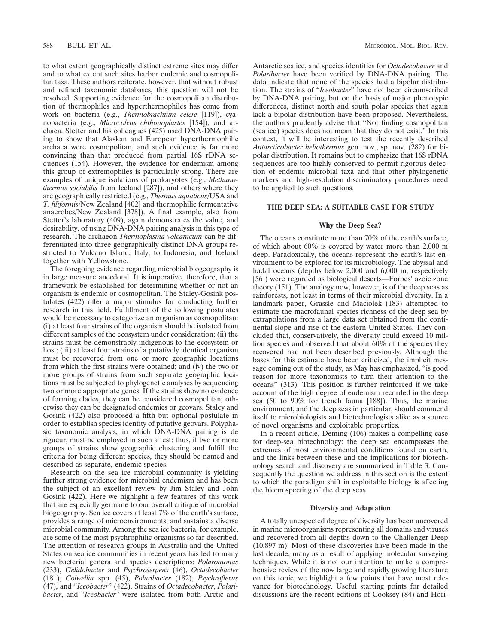to what extent geographically distinct extreme sites may differ and to what extent such sites harbor endemic and cosmopolitan taxa. These authors reiterate, however, that without robust and refined taxonomic databases, this question will not be resolved. Supporting evidence for the cosmopolitan distribution of thermophiles and hyperthermophiles has come from work on bacteria (e.g., *Thermobrachium celere* [119]), cyanobacteria (e.g., *Microcoleus chthonoplastes* [154]), and archaea. Stetter and his colleagues (425) used DNA-DNA pairing to show that Alaskan and European hyperthermophilic archaea were cosmopolitan, and such evidence is far more convincing than that produced from partial 16S rDNA sequences (154). However, the evidence for endemism among this group of extremophiles is particularly strong. There are examples of unique isolations of prokaryotes (e.g., *Methanothermus sociabilis* from Iceland [287]), and others where they are geographically restricted (e.g., *Thermus aquaticus*/USA and *T. filiformis*/New Zealand [402] and thermophilic fermentative anaerobes/New Zealand [378]). A final example, also from Stetter's laboratory (409), again demonstrates the value, and desirability, of using DNA-DNA pairing analysis in this type of research. The archaeon *Thermoplasma volcanicum* can be differentiated into three geographically distinct DNA groups restricted to Vulcano Island, Italy, to Indonesia, and Iceland together with Yellowstone.

The foregoing evidence regarding microbial biogeography is in large measure anecdotal. It is imperative, therefore, that a framework be established for determining whether or not an organism is endemic or cosmopolitan. The Staley-Gosink postulates (422) offer a major stimulus for conducting further research in this field. Fulfillment of the following postulates would be necessary to categorize an organism as cosmopolitan: (i) at least four strains of the organism should be isolated from different samples of the ecosystem under consideration; (ii) the strains must be demonstrably indigenous to the ecosystem or host; (iii) at least four strains of a putatively identical organism must be recovered from one or more geographic locations from which the first strains were obtained; and (iv) the two or more groups of strains from such separate geographic locations must be subjected to phylogenetic analyses by sequencing two or more appropriate genes. If the strains show no evidence of forming clades, they can be considered cosmopolitan; otherwise they can be designated endemics or geovars. Staley and Gosink (422) also proposed a fifth but optional postulate in order to establish species identity of putative geovars. Polyphasic taxonomic analysis, in which DNA-DNA pairing is de rigueur, must be employed in such a test: thus, if two or more groups of strains show geographic clustering and fulfill the criteria for being different species, they should be named and described as separate, endemic species.

Research on the sea ice microbial community is yielding further strong evidence for microbial endemism and has been the subject of an excellent review by Jim Staley and John Gosink (422). Here we highlight a few features of this work that are especially germane to our overall critique of microbial biogeography. Sea ice covers at least 7% of the earth's surface, provides a range of microenvironments, and sustains a diverse microbial community. Among the sea ice bacteria, for example, are some of the most psychrophilic organisms so far described. The attention of research groups in Australia and the United States on sea ice communities in recent years has led to many new bacterial genera and species descriptions: *Polaromonas* (233), *Gelidobacter* and *Psychroserpens* (46), *Octadecobacter* (181), *Colwellia* spp. (45), *Polaribacter* (182), *Psychroflexus* (47), and "*Iceobacter*" (422). Strains of *Octadecobacter*, *Polaribacter*, and "*Iceobacter*" were isolated from both Arctic and

Antarctic sea ice, and species identities for *Octadecobacter* and *Polaribacter* have been verified by DNA-DNA pairing. The data indicate that none of the species had a bipolar distribution. The strains of "*Iceobacter*" have not been circumscribed by DNA-DNA pairing, but on the basis of major phenotypic differences, distinct north and south polar species that again lack a bipolar distribution have been proposed. Nevertheless, the authors prudently advise that "Not finding cosmopolitan (sea ice) species does not mean that they do not exist." In this context, it will be interesting to test the recently described *Antarcticobacter heliothermus* gen. nov., sp. nov. (282) for bipolar distribution. It remains but to emphasize that 16S rDNA sequences are too highly conserved to permit rigorous detection of endemic microbial taxa and that other phylogenetic markers and high-resolution discriminatory procedures need to be applied to such questions.

# **THE DEEP SEA: A SUITABLE CASE FOR STUDY**

#### **Why the Deep Sea?**

The oceans constitute more than 70% of the earth's surface, of which about 60% is covered by water more than 2,000 m deep. Paradoxically, the oceans represent the earth's last environment to be explored for its microbiology. The abyssal and hadal oceans (depths below 2,000 and 6,000 m, respectively [56]) were regarded as biological deserts—Forbes' azoic zone theory (151). The analogy now, however, is of the deep seas as rainforests, not least in terms of their microbial diversity. In a landmark paper, Grassle and Maciolek (183) attempted to estimate the macrofaunal species richness of the deep sea by extrapolations from a large data set obtained from the continental slope and rise of the eastern United States. They concluded that, conservatively, the diversity could exceed 10 million species and observed that about 60% of the species they recovered had not been described previously. Although the bases for this estimate have been criticized, the implicit message coming out of the study, as May has emphasized, "is good reason for more taxonomists to turn their attention to the oceans" (313). This position is further reinforced if we take account of the high degree of endemism recorded in the deep sea (50 to 90% for trench fauna [188]). Thus, the marine environment, and the deep seas in particular, should commend itself to microbiologists and biotechnologists alike as a source of novel organisms and exploitable properties.

In a recent article, Deming (106) makes a compelling case for deep-sea biotechnology: the deep sea encompasses the extremes of most environmental conditions found on earth, and the links between these and the implications for biotechnology search and discovery are summarized in Table 3. Consequently the question we address in this section is the extent to which the paradigm shift in exploitable biology is affecting the bioprospecting of the deep seas.

#### **Diversity and Adaptation**

A totally unexpected degree of diversity has been uncovered in marine microorganisms representing all domains and viruses and recovered from all depths down to the Challenger Deep (10,897 m). Most of these discoveries have been made in the last decade, many as a result of applying molecular surveying techniques. While it is not our intention to make a comprehensive review of the now large and rapidly growing literature on this topic, we highlight a few points that have most relevance for biotechnology. Useful starting points for detailed discussions are the recent editions of Cooksey (84) and Hori-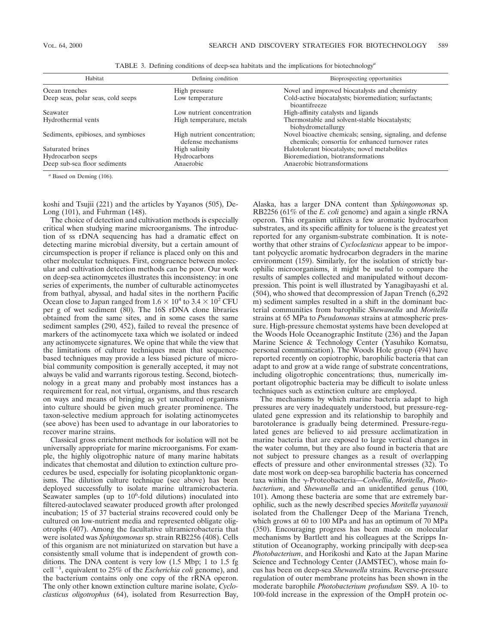| Habitat                             | Defining condition                                 | Bioprospecting opportunities                                                                                   |
|-------------------------------------|----------------------------------------------------|----------------------------------------------------------------------------------------------------------------|
| Ocean trenches                      | High pressure                                      | Novel and improved biocatalysts and chemistry                                                                  |
| Deep seas, polar seas, cold seeps   | Low temperature                                    | Cold-active biocatalysts; bioremediation; surfactants;<br>bioantifreeze                                        |
| Seawater                            | Low nutrient concentration                         | High-affinity catalysts and ligands                                                                            |
| Hydrothermal vents                  | High temperature, metals                           | Thermostable and solvent-stable biocatalysts;<br>biohydrometallurgy                                            |
| Sediments, epibioses, and symbioses | High nutrient concentration;<br>defense mechanisms | Novel bioactive chemicals; sensing, signaling, and defense<br>chemicals; consortia for enhanced turnover rates |
| Saturated brines                    | High salinity                                      | Halotolerant biocatalysts; novel metabolites                                                                   |
| Hydrocarbon seeps                   | Hydrocarbons                                       | Bioremediation, biotransformations                                                                             |
| Deep sub-sea floor sediments        | Anaerobic                                          | Anaerobic biotransformations                                                                                   |

TABLE 3. Defining conditions of deep-sea habitats and the implications for biotechnology*<sup>a</sup>*

*<sup>a</sup>* Based on Deming (106).

koshi and Tsujii (221) and the articles by Yayanos (505), De-Long (101), and Fuhrman (148).

The choice of detection and cultivation methods is especially critical when studying marine microorganisms. The introduction of ss rDNA sequencing has had a dramatic effect on detecting marine microbial diversity, but a certain amount of circumspection is proper if reliance is placed only on this and other molecular techniques. First, congruence between molecular and cultivation detection methods can be poor. Our work on deep-sea actinomycetes illustrates this inconsistency: in one series of experiments, the number of culturable actinomycetes from bathyal, abyssal, and hadal sites in the northern Pacific Ocean close to Japan ranged from  $1.6 \times 10^4$  to  $3.4 \times 10^2$  CFU per g of wet sediment (80). The 16S rDNA clone libraries obtained from the same sites, and in some cases the same sediment samples (290, 452), failed to reveal the presence of markers of the actinomycete taxa which we isolated or indeed any actinomycete signatures. We opine that while the view that the limitations of culture techniques mean that sequencebased techniques may provide a less biased picture of microbial community composition is generally accepted, it may not always be valid and warrants rigorous testing. Second, biotechnology in a great many and probably most instances has a requirement for real, not virtual, organisms, and thus research on ways and means of bringing as yet uncultured organisms into culture should be given much greater prominence. The taxon-selective medium approach for isolating actinomycetes (see above) has been used to advantage in our laboratories to recover marine strains.

Classical gross enrichment methods for isolation will not be universally appropriate for marine microorganisms. For example, the highly oligotrophic nature of many marine habitats indicates that chemostat and dilution to extinction culture procedures be used, especially for isolating picoplanktonic organisms. The dilution culture technique (see above) has been deployed successfully to isolate marine ultramicrobacteria. Seawater samples (up to  $10^6$ -fold dilutions) inoculated into filtered-autoclaved seawater produced growth after prolonged incubation; 15 of 37 bacterial strains recovered could only be cultured on low-nutrient media and represented obligate oligotrophs (407). Among the facultative ultramicrobacteria that were isolated was *Sphingomonas* sp. strain RB2256 (408). Cells of this organism are not miniaturized on starvation but have a consistently small volume that is independent of growth conditions. The DNA content is very low (1.5 Mbp; 1 to 1.5 fg  $cell^{-1}$ , equivalent to 25% of the *Escherichia coli* genome), and the bacterium contains only one copy of the rRNA operon. The only other known extinction culture marine isolate, *Cycloclasticus oligotrophus* (64), isolated from Resurrection Bay,

Alaska, has a larger DNA content than *Sphingomonas* sp. RB2256 (61% of the *E. coli* genome) and again a single rRNA operon. This organism utilizes a few aromatic hydrocarbon substrates, and its specific affinity for toluene is the greatest yet reported for any organism-substrate combination. It is noteworthy that other strains of *Cycloclasticus* appear to be important polycyclic aromatic hydrocarbon degraders in the marine environment (159). Similarly, for the isolation of strictly barophilic microorganisms, it might be useful to compare the results of samples collected and manipulated without decompression. This point is well illustrated by Yanagibayashi et al. (504), who showed that decompression of Japan Trench (6,292 m) sediment samples resulted in a shift in the dominant bacterial communities from barophilic *Shewanella* and *Moritella* strains at 65 MPa to *Pseudomonas* strains at atmospheric pressure. High-pressure chemostat systems have been developed at the Woods Hole Oceanographic Institute (236) and the Japan Marine Science & Technology Center (Yasuhiko Komatsu, personal communication). The Woods Hole group (494) have reported recently on copiotrophic, barophilic bacteria that can adapt to and grow at a wide range of substrate concentrations, including oligotrophic concentrations; thus, numerically important oligotrophic bacteria may be difficult to isolate unless techniques such as extinction culture are employed.

The mechanisms by which marine bacteria adapt to high pressures are very inadequately understood, but pressure-regulated gene expression and its relationship to barophily and barotolerance is gradually being determined. Pressure-regulated genes are believed to aid pressure acclimatization in marine bacteria that are exposed to large vertical changes in the water column, but they are also found in bacteria that are not subject to pressure changes as a result of overlapping effects of pressure and other environmental stresses (32). To date most work on deep-sea barophilic bacteria has concerned taxa within the g-Proteobacteria—*Colwellia*, *Moritella*, *Photobacterium*, and *Shewanella* and an unidentified genus (100, 101). Among these bacteria are some that are extremely barophilic, such as the newly described species *Moritella yayanosii* isolated from the Challenger Deep of the Mariana Trench, which grows at 60 to 100 MPa and has an optimum of 70 MPa (350). Encouraging progress has been made on molecular mechanisms by Bartlett and his colleagues at the Scripps Institution of Oceanography, working principally with deep-sea *Photobacterium*, and Horikoshi and Kato at the Japan Marine Science and Technology Center (JAMSTEC), whose main focus has been on deep-sea *Shewanella* strains. Reverse-pressure regulation of outer membrane proteins has been shown in the moderate barophile *Photobacterium profundum* SS9. A 10- to 100-fold increase in the expression of the OmpH protein oc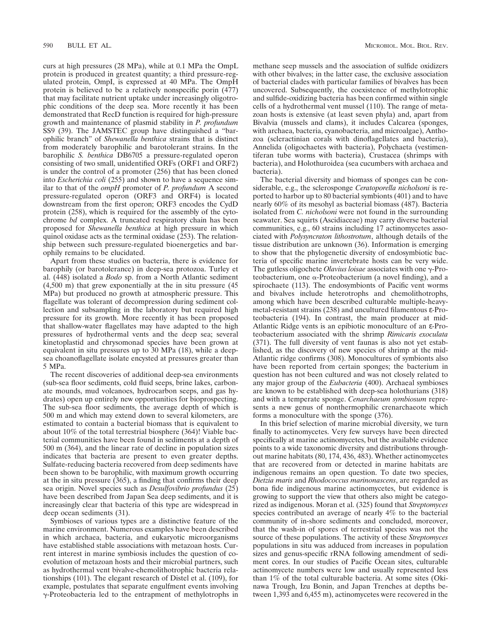curs at high pressures (28 MPa), while at 0.1 MPa the OmpL protein is produced in greatest quantity; a third pressure-regulated protein, OmpI, is expressed at 40 MPa. The OmpH protein is believed to be a relatively nonspecific porin (477) that may facilitate nutrient uptake under increasingly oligotrophic conditions of the deep sea. More recently it has been demonstrated that RecD function is required for high-pressure growth and maintenance of plasmid stability in *P. profundum* SS9 (39). The JAMSTEC group have distinguished a "barophilic branch" of *Shewanella benthica* strains that is distinct from moderately barophilic and barotolerant strains. In the barophilic *S. benthica* DB6705 a pressure-regulated operon consisting of two small, unidentified ORFs (ORF1 and ORF2) is under the control of a promoter (256) that has been cloned into *Escherichia coli* (255) and shown to have a sequence similar to that of the *ompH* promoter of *P. profundum* A second pressure-regulated operon (ORF3 and ORF4) is located downstream from the first operon; ORF3 encodes the CydD protein (258), which is required for the assembly of the cytochrome *bd* complex. A truncated respiratory chain has been proposed for *Shewanella benthica* at high pressure in which quinol oxidase acts as the terminal oxidase (253). The relationship between such pressure-regulated bioenergetics and barophily remains to be elucidated.

Apart from these studies on bacteria, there is evidence for barophily (or barotolerance) in deep-sea protozoa. Turley et al. (448) isolated a *Bodo* sp. from a North Atlantic sediment (4,500 m) that grew exponentially at the in situ pressure (45 MPa) but produced no growth at atmospheric pressure. This flagellate was tolerant of decompression during sediment collection and subsampling in the laboratory but required high pressure for its growth. More recently it has been proposed that shallow-water flagellates may have adapted to the high pressures of hydrothermal vents and the deep sea; several kinetoplastid and chrysomonad species have been grown at equivalent in situ pressures up to 30 MPa (18), while a deepsea choanoflagellate isolate encysted at pressures greater than 5 MPa.

The recent discoveries of additional deep-sea environments (sub-sea floor sediments, cold fluid seeps, brine lakes, carbonate mounds, mud volcanoes, hydrocarbon seeps, and gas hydrates) open up entirely new opportunities for bioprospecting. The sub-sea floor sediments, the average depth of which is 500 m and which may extend down to several kilometers, are estimated to contain a bacterial biomass that is equivalent to about 10% of the total terrestrial biosphere (364)! Viable bacterial communities have been found in sediments at a depth of 500 m (364), and the linear rate of decline in population sizes indicates that bacteria are present to even greater depths. Sulfate-reducing bacteria recovered from deep sediments have been shown to be barophilic, with maximum growth occurring at the in situ pressure (365), a finding that confirms their deep sea origin. Novel species such as *Desulfovibrio profundus* (25) have been described from Japan Sea deep sediments, and it is increasingly clear that bacteria of this type are widespread in deep ocean sediments (31).

Symbioses of various types are a distinctive feature of the marine environment. Numerous examples have been described in which archaea, bacteria, and eukaryotic microorganisms have established stable associations with metazoan hosts. Current interest in marine symbiosis includes the question of coevolution of metazoan hosts and their microbial partners, such as hydrothermal vent bivalve-chemolithotrophic bacteria relationships (101). The elegant research of Distel et al. (109), for example, postulates that separate engulfment events involving g-Proteobacteria led to the entrapment of methylotrophs in

methane seep mussels and the association of sulfide oxidizers with other bivalves; in the latter case, the exclusive association of bacterial clades with particular families of bivalves has been uncovered. Subsequently, the coexistence of methylotrophic and sulfide-oxidizing bacteria has been confirmed within single cells of a hydrothermal vent mussel (110). The range of metazoan hosts is extensive (at least seven phyla) and, apart from Bivalvia (mussels and clams), it includes Calcarea (sponges, with archaea, bacteria, cyanobacteria, and microalgae), Anthozoa (scleractinian corals with dinoflagellates and bacteria), Annelida (oligochaetes with bacteria), Polychaeta (vestimentiferan tube worms with bacteria), Crustacea (shrimps with bacteria), and Holothuroidea (sea cucumbers with archaea and bacteria).

The bacterial diversity and biomass of sponges can be considerable, e.g., the sclerosponge *Ceratoporella nicholsoni* is reported to harbor up to 80 bacterial symbionts (401) and to have nearly 60% of its mesohyl as bacterial biomass (487). Bacteria isolated from *C. nicholsoni* were not found in the surrounding seawater. Sea squirts (Ascidiaceae) may carry diverse bacterial communities, e.g., 60 strains including 17 actinomycetes associated with *Polysyncraton lithostrotum*, although details of the tissue distribution are unknown (36). Information is emerging to show that the phylogenetic diversity of endosymbiotic bacteria of specific marine invertebrate hosts can be very wide. The gutless oligochete *Olavius loisae* associates with one γ-Proteobacterium, one a-Proteobacterium (a novel finding), and a spirochaete (113). The endosymbionts of Pacific vent worms and bivalves include heterotrophs and chemolithotrophs, among which have been described culturable multiple-heavymetal-resistant strains (238) and uncultured filamentous ε-Proteobacteria (194). In contrast, the main producer at mid-Atlantic Ridge vents is an epibiotic monoculture of an ε-Proteobacterium associated with the shrimp *Rimicaris exoculata* (371). The full diversity of vent faunas is also not yet established, as the discovery of new species of shrimp at the mid-Atlantic ridge confirms (308). Monocultures of symbionts also have been reported from certain sponges; the bacterium in question has not been cultured and was not closely related to any major group of the *Eubacteria* (400). Archaeal symbioses are known to be established with deep-sea holothurians (318) and with a temperate sponge. *Cenarchaeum symbiosum* represents a new genus of nonthermophilic crenarchaeote which forms a monoculture with the sponge (376).

In this brief selection of marine microbial diversity, we turn finally to actinomycetes. Very few surveys have been directed specifically at marine actinomycetes, but the available evidence points to a wide taxonomic diversity and distributions throughout marine habitats (80, 174, 436, 483). Whether actinomycetes that are recovered from or detected in marine habitats are indigenous remains an open question. To date two species, *Dietzia maris* and *Rhodococcus marinonascens*, are regarded as bona fide indigenous marine actinomycetes, but evidence is growing to support the view that others also might be categorized as indigenous. Moran et al. (325) found that *Streptomyces* species contributed an average of nearly 4% to the bacterial community of in-shore sediments and concluded, moreover, that the wash-in of spores of terrestrial species was not the source of these populations. The activity of these *Streptomyces* populations in situ was adduced from increases in population sizes and genus-specific rRNA following amendment of sediment cores. In our studies of Pacific Ocean sites, culturable actinomycete numbers were low and usually represented less than 1% of the total culturable bacteria. At some sites (Okinawa Trough, Izu Bonin, and Japan Trenches at depths between 1,393 and 6,455 m), actinomycetes were recovered in the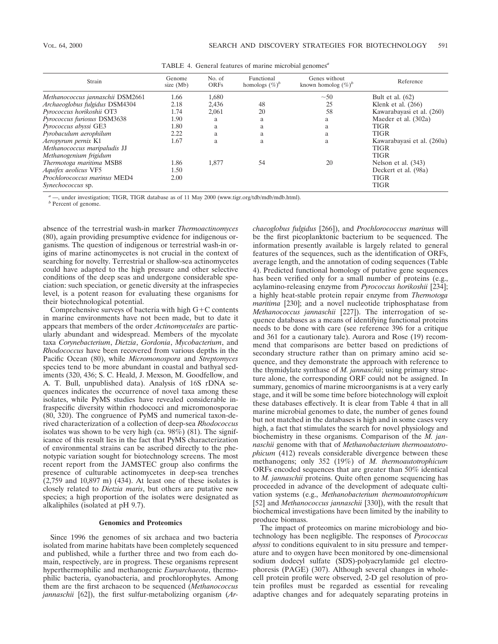TABLE 4. General features of marine microbial genomes*<sup>a</sup>*

| Strain                           | Genome<br>size (Mb) | No. of<br><b>ORFs</b> | Functional<br>homologs $(\%)^b$ | Genes without<br>known homolog $(\%)^b$ | Reference                  |
|----------------------------------|---------------------|-----------------------|---------------------------------|-----------------------------------------|----------------------------|
| Methanococcus jannaschii DSM2661 | 1.66                | 1,680                 |                                 | $\sim$ 50                               | Bult et al. $(62)$         |
| Archaeoglobus fulgidus DSM4304   | 2.18                | 2,436                 | 48                              | 25                                      | Klenk et al. $(266)$       |
| Pyrococcus horikoshii OT3        | 1.74                | 2,061                 | 20                              | 58                                      | Kawarabayasi et al. (260)  |
| Pyrococcus furiosus DSM3638      | 1.90                | a                     | a                               | a                                       | Maeder et al. (302a)       |
| Pyrococcus abyssi GE3            | 1.80                | a                     | a                               | a                                       | <b>TIGR</b>                |
| Pyrobaculum aerophilum           | 2.22                | a                     | a                               | a                                       | <b>TIGR</b>                |
| Aeropyrum pernix K1              | 1.67                | a                     | a                               | a                                       | Kawarabayasi et al. (260a) |
| Methanococcus maripaludis JJ     |                     |                       |                                 |                                         | <b>TIGR</b>                |
| Methanogenium frigidum           |                     |                       |                                 |                                         | <b>TIGR</b>                |
| Thermotoga maritima MSB8         | 1.86                | 1,877                 | 54                              | 20                                      | Nelson et al. (343)        |
| Aquifex aeolicus VF5             | 1.50                |                       |                                 |                                         | Deckert et al. (98a)       |
| Prochlorococcus marinus MED4     | 2.00                |                       |                                 |                                         | <b>TIGR</b>                |
| Synechococcus sp.                |                     |                       |                                 |                                         | <b>TIGR</b>                |

*<sup>a</sup>* —, under investigation; TIGR, TIGR database as of 11 May 2000 (www.tigr.org/tdb/mdb/mdb.html).

*<sup>b</sup>* Percent of genome.

absence of the terrestrial wash-in marker *Thermoactinomyces* (80), again providing presumptive evidence for indigenous organisms. The question of indigenous or terrestrial wash-in origins of marine actinomycetes is not crucial in the context of searching for novelty. Terrestrial or shallow-sea actinomycetes could have adapted to the high pressure and other selective conditions of the deep seas and undergone considerable speciation: such speciation, or genetic diversity at the infraspecies level, is a potent reason for evaluating these organisms for their biotechnological potential.

Comprehensive surveys of bacteria with high  $G+C$  contents in marine environments have not been made, but to date it appears that members of the order *Actinomycetales* are particularly abundant and widespread. Members of the mycolate taxa *Corynebacterium*, *Dietzia*, *Gordonia*, *Mycobacterium*, and *Rhodococcus* have been recovered from various depths in the Pacific Ocean (80), while *Micromonospora* and *Streptomyces* species tend to be more abundant in coastal and bathyal sediments (320, 436; S. C. Heald, J. Mexson, M. Goodfellow, and A. T. Bull, unpublished data). Analysis of 16S rDNA sequences indicates the occurrence of novel taxa among these isolates, while PyMS studies have revealed considerable infraspecific diversity within rhodococci and micromonosporae (80, 320). The congruence of PyMS and numerical taxon-derived characterization of a collection of deep-sea *Rhodococcus* isolates was shown to be very high (ca. 98%) (81). The significance of this result lies in the fact that PyMS characterization of environmental strains can be ascribed directly to the phenotypic variation sought for biotechnology screens. The most recent report from the JAMSTEC group also confirms the presence of culturable actinomycetes in deep-sea trenches  $(2,759 \text{ and } 10,897 \text{ m})$  (434). At least one of these isolates is closely related to *Dietzia maris*, but others are putative new species; a high proportion of the isolates were designated as alkaliphiles (isolated at pH 9.7).

# **Genomics and Proteomics**

Since 1996 the genomes of six archaea and two bacteria isolated from marine habitats have been completely sequenced and published, while a further three and two from each domain, respectively, are in progress. These organisms represent hyperthermophilic and methanogenic *Euryarchaeota*, thermophilic bacteria, cyanobacteria, and prochlorophytes. Among them are the first archaeon to be sequenced (*Methanococcus jannaschii* [62]), the first sulfur-metabolizing organism (*Ar-* *chaeoglobus fulgidus* [266]), and *Prochlorococcus marinus* will be the first picoplanktonic bacterium to be sequenced. The information presently available is largely related to general features of the sequences, such as the identification of ORFs, average length, and the annotation of coding sequences (Table 4). Predicted functional homology of putative gene sequences has been verified only for a small number of proteins (e.g., acylamino-releasing enzyme from *Pyrococcus horikoshii* [234]; a highly heat-stable protein repair enzyme from *Thermotoga maritima* [230]; and a novel nucleotide triphosphatase from *Methanococcus jannaschii* [227]). The interrogation of sequence databases as a means of identifying functional proteins needs to be done with care (see reference 396 for a critique and 361 for a cautionary tale). Aurora and Rose (19) recommend that comparisons are better based on predictions of secondary structure rather than on primary amino acid sequence, and they demonstrate the approach with reference to the thymidylate synthase of *M. jannaschii*; using primary structure alone, the corresponding ORF could not be assigned. In summary, genomics of marine microorganisms is at a very early stage, and it will be some time before biotechnology will exploit these databases effectively. It is clear from Table 4 that in all marine microbial genomes to date, the number of genes found but not matched in the databases is high and in some cases very high, a fact that stimulates the search for novel physiology and biochemistry in these organisms. Comparison of the *M. jannaschii* genome with that of *Methanobacterium thermoautotrophicum* (412) reveals considerable divergence between these methanogens; only 352 (19%) of *M. thermoautotrophicum* ORFs encoded sequences that are greater than 50% identical to *M. jannaschii* proteins. Quite often genome sequencing has proceeded in advance of the development of adequate cultivation systems (e.g., *Methanobacterium thermoautotrophicum* [52] and *Methanococcus jannaschii* [330]), with the result that biochemical investigations have been limited by the inability to produce biomass.

The impact of proteomics on marine microbiology and biotechnology has been negligible. The responses of *Pyrococcus abyssi* to conditions equivalent to in situ pressure and temperature and to oxygen have been monitored by one-dimensional sodium dodecyl sulfate (SDS)-polyacrylamide gel electrophoresis (PAGE) (307). Although several changes in wholecell protein profile were observed, 2-D gel resolution of protein profiles must be regarded as essential for revealing adaptive changes and for adequately separating proteins in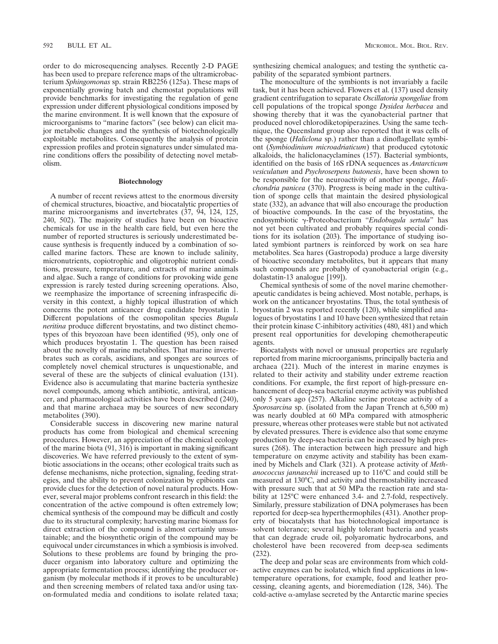order to do microsequencing analyses. Recently 2-D PAGE has been used to prepare reference maps of the ultramicrobacterium *Sphingomonas* sp. strain RB2256 (125a). These maps of exponentially growing batch and chemostat populations will provide benchmarks for investigating the regulation of gene expression under different physiological conditions imposed by the marine environment. It is well known that the exposure of microorganisms to "marine factors" (see below) can elicit major metabolic changes and the synthesis of biotechnologically exploitable metabolites. Consequently the analysis of protein expression profiles and protein signatures under simulated marine conditions offers the possibility of detecting novel metabolism.

## **Biotechnology**

A number of recent reviews attest to the enormous diversity of chemical structures, bioactive, and biocatalytic properties of marine microorganisms and invertebrates (37, 94, 124, 125, 240, 502). The majority of studies have been on bioactive chemicals for use in the health care field, but even here the number of reported structures is seriously underestimated because synthesis is frequently induced by a combination of socalled marine factors. These are known to include salinity, micronutrients, copiotrophic and oligotrophic nutrient conditions, pressure, temperature, and extracts of marine animals and algae. Such a range of conditions for provoking wide gene expression is rarely tested during screening operations. Also, we reemphasize the importance of screening infraspecific diversity in this context, a highly topical illustration of which concerns the potent anticancer drug candidate bryostatin 1. Different populations of the cosmopolitan species *Bugula neritina* produce different bryostatins, and two distinct chemotypes of this bryozoan have been identified (95), only one of which produces bryostatin 1. The question has been raised about the novelty of marine metabolites. That marine invertebrates such as corals, ascidians, and sponges are sources of completely novel chemical structures is unquestionable, and several of these are the subjects of clinical evaluation (131). Evidence also is accumulating that marine bacteria synthesize novel compounds, among which antibiotic, antiviral, anticancer, and pharmacological activities have been described (240), and that marine archaea may be sources of new secondary metabolites (390).

Considerable success in discovering new marine natural products has come from biological and chemical screening procedures. However, an appreciation of the chemical ecology of the marine biota (91, 316) is important in making significant discoveries. We have referred previously to the extent of symbiotic associations in the oceans; other ecological traits such as defense mechanisms, niche protection, signaling, feeding strategies, and the ability to prevent colonization by epibionts can provide clues for the detection of novel natural products. However, several major problems confront research in this field: the concentration of the active compound is often extremely low; chemical synthesis of the compound may be difficult and costly due to its structural complexity; harvesting marine biomass for direct extraction of the compound is almost certainly unsustainable; and the biosynthetic origin of the compound may be equivocal under circumstances in which a symbiosis is involved. Solutions to these problems are found by bringing the producer organism into laboratory culture and optimizing the appropriate fermentation process; identifying the producer organism (by molecular methods if it proves to be unculturable) and then screening members of related taxa and/or using taxon-formulated media and conditions to isolate related taxa;

synthesizing chemical analogues; and testing the synthetic capability of the separated symbiont partners.

The monoculture of the symbionts is not invariably a facile task, but it has been achieved. Flowers et al. (137) used density gradient centrifugation to separate *Oscillatoria spongeliae* from cell populations of the tropical sponge *Dysidea herbacea* and showing thereby that it was the cyanobacterial partner that produced novel chlorodiketopiperazines. Using the same technique, the Queensland group also reported that it was cells of the sponge (*Haliclona* sp.) rather than a dinoflagellate symbiont (*Symbiodinium microadriaticum*) that produced cytotoxic alkaloids, the haliclonacyclamines (157). Bacterial symbionts, identified on the basis of 16S rDNA sequences as *Antarcticum vesiculatum* and *Psychroserpens butonesis*, have been shown to be responsible for the neuroactivity of another sponge, *Halichondria panicea* (370). Progress is being made in the cultivation of sponge cells that maintain the desired physiological state (332), an advance that will also encourage the production of bioactive compounds. In the case of the bryostatins, the endosymbiotic g-Proteobacterium "*Endobugula sertula*" has not yet been cultivated and probably requires special conditions for its isolation (203). The importance of studying isolated symbiont partners is reinforced by work on sea hare metabolites. Sea hares (Gastropoda) produce a large diversity of bioactive secondary metabolites, but it appears that many such compounds are probably of cyanobacterial origin (e.g., dolastatin-13 analogue [199]).

Chemical synthesis of some of the novel marine chemotherapeutic candidates is being achieved. Most notable, perhaps, is work on the anticancer bryostatins. Thus, the total synthesis of bryostatin 2 was reported recently (120), while simplified analogues of bryostatins 1 and 10 have been synthesized that retain their protein kinase C-inhibitory activities (480, 481) and which present real opportunities for developing chemotherapeutic agents.

Biocatalysts with novel or unusual properties are regularly reported from marine microorganisms, principally bacteria and archaea (221). Much of the interest in marine enzymes is related to their activity and stability under extreme reaction conditions. For example, the first report of high-pressure enhancement of deep-sea bacterial enzyme activity was published only 5 years ago (257). Alkaline serine protease activity of a *Sporosarcina* sp. (isolated from the Japan Trench at 6,500 m) was nearly doubled at 60 MPa compared with atmospheric pressure, whereas other proteases were stable but not activated by elevated pressures. There is evidence also that some enzyme production by deep-sea bacteria can be increased by high pressures (268). The interaction between high pressure and high temperature on enzyme activity and stability has been examined by Michels and Clark (321). A protease activity of *Methanococcus jannaschii* increased up to 116°C and could still be measured at 130°C, and activity and thermostability increased with pressure such that at 50 MPa the reaction rate and stability at 125°C were enhanced 3.4- and 2.7-fold, respectively. Similarly, pressure stabilization of DNA polymerases has been reported for deep-sea hyperthermophiles (431). Another property of biocatalysts that has biotechnological importance is solvent tolerance; several highly tolerant bacteria and yeasts that can degrade crude oil, polyaromatic hydrocarbons, and cholesterol have been recovered from deep-sea sediments (232).

The deep and polar seas are environments from which coldactive enzymes can be isolated, which find applications in lowtemperature operations, for example, food and leather processing, cleaning agents, and bioremediation (128, 346). The cold-active  $\alpha$ -amylase secreted by the Antarctic marine species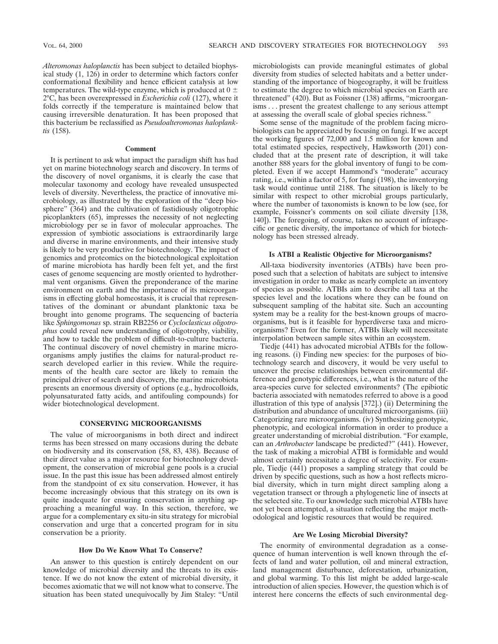*Alteromonas haloplanctis* has been subject to detailed biophysical study (1, 126) in order to determine which factors confer conformational flexibility and hence efficient catalysis at low temperatures. The wild-type enzyme, which is produced at  $0 \pm$ 2°C, has been overexpressed in *Escherichia coli* (127), where it folds correctly if the temperature is maintained below that causing irreversible denaturation. It has been proposed that this bacterium be reclassified as *Pseudoalteromonas haloplanktis* (158).

#### **Comment**

It is pertinent to ask what impact the paradigm shift has had yet on marine biotechnology search and discovery. In terms of the discovery of novel organisms, it is clearly the case that molecular taxonomy and ecology have revealed unsuspected levels of diversity. Nevertheless, the practice of innovative microbiology, as illustrated by the exploration of the "deep biosphere" (364) and the cultivation of fastidiously oligotrophic picoplankters (65), impresses the necessity of not neglecting microbiology per se in favor of molecular approaches. The expression of symbiotic associations is extraordinarily large and diverse in marine environments, and their intensive study is likely to be very productive for biotechnology. The impact of genomics and proteomics on the biotechnological exploitation of marine microbiota has hardly been felt yet, and the first cases of genome sequencing are mostly oriented to hydrothermal vent organisms. Given the preponderance of the marine environment on earth and the importance of its microorganisms in effecting global homeostasis, it is crucial that representatives of the dominant or abundant planktonic taxa be brought into genome programs. The sequencing of bacteria like *Sphingomonas* sp. strain RB2256 or *Cycloclasticus oligotrophus* could reveal new understanding of oligotrophy, viability, and how to tackle the problem of difficult-to-culture bacteria. The continual discovery of novel chemistry in marine microorganisms amply justifies the claims for natural-product research developed earlier in this review. While the requirements of the health care sector are likely to remain the principal driver of search and discovery, the marine microbiota presents an enormous diversity of options (e.g., hydrocolloids, polyunsaturated fatty acids, and antifouling compounds) for wider biotechnological development.

#### **CONSERVING MICROORGANISMS**

The value of microorganisms in both direct and indirect terms has been stressed on many occasions during the debate on biodiversity and its conservation (58, 83, 438). Because of their direct value as a major resource for biotechnology development, the conservation of microbial gene pools is a crucial issue. In the past this issue has been addressed almost entirely from the standpoint of ex situ conservation. However, it has become increasingly obvious that this strategy on its own is quite inadequate for ensuring conservation in anything approaching a meaningful way. In this section, therefore, we argue for a complementary ex situ-in situ strategy for microbial conservation and urge that a concerted program for in situ conservation be a priority.

# **How Do We Know What To Conserve?**

An answer to this question is entirely dependent on our knowledge of microbial diversity and the threats to its existence. If we do not know the extent of microbial diversity, it becomes axiomatic that we will not know what to conserve. The situation has been stated unequivocally by Jim Staley: "Until

microbiologists can provide meaningful estimates of global diversity from studies of selected habitats and a better understanding of the importance of biogeography, it will be fruitless to estimate the degree to which microbial species on Earth are threatened" (420). But as Foissner (138) affirms, "microorganisms . . . present the greatest challenge to any serious attempt at assessing the overall scale of global species richness."

Some sense of the magnitude of the problem facing microbiologists can be appreciated by focusing on fungi. If we accept the working figures of 72,000 and 1.5 million for known and total estimated species, respectively, Hawksworth (201) concluded that at the present rate of description, it will take another 888 years for the global inventory of fungi to be completed. Even if we accept Hammond's "moderate" accuracy rating, i.e., within a factor of 5, for fungi (198), the inventorying task would continue until 2188. The situation is likely to be similar with respect to other microbial groups particularly, where the number of taxonomists is known to be low (see, for example, Foissner's comments on soil ciliate diversity [138, 140]). The foregoing, of course, takes no account of infraspecific or genetic diversity, the importance of which for biotechnology has been stressed already.

## **Is ATBI a Realistic Objective for Microorganisms?**

All-taxa biodiversity inventories (ATBIs) have been proposed such that a selection of habitats are subject to intensive investigation in order to make as nearly complete an inventory of species as possible. ATBIs aim to describe all taxa at the species level and the locations where they can be found on subsequent sampling of the habitat site. Such an accounting system may be a reality for the best-known groups of macroorganisms, but is it feasible for hyperdiverse taxa and microorganisms? Even for the former, ATBIs likely will necessitate interpolation between sample sites within an ecosystem.

Tiedje (441) has advocated microbial ATBIs for the following reasons. (i) Finding new species: for the purposes of biotechnology search and discovery, it would be very useful to uncover the precise relationships between environmental difference and genotypic differences, i.e., what is the nature of the area-species curve for selected environments? (The epibiotic bacteria associated with nematodes referred to above is a good illustration of this type of analysis [372].) (ii) Determining the distribution and abundance of uncultured microorganisms. (iii) Categorizing rare microorganisms. (iv) Synthesizing genotypic, phenotypic, and ecological information in order to produce a greater understanding of microbial distribution. "For example, can an *Arthrobacter* landscape be predicted?" (441). However, the task of making a microbial ATBI is formidable and would almost certainly necessitate a degree of selectivity. For example, Tiedje (441) proposes a sampling strategy that could be driven by specific questions, such as how a host reflects microbial diversity, which in turn might direct sampling along a vegetation transect or through a phylogenetic line of insects at the selected site. To our knowledge such microbial ATBIs have not yet been attempted, a situation reflecting the major methodological and logistic resources that would be required.

## **Are We Losing Microbial Diversity?**

The enormity of environmental degradation as a consequence of human intervention is well known through the effects of land and water pollution, oil and mineral extraction, land management disturbance, deforestation, urbanization, and global warming. To this list might be added large-scale introduction of alien species. However, the question which is of interest here concerns the effects of such environmental deg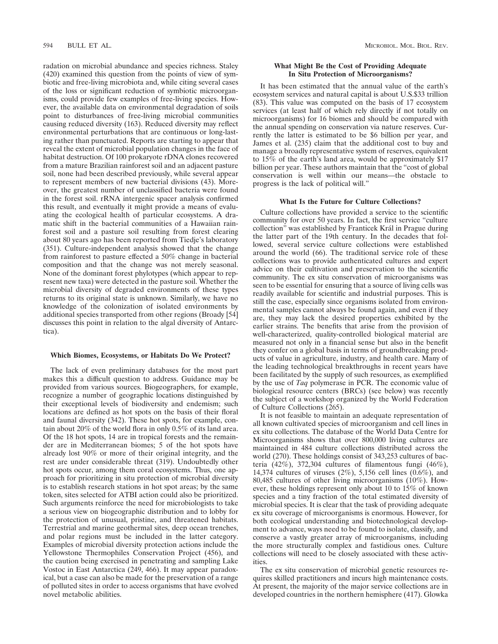radation on microbial abundance and species richness. Staley (420) examined this question from the points of view of symbiotic and free-living microbiota and, while citing several cases of the loss or significant reduction of symbiotic microorganisms, could provide few examples of free-living species. However, the available data on environmental degradation of soils point to disturbances of free-living microbial communities causing reduced diversity (163). Reduced diversity may reflect environmental perturbations that are continuous or long-lasting rather than punctuated. Reports are starting to appear that reveal the extent of microbial population changes in the face of habitat destruction. Of 100 prokaryote rDNA clones recovered from a mature Brazilian rainforest soil and an adjacent pasture soil, none had been described previously, while several appear to represent members of new bacterial divisions (43). Moreover, the greatest number of unclassified bacteria were found in the forest soil. rRNA intergenic spacer analysis confirmed this result, and eventually it might provide a means of evaluating the ecological health of particular ecosystems. A dramatic shift in the bacterial communities of a Hawaiian rainforest soil and a pasture soil resulting from forest clearing about 80 years ago has been reported from Tiedje's laboratory (351). Culture-independent analysis showed that the change from rainforest to pasture effected a 50% change in bacterial composition and that the change was not merely seasonal. None of the dominant forest phylotypes (which appear to represent new taxa) were detected in the pasture soil. Whether the microbial diversity of degraded environments of these types returns to its original state is unknown. Similarly, we have no knowledge of the colonization of isolated environments by additional species transported from other regions (Broady [54] discusses this point in relation to the algal diversity of Antarctica).

# **Which Biomes, Ecosystems, or Habitats Do We Protect?**

The lack of even preliminary databases for the most part makes this a difficult question to address. Guidance may be provided from various sources. Biogeographers, for example, recognize a number of geographic locations distinguished by their exceptional levels of biodiversity and endemism; such locations are defined as hot spots on the basis of their floral and faunal diversity (342). These hot spots, for example, contain about 20% of the world flora in only 0.5% of its land area. Of the 18 hot spots, 14 are in tropical forests and the remainder are in Mediterranean biomes; 5 of the hot spots have already lost 90% or more of their original integrity, and the rest are under considerable threat (319). Undoubtedly other hot spots occur, among them coral ecosystems. Thus, one approach for prioritizing in situ protection of microbial diversity is to establish research stations in hot spot areas; by the same token, sites selected for ATBI action could also be prioritized. Such arguments reinforce the need for microbiologists to take a serious view on biogeographic distribution and to lobby for the protection of unusual, pristine, and threatened habitats. Terrestrial and marine geothermal sites, deep ocean trenches, and polar regions must be included in the latter category. Examples of microbial diversity protection actions include the Yellowstone Thermophiles Conservation Project (456), and the caution being exercised in penetrating and sampling Lake Vostoc in East Antarctica (249, 466). It may appear paradoxical, but a case can also be made for the preservation of a range of polluted sites in order to access organisms that have evolved novel metabolic abilities.

#### **What Might Be the Cost of Providing Adequate In Situ Protection of Microorganisms?**

It has been estimated that the annual value of the earth's ecosystem services and natural capital is about U.S.\$33 trillion (83). This value was computed on the basis of 17 ecosystem services (at least half of which rely directly if not totally on microorganisms) for 16 biomes and should be compared with the annual spending on conservation via nature reserves. Currently the latter is estimated to be \$6 billion per year, and James et al. (235) claim that the additional cost to buy and manage a broadly representative system of reserves, equivalent to 15% of the earth's land area, would be approximately \$17 billion per year. These authors maintain that the "cost of global conservation is well within our means—the obstacle to progress is the lack of political will."

#### **What Is the Future for Culture Collections?**

Culture collections have provided a service to the scientific community for over 50 years. In fact, the first service "culture collection" was established by Franticek Král in Prague during the latter part of the 19th century. In the decades that followed, several service culture collections were established around the world (66). The traditional service role of these collections was to provide authenticated cultures and expert advice on their cultivation and preservation to the scientific community. The ex situ conservation of microorganisms was seen to be essential for ensuring that a source of living cells was readily available for scientific and industrial purposes. This is still the case, especially since organisms isolated from environmental samples cannot always be found again, and even if they are, they may lack the desired properties exhibited by the earlier strains. The benefits that arise from the provision of well-characterized, quality-controlled biological material are measured not only in a financial sense but also in the benefit they confer on a global basis in terms of groundbreaking products of value in agriculture, industry, and health care. Many of the leading technological breakthroughs in recent years have been facilitated by the supply of such resources, as exemplified by the use of *Taq* polymerase in PCR. The economic value of biological resource centers (BRCs) (see below) was recently the subject of a workshop organized by the World Federation of Culture Collections (265).

It is not feasible to maintain an adequate representation of all known cultivated species of microorganism and cell lines in ex situ collections. The database of the World Data Centre for Microorganisms shows that over 800,000 living cultures are maintained in 484 culture collections distributed across the world (270). These holdings consist of 343,253 cultures of bacteria (42%), 372,304 cultures of filamentous fungi (46%), 14,374 cultures of viruses (2%), 5,156 cell lines (0.6%), and 80,485 cultures of other living microorganisms (10%). However, these holdings represent only about 10 to 15% of known species and a tiny fraction of the total estimated diversity of microbial species. It is clear that the task of providing adequate ex situ coverage of microorganisms is enormous. However, for both ecological understanding and biotechnological development to advance, ways need to be found to isolate, classify, and conserve a vastly greater array of microorganisms, including the more structurally complex and fastidious ones. Culture collections will need to be closely associated with these activities.

The ex situ conservation of microbial genetic resources requires skilled practitioners and incurs high maintenance costs. At present, the majority of the major service collections are in developed countries in the northern hemisphere (417). Glowka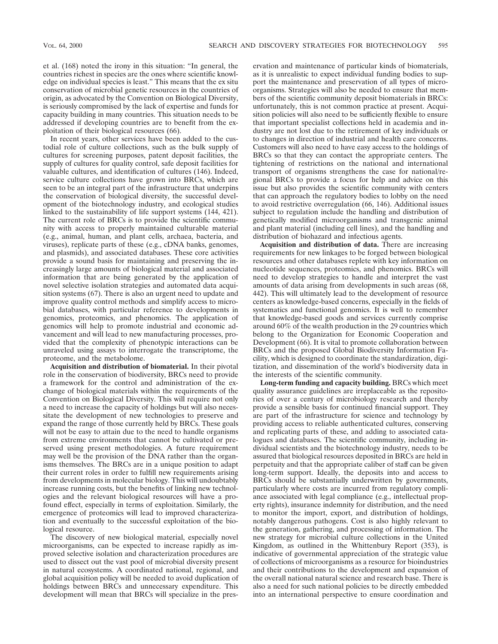et al. (168) noted the irony in this situation: "In general, the countries richest in species are the ones where scientific knowledge on individual species is least." This means that the ex situ conservation of microbial genetic resources in the countries of origin, as advocated by the Convention on Biological Diversity, is seriously compromised by the lack of expertise and funds for capacity building in many countries. This situation needs to be addressed if developing countries are to benefit from the exploitation of their biological resources (66).

In recent years, other services have been added to the custodial role of culture collections, such as the bulk supply of cultures for screening purposes, patent deposit facilities, the supply of cultures for quality control, safe deposit facilities for valuable cultures, and identification of cultures (146). Indeed, service culture collections have grown into BRCs, which are seen to be an integral part of the infrastructure that underpins the conservation of biological diversity, the successful development of the biotechnology industry, and ecological studies linked to the sustainability of life support systems (144, 421). The current role of BRCs is to provide the scientific community with access to properly maintained culturable material (e.g., animal, human, and plant cells, archaea, bacteria, and viruses), replicate parts of these (e.g., cDNA banks, genomes, and plasmids), and associated databases. These core activities provide a sound basis for maintaining and preserving the increasingly large amounts of biological material and associated information that are being generated by the application of novel selective isolation strategies and automated data acquisition systems (67). There is also an urgent need to update and improve quality control methods and simplify access to microbial databases, with particular reference to developments in genomics, proteomics, and phenomics. The application of genomics will help to promote industrial and economic advancement and will lead to new manufacturing processes, provided that the complexity of phenotypic interactions can be unraveled using assays to interrogate the transcriptome, the proteome, and the metabolome.

**Acquisition and distribution of biomaterial.** In their pivotal role in the conservation of biodiversity, BRCs need to provide a framework for the control and administration of the exchange of biological materials within the requirements of the Convention on Biological Diversity. This will require not only a need to increase the capacity of holdings but will also necessitate the development of new technologies to preserve and expand the range of those currently held by BRCs. These goals will not be easy to attain due to the need to handle organisms from extreme environments that cannot be cultivated or preserved using present methodologies. A future requirement may well be the provision of the DNA rather than the organisms themselves. The BRCs are in a unique position to adapt their current roles in order to fulfill new requirements arising from developments in molecular biology. This will undoubtably increase running costs, but the benefits of linking new technologies and the relevant biological resources will have a profound effect, especially in terms of exploitation. Similarly, the emergence of proteomics will lead to improved characterization and eventually to the successful exploitation of the biological resource.

The discovery of new biological material, especially novel microorganisms, can be expected to increase rapidly as improved selective isolation and characterization procedures are used to dissect out the vast pool of microbial diversity present in natural ecosystems. A coordinated national, regional, and global acquisition policy will be needed to avoid duplication of holdings between BRCs and unnecessary expenditure. This development will mean that BRCs will specialize in the preservation and maintenance of particular kinds of biomaterials, as it is unrealistic to expect individual funding bodies to support the maintenance and preservation of all types of microorganisms. Strategies will also be needed to ensure that members of the scientific community deposit biomaterials in BRCs: unfortunately, this is not common practice at present. Acquisition policies will also need to be sufficiently flexible to ensure that important specialist collections held in academia and industry are not lost due to the retirement of key individuals or to changes in direction of industrial and health care concerns. Customers will also need to have easy access to the holdings of BRCs so that they can contact the appropriate centers. The tightening of restrictions on the national and international transport of organisms strengthens the case for national/regional BRCs to provide a focus for help and advice on this issue but also provides the scientific community with centers that can approach the regulatory bodies to lobby on the need to avoid restrictive overregulation (66, 146). Additional issues subject to regulation include the handling and distribution of genetically modified microorganisms and transgenic animal and plant material (including cell lines), and the handling and distribution of biohazard and infectious agents.

**Acquisition and distribution of data.** There are increasing requirements for new linkages to be forged between biological resources and other databases replete with key information on nucleotide sequences, proteomics, and phenomics. BRCs will need to develop strategies to handle and interpret the vast amounts of data arising from developments in such areas (68, 442). This will ultimately lead to the development of resource centers as knowledge-based concerns, especially in the fields of systematics and functional genomics. It is well to remember that knowledge-based goods and services currently comprise around 60% of the wealth production in the 29 countries which belong to the Organization for Economic Cooperation and Development (66). It is vital to promote collaboration between BRCs and the proposed Global Biodiversity Information Facility, which is designed to coordinate the standardization, digitization, and dissemination of the world's biodiversity data in the interests of the scientific community.

**Long-term funding and capacity building.** BRCs which meet quality assurance guidelines are irreplaceable as the repositories of over a century of microbiology research and thereby provide a sensible basis for continued financial support. They are part of the infrastructure for science and technology by providing access to reliable authenticated cultures, conserving and replicating parts of these, and adding to associated catalogues and databases. The scientific community, including individual scientists and the biotechnology industry, needs to be assured that biological resources deposited in BRCs are held in perpetuity and that the appropriate caliber of staff can be given long-term support. Ideally, the deposits into and access to BRCs should be substantially underwritten by governments, particularly where costs are incurred from regulatory compliance associated with legal compliance (e.g., intellectual property rights), insurance indemnity for distribution, and the need to monitor the import, export, and distribution of holdings, notably dangerous pathogens. Cost is also highly relevant to the generation, gathering, and processing of information. The new strategy for microbial culture collections in the United Kingdom, as outlined in the Whittenbury Report (353), is indicative of governmental appreciation of the strategic value of collections of microorganisms as a resource for bioindustries and their contributions to the development and expansion of the overall national natural science and research base. There is also a need for such national policies to be directly embedded into an international perspective to ensure coordination and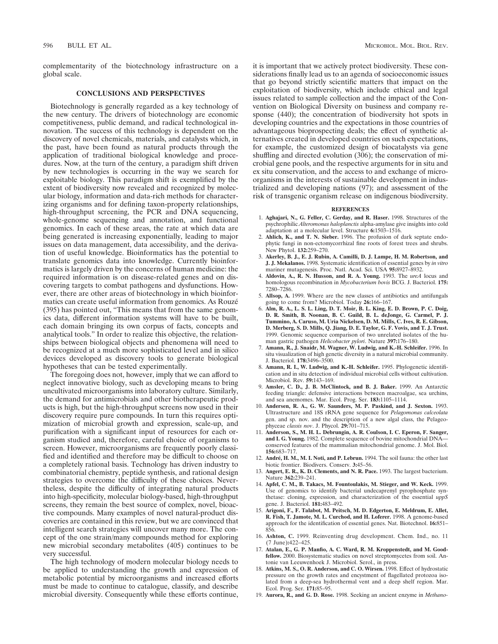complementarity of the biotechnology infrastructure on a global scale.

# **CONCLUSIONS AND PERSPECTIVES**

Biotechnology is generally regarded as a key technology of the new century. The drivers of biotechnology are economic competitiveness, public demand, and radical technological innovation. The success of this technology is dependent on the discovery of novel chemicals, materials, and catalysts which, in the past, have been found as natural products through the application of traditional biological knowledge and procedures. Now, at the turn of the century, a paradigm shift driven by new technologies is occurring in the way we search for exploitable biology. This paradigm shift is exemplified by the extent of biodiversity now revealed and recognized by molecular biology, information and data-rich methods for characterizing organisms and for defining taxon-property relationships, high-throughput screening, the PCR and DNA sequencing, whole-genome sequencing and annotation, and functional genomics. In each of these areas, the rate at which data are being generated is increasing exponentially, leading to major issues on data management, data accessibility, and the derivation of useful knowledge. Bioinformatics has the potential to translate genomics data into knowledge. Currently bioinformatics is largely driven by the concerns of human medicine: the required information is on disease-related genes and on discovering targets to combat pathogens and dysfunctions. However, there are other areas of biotechnology in which bioinformatics can create useful information from genomics. As Rouze´ (395) has pointed out, "This means that from the same genomics data, different information systems will have to be built, each domain bringing its own corpus of facts, concepts and analytical tools." In order to realize this objective, the relationships between biological objects and phenomena will need to be recognized at a much more sophisticated level and in silico devices developed as discovery tools to generate biological hypotheses that can be tested experimentally.

The foregoing does not, however, imply that we can afford to neglect innovative biology, such as developing means to bring uncultivated microorganisms into laboratory culture. Similarly, the demand for antimicrobials and other biotherapeutic products is high, but the high-throughput screens now used in their discovery require pure compounds. In turn this requires optimization of microbial growth and expression, scale-up, and purification with a significant input of resources for each organism studied and, therefore, careful choice of organisms to screen. However, microorganisms are frequently poorly classified and identified and therefore may be difficult to choose on a completely rational basis. Technology has driven industry to combinatorial chemistry, peptide synthesis, and rational design strategies to overcome the difficulty of these choices. Nevertheless, despite the difficulty of integrating natural products into high-specificity, molecular biology-based, high-throughput screens, they remain the best source of complex, novel, bioactive compounds. Many examples of novel natural-product discoveries are contained in this review, but we are convinced that intelligent search strategies will uncover many more. The concept of the one strain/many compounds method for exploring new microbial secondary metabolites (405) continues to be very successful.

The high technology of modern molecular biology needs to be applied to understanding the growth and expression of metabolic potential by microorganisms and increased efforts must be made to continue to catalogue, classify, and describe microbial diversity. Consequently while these efforts continue,

it is important that we actively protect biodiversity. These considerations finally lead us to an agenda of socioeconomic issues that go beyond strictly scientific matters that impact on the exploitation of biodiversity, which include ethical and legal issues related to sample collection and the impact of the Convention on Biological Diversity on business and company response (440); the concentration of biodiversity hot spots in developing countries and the expectations in those countries of advantageous bioprospecting deals; the effect of synthetic alternatives created in developed countries on such expectations, for example, the customized design of biocatalysts via gene shuffling and directed evolution (306); the conservation of microbial gene pools, and the respective arguments for in situ and ex situ conservation, and the access to and exchange of microorganisms in the interests of sustainable development in industrialized and developing nations (97); and assessment of the risk of transgenic organism release on indigenous biodiversity.

## **REFERENCES**

- 1. **Aghajari, N., G. Feller, C. Gerday, and R. Haser.** 1998. Structures of the psychrophilic *Alteromonas haloplanctis* alpha-amylase give insights into cold adaptation at a molecular level. Structure **6:**1503–1516.
- 2. **Ahlich, K., and T. N. Sieber.** 1996. The profusion of dark septate endophytic fungi in non-ectomycorrhizal fine roots of forest trees and shrubs. New Phytol. **132:**259–270.
- 3. **Akerley, B. J., E. J. Rubin, A. Camilli, D. J. Lampe, H. M. Robertson, and J. J. Mekalanos.** 1998. Systematic identification of essential genes by *in vitro* mariner mutagenesis. Proc. Natl. Acad. Sci. USA **95:**8927–8932.
- 4. **Aldovin, A., R. N. Husson, and R. A. Young.** 1993. The *ureA* locus and homologous recombination in *Mycobacterium bovis* BCG. J. Bacteriol. **175:** 7280–7286.
- 5. **Allsop, A.** 1999. Where are the new classes of antibiotics and antifungals going to come from? Microbiol. Today **26:**166–167.
- 6. **Alm, R. A., L. S. L. Ling, D. T. Moir, B. L. King, E. D. Brown, P. C. Doig, D. R. Smith, B. Noonan, B. C. Guild, B. L. deJonge, G. Carmel, P. J. Tummino, A. Caruso, M. Uria Nickelsen, D. M. Mills, C. Ives, R. E. Gibson, D. Merberg, S. D. Mills, Q. Jiang, D. E. Taylor, G. F. Vovis, and T. J. Trust.** 1999. Genomic sequence comparison of two unrelated isolates of the human gastric pathogen *Helicobacter pylori*. Nature **397:**176–180.
- 7. **Amann, R., J. Snaidr, M. Wagner, W. Ludwig, and K.-H. Schleifer.** 1996. In situ visualization of high genetic diversity in a natural microbial community. J. Bacteriol. **178:**3496–3500.
- 8. **Amann, R. I., W. Ludwig, and K.-H. Schleifer.** 1995. Phylogenetic identification and in situ detection of individual microbial cells without cultivation. Microbiol. Rev. **59:**143–169.
- 9. **Amsler, C. D., J. B. McClintock, and B. J. Baker.** 1999. An Antarctic feeding triangle: defensive interactions between macroalgae, sea urchins, and sea anemomes. Mar. Ecol. Prog. Ser. **183:**1105–1114.
- 10. **Andersen, R. A., G. W. Saunders, M. P. Paskind, and J. Sexton.** 1993. Ultrastructure and 18S rRNA gene sequence for *Pelagomonas calceolata* gen. and sp. nov. and the description of a new algal class, the Pelageophyceae *classis nov*. J. Phycol. **29:**701–715.
- 11. **Anderson, S., M. H. L. Debrungin, A. R. Coulson, I. C. Eperon, F. Sanger, and I. G. Young.** 1982. Complete sequence of bovine mitochondrial DNA conserved features of the mammalian mitochondrial genome. J. Mol. Biol. **156:**683–717.
- 12. **Andre´, H. M., M. I. Noti, and P. Lebrun.** 1994. The soil fauna: the other last biotic frontier. Biodivers. Conserv. **3:**45–56.
- 13. **Angert, E. R., K. D. Clements, and N. R. Pace.** 1993. The largest bacterium. Nature **362:**239–241.
- 14. **Apfel, C. M., B. Takacs, M. Fountoulakis, M. Stieger, and W. Keck.** 1999. Use of genomics to identify bacterial undecaprenyl pyrophosphate synthetase: cloning, expression, and characterization of the essential *uppS* gene. J. Bacteriol. **181:**483–492.
- 15. **Arigoni, F., F. Talabot, M. Peitsch, M. D. Edgerton, E. Meldrum, E. Allet, R. Fish, T. Jamote, M. L. Curchod, and H. Loferer.** 1998. A genome-based approach for the identification of essential genes. Nat. Biotechnol. **16:**851– 856.
- 16. **Ashton, C.** 1999. Reinventing drug development. Chem. Ind., no. 11 (7 June)**:**422–425.
- 17. **Atalan, E., G. P. Manfio, A. C. Ward, R. M. Kroppenstedt, and M. Goodfellow.** 2000. Biosystematic studies on novel streptomycetes from soil. Antonie van Leeuwenhoek J. Microbiol. Serol., in press.
- 18. **Atkins, M. S., O. R. Anderson, and C. O. Wirsen.** 1998. Effect of hydrostatic pressure on the growth rates and encystment of flagellated protozoa isolated from a deep-sea hydrothermal vent and a deep shelf region. Mar. Ecol. Prog. Ser. **171:**85–95.
- 19. **Aurora, R., and G. D. Rose.** 1998. Seeking an ancient enzyme in *Methano-*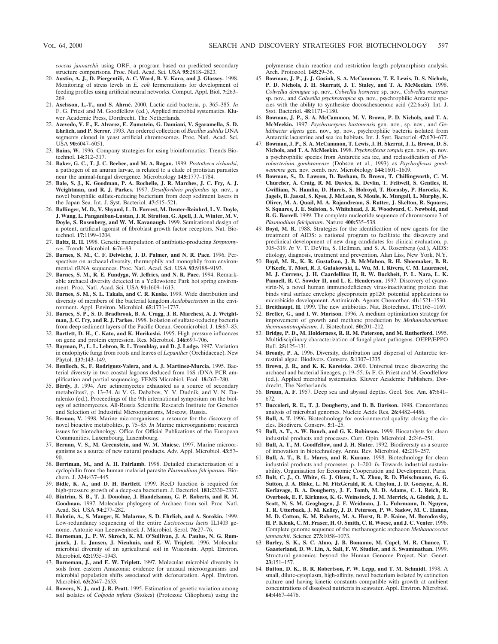*coccus jannaschii* using ORF, a program based on predicted secondary structure comparisons. Proc. Natl. Acad. Sci. USA **95:**2818–2823.

- 20. **Austin, A. J., D. Piergentili, A. C. Ward, B. V. Kara, and J. Glassey.** 1998. Monitoring of stress levels in *E. coli* fermentations for development of feeding profiles using artificial neural networks. Comput. Appl. Biol. **7:**263– 269.
- 21. **Axelsson, L.-T., and S. Ahrne´.** 2000. Lactic acid bacteria, p. 365–385. *In* F. G. Priest and M. Goodfellow (ed.), Applied microbial systematics. Kluwer Academic Press, Dordrecht, The Netherlands.
- 22. **Azevedo, V. E., E. Alvarez, E. Zumstein, G. Damiani, V. Sgaramella, S. D. Ehrlich, and P. Serror.** 1993. An ordered collection of *Bacillus subtilis* DNA segments cloned in yeast artificial chromosomes. Proc. Natl. Acad. Sci. USA **90:**6047–6051.
- 23. **Bains, W.** 1996. Company strategies for using bioinformatics. Trends Biotechnol. **14:**312–317.
- 24. **Baker, G. C., T. J. C. Beebee, and M. A. Ragan.** 1999. *Prototheca richardsi*, a pathogen of an anuran larvae, is related to a clade of protistan parasites near the animal-fungal divergence. Microbiology **145:**1777–1784.
- 25. **Bale, S. J., K. Goodman, P. A. Rochelle, J. R. Marches, J. C. Fry, A. J. Weightman, and R. J. Parkes.** 1997. *Desulfovibrio profundus* sp. nov., a novel barophilic sulfate-reducing bacterium from deep sediment layers in the Japan Sea. Int. J. Syst. Bacteriol. **47:**515–521.
- 26. **Ballinger, M. D., V. Shyaml, L. D. Forrest, M. Deuter-Reinhrd, L. V. Doyle, J. Wang, L. Panganiban-Lustan, J. R. Stratton, G. Apell, J. A. Winter, M. V. Doyle, S. Rosenberg, and W. M. Kavanaugh.** 1999. Semirational design of a potent, artificial agonist of fibroblast growth factor receptors. Nat. Biotechnol. **17:**1199–1204.
- 27. **Baltz, R. H.** 1998. Genetic manipulation of antibiotic-producing *Streptomyces*. Trends Microbiol. **6:**76–83.
- 28. **Barnes, S. M., C. F. Delwiche, J. D. Palmer, and N. R. Pace.** 1996. Perspectives on archaeal diversity, thermophily and monophily from environmental rRNA sequences. Proc. Natl. Acad. Sci. USA **93:**9188–9193.
- 29. **Barnes, S. M., R. E. Fundyga, W. Jeffries, and N. R. Pace.** 1994. Remarkable archaeal diversity detected in a Yellowstone Park hot spring environment. Proc. Natl. Acad. Sci. USA **91:**1609–1613.
- 30. **Barnes, S. M., S. L. Takala, and C. R. Kuske.** 1999. Wide distribution and diversity of members of the bacterial kingdom *Acidobacterium* in the environment. Appl. Environ. Microbiol. **65:**1731–1737.
- 31. **Barnes, S. P., S. D. Bradbrook, B. A. Cragg, J. R. Marchesi, A. J. Weightman, J. C. Fry, and R. J. Parkes.** 1998. Isolation of sulfate-reducing bacteria from deep sediment layers of the Pacific Ocean. Geomicrobiol. J. **15:**67–83.
- 32. **Bartlett, D. H., C. Kato, and K. Horikoshi.** 1995. High pressure influences on gene and protein expression. Res. Microbiol. **146:**697–706.
- 33. **Bayman, P., L. L. Lebron, R. L. Tremblay, and D. J. Lodge.** 1997. Variation in endophytic fungi from roots and leaves of *Lepanthes* (Orchidaceae). New Phytol. **137:**143–149.
- 34. **Benlloch, S., F. Rodriguez-Valera, and A. J. Martinez-Murcia.** 1995. Bacterial diversity in two coastal lagoons deduced from 16S rDNA PCR amplification and partial sequencing. FEMS Microbiol. Ecol. **18:**267–280.
- 35. **Be´rdy, J.** 1994. Are actinomycetes exhausted as a source of secondary metabolites?, p. 13–34. *In* V. G. Debabov, Y. V. Dudnik, and V. N. Danilenko (ed.), Proceedings of the 9th international symposium on the biology of actinomycetes. All-Russia Scientific Research Institute for Genetics and Selection of Industrial Microorganisms, Moscow, Russia.
- 36. **Bernan, V.** 1998. Marine microorganisms: a resource for the discovery of novel bioactive metabolites, p. 75–85. *In* Marine microorganisms: research issues for biotechnology. Office for Official Publications of the European Communities, Luxembourg, Luxembourg. 37. **Bernan, V. S., M. Greenstein, and W. M. Maiese.** 1997. Marine microor-
- ganisms as a source of new natural products. Adv. Appl. Microbiol. **43:**57– 90.
- 38. **Berriman, M., and A. H. Fairlamb.** 1998. Detailed characterisation of a cyclophilin from the human malarial parasite *Plasmodium falciparum*. Biochem. J. **334:**437–445.
- 39. **Bidle, K. A., and D. H. Bartlett.** 1999. RecD function is required for high-pressure growth of a deep-sea bacterium. J. Bacteriol. **181:**2330–2337.
- 40. **Bintrim, S. B., T. J. Donohue, J. Handelsman, G. P. Roberts, and R. M. Goodman.** 1997. Molecular phylogeny of Archaea from soil. Proc. Natl. Acad. Sci. USA **94:**277–282.
- 41. **Bolotin, A., S. Mauger, K. Malarme, S. D. Ehrlich, and A. Sorokin.** 1999. Low-redundancy sequencing of the entire *Lactococcus lactis* IL1403 genome. Antonie van Leeuwenhoek J. Microbiol. Serol. **76:**27–76.
- 42. **Borneman, J., P. W. Skroch, K. M. O'Sullivan, J. A. Paulus, N. G. Rumjanek, J. L. Jansen, J. Nienhuis, and E. W. Triplett.** 1996. Molecular microbial diversity of an agricultural soil in Wisconsin. Appl. Environ. Microbiol. **62:**1935–1943.
- 43. **Borneman, J., and E. W. Triplett.** 1997. Molecular microbial diversity in soils from eastern Amazonia: evidence for unusual microorganisms and microbial population shifts associated with deforestation. Appl. Environ. Microbiol. **63:**2647–2653.
- 44. **Bowers, N. J., and J. R. Pratt.** 1995. Estimation of genetic variation among soil isolates of *Colpoda inflata* (Stokes) (Protozoa: Ciliophora) using the

polymerase chain reaction and restriction length polymorphism analysis. Arch. Protozool. **145:**29–36.

- 45. **Bowman, J. P., J. J. Gosink, S. A. McCammon, T. E. Lewis, D. S. Nichols, P. D. Nichols, J. H. Skerratt, J. T. Staley, and T. A. McMeekin.** 1998. *Colwellia demigiae* sp. nov., *Colwellia hornerae* sp. nov., *Colwellia rossensis* sp. nov., and *Colwellia psychrotropica* sp. nov., psychrophilic Antarctic species with the ability to synthesize docosahexaenoic acid ( $22:6\omega3$ ). Int. J. Syst. Bacteriol. **48:**1171–1180.
- 46. **Bowman, J. P., S. A. McCammon, M. V. Brown, P. D. Nichols, and T. A. McMeekin.** 1997. *Psychroserpens burtonensis* gen. nov., sp. nov., and *Gelidibacter algens* gen. nov., sp. nov., psychrophilic bacteria isolated from Antarctic lacustrine and sea ice habitats. Int. J. Syst. Bacteriol. **47:**670–677.
- 47. **Bowman, J. P., S. A. McCammon, T. Lewis, J. H. Skerrat, J. L. Brown, D. S. Nichols, and T. A. McMeekin.** 1998. *Psychroflexus torquis* gen. nov., sp. nov. a psychrophilic species from Antarctic sea ice, and reclassification of *Flavobacterium gondwanense* (Dobson et al., 1993) as *Psychroflexus gondwanense* gen. nov. comb. nov. Microbiology **144:**1601–1609.
- 48. **Bowman, S., D. Lawson, D. Basham, D. Brown, T. Chillingworth, C. M. Churcher, A. Craig, R. M. Davies, K. Devlin, T. Feltwell, S. Gentles, R. Gwilliam, N. Hamlin, D. Harris, S. Holroyd, T. Hornsby, P. Horocks, K. Jagels, B. Jassal, S. Kyes, J. McLean, S. Moule, K. Mungall, L. Murphy, K. Oliver, M. A. Quail, M. A. Rajandream, S. Rutter, J. Skelton, R. Squares, S. Squares, J. E. Sulston, S. Whitehead, J. R. Woodward, C. Newbold, and B. G. Barrell.** 1999. The complete nucleotide sequence of chromosome 3 of *Plasmodium falciparum*. Nature **400:**535–538.
- 49. **Boyd, M. R.** 1988. Strategies for the identification of new agents for the treatment of AIDS: a national program to facilitate the discovery and preclinical development of new drug candidates for clinical evaluation, p. 305–319. *In* V. T. DeVita, S. Hellman, and S. A. Rosenberg (ed.), AIDS: etiology, diagnosis, treatment and prevention. Alan Liss, New York, N.Y.
- 50. **Boyd, M. R., K. R. Gustafson, J. B. McMahon, R. H. Shoemaker, B. R. O'Keefe, T. Mori, R. J. Gulakowski, L. Wu, M. I. Rivera, C. M. Laurencot, M. J. Currens, J. H. Caardellina II, R. W. Buckheit, P. L. Nara, L. K. Pannell, R. C. Sowder II, and L. E. Henderson.** 1997. Discovery of cyanovirin-N, a novel human immunodeficiency virus-inactivating protein that binds viral surface envelope glycoprotein gp120: potential applications to microbicide development. Antimicrob. Agents Chemother. **41:**1521–1530.
- 51. **Breithaupt, H.** 1999. The new antibiotics. Nat. Biotechnol. **17:**1165–1169. 52. **Bretler, G., and I. W. Marison.** 1996. A medium optimization strategy for improvement of growth and methane production by *Methanobacterium thermoautotrophicum*. J. Biotechnol. **50:**201–212.
- 53. **Bridge, P. D., M. Holderness, R. R. M. Paterson, and M. Rutherford.** 1995. Multidisciplinary characterization of fungal plant pathogens. OEPP/EPPO Bull. **25:**125–131.
- 54. **Broady, P. A.** 1996. Diversity, distribution and dispersal of Antarctic terrestrial algae. Biodivers. Conserv. **5:**1307–1335.
- 55. **Brown, J. R., and K. K. Koretske.** 2000. Universal trees: discovering the archaeal and bacterial lineages, p. 19–55. *In* F. G. Priest and M. Goodfellow (ed.), Applied microbial systematics. Kluwer Academic Publishers, Dordrecht, The Netherlands.
- 56. **Bruun, A. F.** 1957. Deep sea and abyssal depths. Geol. Soc. Am. **67:**641– 672.
- 57. **Buccoleri, R. E., T. J. Dougherty, and D. B. Davison.** 1998. Concordance analysis of microbial genomes. Nucleic Acids Res. **26:**4482–4486.
- 58. **Bull, A. T.** 1996. Biotechnology for environmental quality: closing the circles. Biodivers. Conserv. **5:**1–25.
- 59. **Bull, A. T., A. W. Bunch, and G. K. Robinson.** 1999. Biocatalysts for clean industrial products and processes. Curr. Opin. Microbiol. **2:**246–251.
- 60. **Bull, A. T., M. Goodfellow, and J. H. Slater.** 1992. Biodiversity as a source of innovation in biotechnology. Annu. Rev. Microbiol. **42:**219–257.
- 61. **Bull, A. T., B. L. Marrs, and R. Kurane.** 1998. Biotechnology for clean industrial products and processes. p. 1–200. *In* Towards industrial sustainability. Organisation for Economic Cooperation and Development, Paris.
- 62. **Bult, C. J., O. White, G. J. Olsen, L. X. Zhou, R. D. Fleischmann, G. G. Sutton, J. A. Blake, L. M. FitzGerald, R. A. Clayton, J. D. Gocayne, A. R. Kerlavage, B. A. Dougherty, J. F. Tomb, M. D. Adams, C. I. Reich, R. Overbeek, E. F. Kirkness, K. G. Weinstock, J. M. Merrick, A. Glodek, J. L. Scott, N. S. M. Geoghagen, J. F. Weidman, J. L. Fuhrmann, D. Nguyen, T. R. Utterback, J. M. Kelley, J. D. Peterson, P. W. Sadow, M. C. Hanna, M. D. Cotton, K. M. Roberts, M. A. Hurst, B. P. Kaine, M. Borodovsky, H. P. Klenk, C. M. Fraser, H. O. Smith, C. R. Woese, and J. C. Venter.** 1996. Complete genome sequence of the methanogenic archaeon *Methanococcus jannaschii*. Science **273:**1058–1073.
- 63. **Burley, S. K., S. C. Almo, J. B. Bonanno, M. Capel, M. R. Chance, T. Gaasterland, D. W. Lin, A. Sali, F. W. Studier, and S. Swaminathan.** 1999. Structural genomics: beyond the Human Genome Project. Nat. Genet. **23:**151–157.
- 64. **Button, D. K., B. R. Robertson, P. W. Lepp, and T. M. Schmidt.** 1998. A small, dilute-cytoplasm, high-affinity, novel bacterium isolated by extinction culture and having kinetic constants compatible with growth at ambient concentrations of dissolved nutrients in seawater. Appl. Environ. Microbiol. **64:**4467–4476.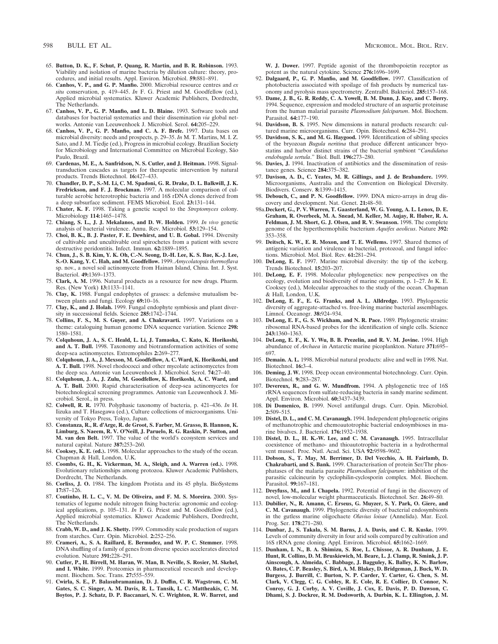- 65. **Button, D. K., F. Schut, P. Quang, R. Martin, and B. R. Robinson.** 1993. Viability and isolation of marine bacteria by dilution culture: theory, procedures, and initial results. Appl. Environ. Microbiol. **59:**881–891.
- 66. **Canhos, V. P., and G. P. Manfio.** 2000. Microbial resource centres and *ex situ* conservation, p. 419–445. *In* F. G. Priest and M. Goodfellow (ed.), Applied microbial systematics. Kluwer Academic Publishers, Dordrecht, The Netherlands.
- 67. **Canhos, V. P., G. P. Manfio, and L. D. Blaine.** 1993. Software tools and databases for bacterial systematics and their dissemination *via* global networks. Antonie van Leeuwenhoek J. Microbiol. Serol. **64:**205–229.
- 68. **Canhos, V. P., G. P. Manfio, and C. A. F. Brefe.** 1997. Data bases on microbial diversity: needs and prospects, p. 29–35. *In* M. T. Martins, M. I. Z. Sato, and J. M. Tiedje (ed.), Progress in microbial ecology. Brazilian Society for Microbiology and International Committee on Microbial Ecology, São Paulo, Brazil.
- 69. **Cardenas, M. E., A. Sanfridson, N. S. Cutler, and J. Heitman.** 1998. Signaltransduction cascades as targets for therapeutic intervention by natural products. Trends Biotechnol. **16:**427–433.
- 70. **Chandler, D. P., S.-M. Li, C. M. Spadoni, G. R. Drake, D. L. Balkwill, J. K. Fredrickson, and F. J. Brockman.** 1997. A molecular comparison of culturable aerobic heterotrophic bacteria and 16S rDNA clones derived from a deep subsurface sediment. FEMS Microbiol. Ecol. **23:**131–144.
- 71. **Chater, K. F.** 1998. Taking a genetic scapel to the *Streptomyces* colony. Microbiology **114:**1465–1478.
- 72. **Chiang, S. L., J. J. Mekalanos, and D. W. Holden.** 1999. *In vivo* genetic analysis of bacterial virulence. Annu. Rev. Microbiol. **53:**129–154.
- 73. **Choi, B. K., B. J. Paster, F. E. Dewhirst, and U. B. Gobal.** 1994. Diversity of cultivable and uncultivable oral spirochetes from a patient with severe destructive peridontitis. Infect. Immun. **62:**1889–1895.
- 74. **Chun, J., S. B. Kim, Y. K. Oh, C.-N. Seong, D.-H. Lee, K. S. Bae, K.-J. Lee, S.-O. Kang, Y. C. Hah, and M. Goodfellow.** 1999. *Amycolatopsis thermoflava* sp. nov., a novel soil actinomycete from Hainan Island, China. Int. J. Syst. Bacteriol. **49:**1369–1373.
- 75. **Clark, A. M.** 1996. Natural products as a resource for new drugs. Pharm. Res. (New York) **13:**1133–1141.
- 76. **Clay, K.** 1988. Fungal endophytes of grasses: a defensive mutualism between plants and fungi. Ecology **69:**10–16.
- 77. **Clay, K., and J. Holah.** 1999. Fungal endophyte symbiosis and plant diversity in successional fields. Science **285:**1742–1744.
- 78. **Collins, F. S., M. S. Guyer, and A. Chakravarti.** 1997. Variations on a theme: cataloguing human genome DNA sequence variation. Science **298:** 1580–1581.
- 79. **Colquhoun, J. A., S. C. Heald, L. Li, J. Tamaoka, C. Kato, K. Horikoshi, and A. T. Bull.** 1998. Taxonomy and biotransformation activities of some deep-sea actinomycetes. Extremophiles **2:**269–277.
- 80. **Colquhoun, J. A., J. Mexson, M. Goodfellow, A. C. Ward, K. Horikoshi, and A. T. Bull.** 1998. Novel rhodococci and other mycolate actinomycetes from the deep sea. Antonie van Leeuwenhoek J. Microbiol. Serol. **74:**27–40.
- 81. **Colquhoun, J. A., J. Zulu, M. Goodfellow, K. Horikoshi, A. C. Ward, and A. T. Bull.** 2000. Rapid characterisation of deep-sea actinomycetes for biotechnological screening programmes. Antonie van Leeuwenhoek J. Microbiol. Serol., in press.
- 82. **Colwell, R. R.** 1970. Polyphasic taxonomy of bacteria, p. 421–436. *In* H. Iizuka and T. Hasegawa (ed.), Culture collections of microorganisms. University of Tokyo Press, Tokyo, Japan.
- 83. **Constanza, R., R. d'Arge, R. de Groot, S. Farber, M. Grasso, B. Hannon, K. Limburg, S. Naeem, R. V. O'Neill, J. Paruelo, R. G. Raskin, P. Sutton, and M. van den Belt.** 1997. The value of the world's ecosystem services and natural capital. Nature **387:**253–260.
- 84. **Cooksey, K. E. (ed.).** 1998. Molecular approaches to the study of the ocean. Chapman & Hall, London, U.K.
- 85. **Coombs, G. H., K. Vickerman, M. A., Sleigh, and A. Warren (ed.).** 1998. Evolutionary relationships among protozoa. Kluwer Academic Publishers, Dordrecht, The Netherlands.
- 86. **Corliss, J. O.** 1984. The kingdom Protista and its 45 phyla. BioSystems **17:**87–126.
- 87. **Coutinho, H. L. C., V. M. De Oliveira, and F. M. S. Moreira.** 2000. Systematics of legume nodule nitrogen fixing bacteria: agronomic and ecological applications, p. 105–131. *In* F. G. Priest and M. Goodfellow (ed.), Applied microbial systematics. Kluwer Academic Publishers, Dordrecht, The Netherlands.
- 88. **Crabb, W. D., and J. K. Shetty.** 1999. Commodity scale production of sugars from starches. Curr. Opin. Microbiol. **2:**252–256.
- 89. **Crameri, A., S. A. Raillard, E. Bermudez, and W. P. C. Stemmer.** 1998. DNA shuffling of a family of genes from diverse species accelerates directed evolution. Nature **391:**228–291.
- 90. **Cutler, P., H. Birrell, M. Haran, W. Man, B. Neville, S. Rosier, M. Skehel, and I. White.** 1999. Proteomics in pharmaceutical research and development. Biochem. Soc. Trans. **27:**555–559.
- 91. **Cwirla, S. E., P. Balasubramanian, D. J. Duffin, C. R. Wagstrom, C. M. Gates, S. C. Singer, A. M. Davis, R. L. Tansik, L. C. Mattheakis, C. M. Boytos, P. J. Schatz, D. P. Baccanari, N. C. Wrighton, R. W. Barret, and**
- 92. **Dalgaard, P., G. P. Manfio, and M. Goodfellow.** 1997. Classification of photobacteria associated with spoilage of fish products by numerical taxonomy and pyrolysis mass spectrometry. Zentralbl. Bakteriol. **285:**157–168.
- 93. **Dame, J. B., G. R. Reddy, C. A. Yowell, B. M. Dunn, J. Kay, and C. Berry.** 1994. Sequence, expression and modeled structure of an aspartic proteinase from the human malarial parasite *Plasmodium falciparum*. Mol. Biochem. Parasitol. **64:**177–190.
- 94. **Davidson, B. S.** 1995. New dimensions in natural products research: cultured marine microorganisms. Curr. Opin. Biotechnol. **6:**284–291.
- 95. **Davidson, S. K., and M. G. Haygood.** 1999. Identification of sibling species of the bryozoan *Bugula neritina* that produce different anticancer bryostatins and harbor distinct strains of the bacterial symbiont "*Candidatus endobugula sertula*." Biol. Bull. **196:**273–280.
- 96. **Davies, J.** 1994. Inactivation of antibiotics and the dissemination of resistance genes. Science **284:**375–382.
- 97. **Davison, A. D., C. Yeates, M. R. Gillings, and J. de Brabandere.** 1999. Microorganisms, Australia and the Convention on Biological Diversity. Biodivers. Conserv. **8:**1399–1415.
- 98. **Debouch, C., and P. N. Goodfellow.** 1999. DNA micro-arrays in drug discovery and development. Nat. Genet. **21:**48–50.
- 98a.**Deckert, G., P. V. Warren, T. Gaasterland, W. G. Young, A. L. Lenox, D. E. Graham, R. Overbeek, M. A. Snead, M. Keller, M. Aujay, R. Huber, R. A. Feldman, J. M. Short, G. J. Olsen, and R. V. Swanson.** 1998. The complete genome of the hyperthermophilic bacterium *Aquifex aeolicus*. Nature **392:** 353–358.
- 99. **Deitsch, K. W., E. R. Moxon, and T. E. Wellems.** 1997. Shared themes of antigenic variation and virulence in bacterial, protozoal, and fungal infections. Microbiol. Mol. Biol. Rev. **61:**281–294.
- 100. **DeLong, E. F.** 1997. Marine microbial diversity: the tip of the iceberg. Trends Biotechnol. **15:**203–207.
- 101. **DeLong, E. F.** 1998. Molecular phylogenetics: new perspectives on the ecology, evolution and biodiversity of marine organisms, p. 1–27. *In* K. E. Cooksey (ed.), Molecular approaches to the study of the ocean. Chapman & Hall, London, U.K.
- 102. **DeLong, E. F., E. G. Franks, and A. L. Alldredge.** 1993. Phylogenetic diversity of aggregate-attached vs. free-living marine bacterial assemblages. Limnol. Oceanogr. **38:**924–934.
- 103. **DeLong, E. F., G. S. Wickham, and N. R. Pace.** 1989. Phylogenetic strains: ribosomal RNA-based probes for the identification of single cells. Science **243:**1360–1363.
- 104. **DeLong, E. F., K. Y. Wu, B. B. Prezelin, and R. V. M. Jovine.** 1994. High abundance of *Archaea* in Antarctic marine picoplankton. Nature **371:**695– 697.
- 105. **Demain. A. L.** 1998. Microbial natural products: alive and well in 1998. Nat. Biotechnol. **16:**3–4.
- 106. **Deming, J. W.** 1998. Deep ocean environmental biotechnology. Curr. Opin. Biotechnol. **9:**283–287.
- 107. **Devereux, R., and G. W. Mundfrom.** 1994. A phylogenetic tree of 16S rRNA sequences from sulfate-reducing bacteria in sandy marine sediment. Appl. Environ. Microbiol. **60:**3437–3439.
- 108. **Di Domenico, B.** 1999. Novel antifungal drugs. Curr. Opin. Microbiol. **2:**509–515.
- 109. **Distel, D. L., and C. M. Cavanaugh.** 1994. Independent phylogenetic origins of methanotrophic and chemoautotrophic bacterial endosymbioses in marine bivalves. J. Bacteriol. **176:**1932–1938.
- 110. **Distel, D. L., H. K.-W. Lee, and C. M. Cavanaugh.** 1995. Intracellular coexistence of methano- and thioautotrophic bacteria in a hydrothermal vent mussel. Proc. Natl. Acad. Sci. USA **92:**9598–9602.
- 111. **Dobson, S., T. May, M. Berrimer, D. Del Vecchio, A. H. Fairlamb, D. Chakrabarti, and S. Bank.** 1999. Characterisation of protein Ser/Thr phosphatases of the malaria parasite *Plasmodium falciparum*: inhibition of the parasitic calcineurin by cyclophilin-cyclosporin complex. Mol. Biochem. Parasitol. **99:**167–181.
- 112. **Dreyfuss, M., and I. Chapela.** 1992. Potential of fungi in the discovery of novel, low-molecular weight pharmaceuticals. Biotechnol. Ser. **26:**49–80.
- 113. **Dubilier, N., R. Amann, C. Erseus, G. Muyzer, S. Y. Park, O. Giere, and C. M. Cavanaugh.** 1999. Phylogenetic diversity of bacterial endosymbionts in the gutless marine oligochaete *Olavius loisae* (Annelida). Mar. Ecol. Prog. Ser. **178:**271–280.
- 114. **Dunbar, J., S. Takala, S. M. Barns, J. A. Davis, and C. R. Kuske.** 1999. Levels of community diversity in four arid soils compared by cultivation and 16S rRNA gene cloning. Appl. Environ. Microbiol. **65:**1662–1669.
- 115. **Dunham, I. N., B. A. Shimizu, S. Roe, L. Chissoe, A. R. Dunham, J. E. Hunt, R. Collins, D. M. Bruskiewich, M. Beare, L. J. Clamp, R. Smink, J. P. Ainscough, A. Almeida, C. Babbage, J. Bagguley, K. Balley, K. N. Barlow, O. Bates, C. P. Beasley, S. Bird, A. M. Blakey, D. Bridgeman, J. Buck, W. D. Burgess, J. Burrill, C. Burton, N. P. Carder, Y. Carter, G. Chen, S. M. Clark, V. Clegg, C. G. Cobley, R. E. Cole, R. E. Collier, D. Connor, N. Conroy, G. J. Corby, A. V. Coville, J. Cox, E. Davis, P. D. Dawson, C. Dhami, S. J. Dockree, R. M. Dodsworth, A. Durbin, K. L. Ellington, J. M.**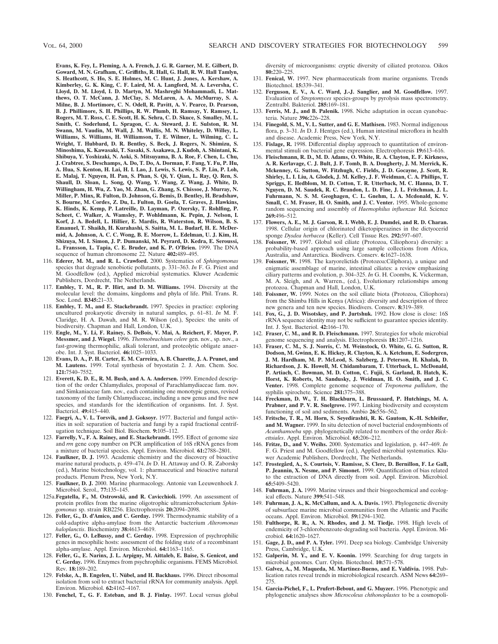**Evans, K. Fey, L. Fleming, A. A. French, J. G. R. Garner, M. E. Gilbert, D. Goward, M. N. Grafham, C. Griffiths, R. Hall, G. Hall, R. W. Hall Tamlyn, S. Heathcott, S. Ho, S. E. Holmes, M. C. Hunt, J. Jones, A. Kershaw, A. Kimberley, G. K. King, C. F. Laird, M. A. Langford, M. A. Leversha, C. Lloyd, D. M. Lloyd, I. D. Martyn, M. Mashreghi Mohammadi, L. Matthews, O. T. McCann, J. McClay, S. McLaren, A. A. McMurray, S. A. Milne, B. J. Mortimore, C. N. Odell, R. Pavitt, A. V. Pearce, D. Pearson, B. J. Phillimore, S. H. Phillips, R. W. Plumb, H. Ramsay, Y. Ramsey, L. Rogers, M. T. Ross, C. E. Scott, H. K. Sehra, C. D. Skuce, S. Smalley, M. L. Smith, C. Soderlund, L. Spragon, C. A. Steward, J. E. Sulston, R. M. Swann, M. Vaudin, M. Wall, J. M. Wallis, M. N. Whiteley, D. Willey, L. Williams, S. Williams, H. Williamson, T. E. Wilmer, L. Wilming, C. L. Wright, T. Hubbard, D. R. Bentley, S. Beck, J. Rogers, N. Shimizu, S. Minoshima, K. Kawasaki, T. Sasaki, S. Asakawa, J. Kudoh, A. Shintani, K. Shibuya, Y. Yoshizaki, N. Aoki, S. Mitsuyama, B. A. Roe, F. Chen, L. Chu, J. Crabtree, S. Deschamps, A. Do, T. Do, A. Dorman, F. Fang, Y. Fu, P. Hu, A. Hua, S. Kenton, H. Lai, H. I. Lao, J. Lewis, S. Lewis, S. P. Lin, P. Loh, E. Malaj, T. Nguyen, H. Pan, S. Phan, S. Qi, Y. Qian, L. Ray, Q. Ren, S. Shaull, D. Sloan, L. Song, Q. Wang, Y. Wang, Z. Wang, J. White, D. Willingham, H. Wu, Z. Yao, M. Zhan, G. Zhang, S. Chissoe, J. Murray, N. Miller, P. Minx, R. Fulton, D. Johnson, G. Bemis, D. Bentley, H. Bradshaw, S. Bourne, M. Cordes, Z. Du, L. Fulton, D. Goela, T. Graves, J. Hawkins, K. Hinds, K. Kemp, P. Latreille, D. Layman, P. Ozersky, T. Rohlfing, P. Scheet, C. Walker, A. Wamsley, P. Wohldmann, K. Pepin, J. Nelson, I. Korf, J. A. Bedell, L. Hillier, E. Mardis, R. Waterston, R. Wilson, B. S. Emanuel, T. Shaikh, H. Kurahashi, S. Saitta, M. L. Budarf, H. E. McDermid, A. Johnson, A. C. C. Wong, B. E. Morrow, L. Edelman, U. J. Kim, H. Shizuya, M. I. Simon, J. P. Dumanski, M. Peyrard, D. Kedra, E. Seroussi, L. Fransson, L. Tapia, C. E. Bruder, and K. P. O'Brien.** 1999. The DNA sequence of human chromosome 22. Nature **402:**489–495.

- 116. **Ederer, M. M., and R. L. Crawford.** 2000. Systematics of *Sphingomonas* species that degrade xenobiotic pollutants, p. 331–363. *In* F. G. Priest and M. Goodfellow (ed.), Applied microbial systematics. Kluwer Academic Publishers, Dordrecht, The Netherlands.
- 117. **Embley, T. M., R. P. Hirt, and D. M. Williams.** 1994. Diversity at the molecular level: the domains, kingdoms and phyla of life. Phil. Trans. R. Soc. Lond. **B345:**21–33.
- 118. **Embley, T. M., and E. Stackebrandt.** 1997. Species in practice: exploring uncultured prokaryotic diversity in natural samples, p. 61–81. *In* M. F. Claridge, H. A. Dawah, and M. R. Wilson (ed.), Species: the units of biodiversity. Chapman and Hall, London, U.K.
- 119. **Engle, M., Y. Li, F. Rainey, S. DeBois, V. Mai, A. Reichert, F. Mayer, P. Messmer, and J. Wiegel.** 1996. *Thermobrachium celere* gen. nov., sp. nov., a fast-growing thermophilic, alkali tolerant, and proteolytic obligate anaerobe. Int. J. Syst. Bacteriol. **46:**1025–1033.
- 120. **Evans, D. A., P. H. Carter, E. M. Carreira, A. B. Charette, J. A. Prunet, and M. Lautens.** 1999. Total synthesis of bryostatin 2. J. Am. Chem. Soc. **121:**7540–7552.
- 121. **Everett, K. D. E., R. M. Bush, and A. A. Andersen.** 1999. Emended description of the order Chlamydiales, proposal of Parachlamydiaceae fam. nov. and Simkaniaceae fam. nov., each containing one monotypic genus, revised taxonomy of the family Chlamydiaceae, including a new genus and five new species, and standards for the identification of organisms. Int. J. Syst. Bacteriol. **49:**415–440.
- 122. **Faegri, A., V. L. Torsvik, and J. Goksoyr.** 1977. Bacterial and fungal activities in soil: separation of bacteria and fungi by a rapid fractional centrifugation technique. Soil Biol. Biochem. **9:**105–112.
- 123. **Farrelly, V., F. A. Rainey, and E. Stackebrandt.** 1995. Effect of genome size and *rrn* gene copy number on PCR amplification of 16S rRNA genes from a mixture of bacterial species. Appl. Environ. Microbiol. **61:**2788–2801.
- 124. **Faulkner, D. J.** 1993. Academic chemistry and the discovery of bioactive marine natural products, p. 459–474. *In* D. H. Attaway and O. R. Zaborsky (ed.), Marine biotechnology, vol. 1: pharmaceutical and bioactive natural products. Plenum Press, New York, N.Y.
- 125. **Faulkner, D. J.** 2000. Marine pharmacology. Antonie van Leeuwenhoek J. Microbiol. Serol., **77:**135–145.
- 125a.**Fegatella, F., M. Ostrowski, and R. Cavicchioli.** 1999. An assessment of protein profiles from the marine oligotrophic ultramicrobacterium *Sphingomonas* sp. strain RB2256. Electrophoresis **20:**2094–2098.
- 126. **Feller, G., D. d'Amico, and C. Gerday.** 1999. Thermodynamic stability of a cold-adaptive alpha-amylase from the Antarctic bacterium *Alteromonas haloplanctis*. Biochemistry **38:**4613–4619.
- 127. **Feller, G., O. LeBussy, and C. Gerday.** 1998. Expression of psychrophilic genes in mesophilic hosts: assessment of the folding state of a recombinant alpha-amylase. Appl. Environ. Microbiol. **64:**1163–1165.
- 128. **Feller, G., E. Narinx, J. L. Arpigny, M. Aittaleb, E. Baise, S. Genicot, and C. Gerday.** 1996. Enzymes from psychrophilic organisms. FEMS Microbiol. Rev. **18:**189–202.
- 129. Felske, A., B. Engelen, U. Nübel, and H. Backhaus. 1996. Direct ribosomal isolation from soil to extract bacterial rRNA for community analysis. Appl. Environ. Microbiol. **62:**4162–4167.
- 130. **Fenchel, T., G. F. Esteban, and B. J. Finlay.** 1997. Local versus global

diversity of microorganisms: cryptic diversity of ciliated protozoa. Oikos **80:**220–225.

- 131. **Fenical, W.** 1997. New pharmaceuticals from marine organisms. Trends Biotechnol. **15:**339–341.
- 132. **Ferguson, E. V., A. C. Ward, J.-J. Sanglier, and M. Goodfellow.** 1997. Evaluation of *Streptomyces* species-groups by pyrolysis mass spectrometry. Zentralbl. Bakteriol. **285:**169–181.
- 133. **Ferris, M. J., and B. Palenik.** 1998. Niche adaptation in ocean cyanobacteria. Nature **396:**226–228.
- 134. **Finegold, S. M., V. L. Sutter, and G. E. Mathisen.** 1983. Normal indigenous flora, p. 3–31. *In* D. J. Hentges (ed.), Human intestinal microflora in health and disease. Academic Press, New York, N.Y.
- 135. **Fislage, R.** 1998. Differential display approach to quantitation of environmental stimuli on bacterial gene expression. Electrophoresis **19:**613–616.
- 136. **Fleischmann, R. D., M. D. Adams, O. White, R. A. Clayton, E. F. Kirkness, A. R. Kerlavage, C. J. Bult, J. F. Tomb, B. A. Dougherty, J. M. Merrick, K. Mckenney, G. Sutton, W. Fitzhugh, C. Fields, J. D. Gocayne, J. Scott, R. Shirley, L. I. Liu, A. Glodek, J. M. Kelley, J. F. Weidman, C. A. Phillips, T. Spriggs, E. Hedblom, M. D. Cotton, T. R. Utterback, M. C. Hanna, D. T. Nguyen, D. M. Saudek, R. C. Brandon, L. D. Fine, J. L. Fritchman, J. L. Fuhrmann, N. S. M. Geoghagen, C. L. Gnehm, L. A. Mcdonald, K. V. Small, C. M. Fraser, H. O. Smith, and J. C. Venter.** 1995. Whole-genome random sequencing and assembly of *Haemophilus influenzae* Rd. Science **269:**496–512.
- 137. **Flowers, A. E., M. J. Garson, R. I. Webb, E. J. Dumdei, and R. D. Charan.** 1998. Cellular origin of chlorinated diketopiperazines in the dictyocerid sponge *Dysdea herbacea* (Keller). Cell Tissue Res. **292:**597–607.
- 138. **Foissner, W.** 1997. Global soil ciliate (Protozoa, Ciliophora) diversity: a probability-based approach using large sample collections from Africa, Australia, and Antarctica. Biodivers. Conserv. **6:**1627–1638.
- 139. **Foissner, W.** 1998. The karyorelictids (Protozoa:Ciliphora), a unique and enigmatic assemblage of marine, intestinal ciliates: a review emphasizing ciliary patterns and evolution, p. 304–325. *In* G. H. Coombs, K. Vickerman, M. A. Sleigh, and A. Warren., (ed.), Evolutionary relationships among protozoa. Chapman and Hall, London, U.K.
- 140. **Foissner, W.** 1999. Notes on the soil ciliate biota (Protozoa, Ciliophora) from the Shimba Hills in Kenya (Africa): diversity and description of three new genera and ten new species. Biodivers. Conserv. **8:**319–389.
- 141. **Fox, G., J. D. Wisotskey, and P. Jurtshuk.** 1992. How close is close: 16S rRNA sequence identity may not be sufficient to guarantee species identity. Int. J. Syst. Bacteriol. **42:**166–170.
- 142. **Fraser, C. M., and R. D. Fleischmann.** 1997. Strategies for whole microbial genome sequencing and analysis. Electrophoresis **18:**1207–1216.
- 143. **Fraser, C. M., S. J. Norris, C. M. Weinstock, O. White, G. G. Sutton, R. Dodson, M. Gwinn, E. K. Hickey, R. Clayton, K. A. Ketchum, E. Sodergren, J. M. Hardham, M. P. McLeod, S. Salzberg, J. Peterson, H. Khalak, D. Richardson, J. K. Howell, M. Chidambaram, T. Utterback, L. McDonald, P. Artiach, C. Bowman, M. D. Cotton, C. Fujii, S. Garland, B. Hatch, K. Horst, K. Roberts, M. Sandusky, J. Weidman, H. O. Smith, and J. C. Venter.** 1998. Complete genome sequence of *Treponema pallidum*, the syphilis spirochete. Science **281:**375–388.
- 144. **Freckman, D. W., T. H. Blackburn, L. Brussaard, P. Hutchings, M. A. Prabner, and P. V. R. Snelgrove.** 1997. Linking biodiversity and ecosystem functioning of soil and sediments. Ambio **26:**556–562.
- 145. **Fritsche, T. R., M. Horn, S. Seyedirashti, R. K. Gautom, K.-H. Schleifer, and M. Wagner.** 1999. In situ detection of novel bacterial endosymbionts of *Acanthamoeba* spp. phylogenetically related to members of the order *Rickettsiales*. Appl. Environ. Microbiol. **65:**206–212.
- 146. **Fritze, D., and V. Weihs.** 2000. Systematics and legislation, p. 447–469. *In* F. G. Priest and M. Goodfellow (ed.), Applied microbial systematics. Kluwer Academic Publishers, Dordrecht, The Netherlands.
- 147. **Frostegård, A., S. Courtois, V. Ramisse, S. Clerc, D. Bernillon, F. Le Gall, P. Jeannin, X. Nesme, and P. Simonet.** 1999. Quantification of bias related to the extraction of DNA directly from soil. Appl. Environ. Microbiol. **65:**5409–5420.
- 148. **Fuhrman, J. A.** 1999. Marine viruses and their biogeochemical and ecological effects. Nature **399:**541–548.
- 149. **Fuhrman, J. A., K. McCallum, and A. A. Davis.** 1993. Phylogenetic diversity of subsurface marine microbial communities from the Atlantic and Pacific oceans. Appl. Environ. Microbiol. **59:**1294–1302.
- 150. **Fulthorpe, R. R., A. N. Rhodes, and J. M. Tiedje.** 1998. High levels of endemicity of 3-chlorobenzoate-degrading soil bacteria. Appl. Environ. Microbiol. **64:**1620–1627.
- 151. **Gage, J. D., and P. A. Tyler.** 1991. Deep sea biology. Cambridge University Press, Cambridge, U.K.
- 152. **Galperin, M. Y., and E. V. Koonin.** 1999. Searching for drug targets in microbial genomes. Curr. Opin. Biotechnol. **10:**571–578.
- 153. **Galvez, A., M. Maqueda, M. Martinez-Bueno, and E. Valdivia.** 1998. Publication rates reveal trends in microbiological research. ASM News **64:**269– 275.
- 154. **Garcia-Pichel, F., L. Prufert-Bebout, and G. Muyzer.** 1996. Phenotypic and phylogenetic analyses show *Microcoleus chthonoplastes* to be a cosmopoli-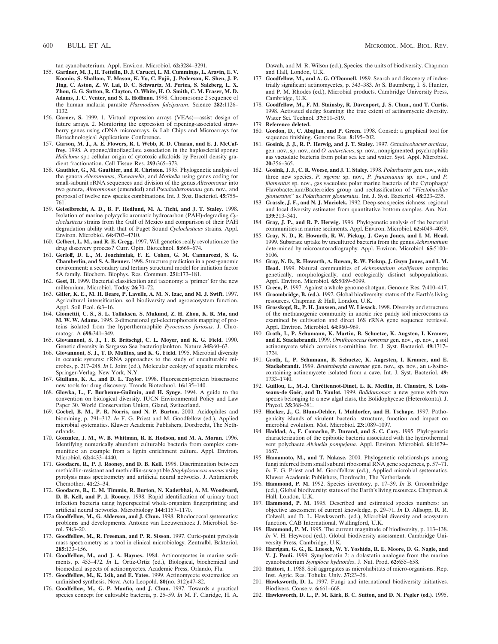tan cyanobacterium. Appl. Environ. Microbiol. **62:**3284–3291.

- 155. **Gardner, M. J., H. Tettelin, D. J. Carucci, L. M. Cummings, L. Aravin, E. V. Koonin, S. Shallom, T. Mason, K. Yu, C. Fujii, J. Pederson, K. Shen, J. P. Jing, C. Aston, Z. W. Lai, D. C. Schwartz, M. Pertea, S. Salzberg, L. X. Zhou, G. G. Sutton, R. Clayton, O. White, H. O. Smith, C. M. Fraser, M. D. Adams, J. C. Venter, and S. L. Hoffman.** 1998. Chromosome 2 sequence of the human malaria parasite *Plasmodium falciparum*. Science **282:**1126– 1132.
- 156. **Garner, S.** 1999. 1. Virtual expression arrays (VEAs)—assist design of future arrays. 2. Monitoring the expression of ripening-associated strawberry genes using cDNA microarrays. *In* Lab Chips and Microarrays for Biotechnological Applications Conference.
- 157. **Garson, M. J., A. E. Flowers, R. I. Webb, R. D. Charan, and E. J. McCaffrey.** 1998. A sponge/dinoflagellate association in the haplosclerid sponge *Haliclona* sp.: cellular origin of cytotoxic alkaloids by Percoll density gradient fractionation. Cell Tissue Res. **293:**365–373.
- 158. **Gauthier, G., M. Gauthier, and R. Christen.** 1995. Phylogenetic analysis of the genera *Alteromonas*, *Shewanella*, and *Moritella* using genes coding for small-subunit rRNA sequences and division of the genus *Alteromonas* into two genera, *Alteromonas* (emended) and *Pseudoalteromonas* gen. nov., and proposal of twelve new species combinations. Int. J. Syst. Bacteriol. **45:**755–  $761.$
- 159. **Geiselbrecht, A. D., B. P. Hedlund, M. A. Tichi, and J. T. Staley.** 1998. Isolation of marine polycyclic aromatic hydrocarbon (PAH)-degrading *Cycloclasticus* strains from the Gulf of Mexico and comparison of their PAH degradation ability with that of Puget Sound *Cycloclasticus* strains. Appl. Environ. Microbiol. **64:**4703–4710.
- 160. **Gelbert, L. M., and R. E. Gregg.** 1997. Will genetics really revolutionize the drug discovery process? Curr. Opin. Biotechnol. **8:**669–674.
- 161. **Gerloff, D. L., M. Joachimiak, F. E. Cohen, G. M. Cannarozzi, S. G. Chamberlin, and S. A. Benner.** 1998. Structure prediction in a post-genomic environment: a secondary and tertiary structural model for initiation factor 5A family. Biochem. Biophys. Res. Commun. **251:**173–181.
- 162. **Gest, H.** 1999. Bacterial classification and taxonomy: a 'primer' for the new millennium. Microbiol. Today **26:**70–72.
- 163. **Giller, K. E., M. H. Beare, P. Lavelle, A. M. N. Izac, and M. J. Swift.** 1997. Agricultural intensification, soil biodiversity and agroecosystem function. Appl. Soil Ecol. **6:**3–16.
- 164. **Giomettii, C. S., S. L. Tollaksen. S. Mukund, Z. H. Zhou, K. R. Ma, and M. W. W. Adams.** 1995. 2-dimensional gel-electrophoresis mapping of proteins isolated from the hyperthermophile *Pyrococcus furiosus*. J. Chromatogr. A **698:**341–349.
- 165. **Giovannoni, S. J., T. B. Britschgi, C. L. Moyer, and K. G. Field.** 1990. Genetic diversity in Sargasso Sea bacterioplankton. Nature **345:**60–63.
- 166. **Giovannoni, S. J., T. D. Mullins, and K. G. Field.** 1995. Microbial diversity in oceanic systems: rRNA approaches to the study of unculturable mi-crobes, p. 217–248. *In* I. Joint (ed.), Molecular ecology of aquatic microbes. Springer-Verlag, New York, N.Y.
- 167. **Giuliano, K. A., and D. L. Taylor.** 1998. Fluorescent-protein biosensors: new tools for drug discovery. Trends Biotechnol. **16:**135–140.
- 168. **Glowka, L., F. Burhenne-Guilmin, and H. Synge.** 1994. A guide to the convention on biological diversity. IUCN Environmental Policy and Law Paper 30. World Conservation Union, Gland, Switzerland.
- 169. **Goebel, B. M., P. R. Norris, and N. P. Burton.** 2000. Acidophiles and biomining, p. 291–312. *In* F. G. Priest and M. Goodfellow (ed.), Applied microbial systematics. Kluwer Academic Publishers, Dordrecht, The Netherlands.
- 170. **Gonzalez, J. M., W. B. Whitman, R. E. Hodson, and M. A. Moran.** 1996. Identifying numerically abundant culturable bacteria from complex communities: an example from a lignin enrichment culture. Appl. Environ. Microbiol. **62:**4433–4440.
- 171. **Goodacre, R., P. J. Rooney, and D. B. Kell.** 1998. Discrimination between methicillin-resistant and methicillin-susceptible *Staphylococcus aureus* using pyrolysis mass spectrometry and artificial neural networks. J. Antimicrob. Chemother. **41:**23–34.
- 172. **Goodacre, R., E. M. Timmis, R. Burton, N. Kaderbhai, A. M. Woodward, D. B. Kell, and P. J. Rooney.** 1998. Rapid identification of urinary tract infection bacteria using hyperspectral whole-organism fingerprinting and artificial neural networks. Microbiology **144:**1157–1170.
- 172a.**Goodfellow, M., G. Alderson, and J. Chun.** 1998. Rhodococcal systematics: problems and developments. Antoine van Leeuwenhoek J. Microbiol. Serol. **74:**3–20.
- 173. **Goodfellow, M., R. Freeman, and P. R. Sisson.** 1997. Curie-point pyrolysis mass spectrometry as a tool in clinical microbiology. Zentralbl. Bakteriol. **285:**133–156.
- 174. **Goodfellow, M., and J. A. Haynes.** 1984. Actinomycetes in marine sediments, p. 453–472. *In* L. Ortiz-Ortiz (ed.), Biological, biochemical and biomedical aspects of actinomycetes. Academic Press, Orlando, Fla.
- 175. **Goodfellow, M., K. Isik, and E. Yates.** 1999. Actinomycete systematics: an unfinished synthesis. Nova Acta Leopold. **80**(no. 312)**:**47–82.
- 176. **Goodfellow, M., G. P. Manfio, and J. Chun.** 1997. Towards a practical species concept for cultivable bacteria, p. 25–59. *In* M. F. Claridge, H. A.

Dawah, and M. R. Wilson (ed.), Species: the units of biodiversity. Chapman and Hall, London, U.K.

- 177. **Goodfellow, M., and A. G. O'Donnell.** 1989. Search and discovery of industrially significant actinomycetes, p. 343–383. *In* S. Baumberg, I. S. Hunter, and P. M. Rhodes (ed.), Microbial products. Cambridge University Press, Cambridge, U.K.
- 178. **Goodfellow, M., F. M. Stainsby, R. Davenport, J. S. Chun., and T. Curtis.** 1998. Activated sludge foaming: the true extent of actinomycete diversity. Water Sci. Technol. **37:**511–519.
- 179. **Reference deleted.**
- 180. **Gordon, D., C. Abajian, and P. Green.** 1998. Consed: a graphical tool for sequence finishing. Genome Res. **8:**195–202.
- 181. **Gosink, J. J., R. P. Herwig, and J. T. Staley.** 1997. *Octadecobacter arcticus*, gen. nov., sp. nov., and *O. antarcticus*, sp. nov., nonpigmented, psychrophilic gas vacuolate bacteria from polar sea ice and water. Syst. Appl. Microbiol. **20:**356–365.
- 182. **Gosink, J. J., C. R. Woese, and J. T. Staley.** 1998. *Polaribacter* gen. nov., with three new species, *P. irgensii* sp. nov., *P. franzmannii* sp. nov., and *P. filamentus* sp. nov., gas vacuolate polar marine bacteria of the Cytophaga/ Flavobacterium/Bacteroides group and reclassification of "*Flectobacillus glomeratus*" as *Polaribacter glomeratus*. Int. J. Syst. Bacteriol. **48:**223–235.
- 183. **Grassle, J. F., and N. J. Maciolek.** 1992. Deep-sea species richness: regional and local diversity estimates from quantitative bottom samples. Am. Nat. **139:**313–341.
- 184. **Gray, J. P., and R. P. Herwig.** 1996. Phylogenetic analysis of the bacterial communities in marine sediments. Appl. Environ. Microbiol. **62:**4049–4059.
- 185. **Gray, N. D., R. Howarth, R. W. Pickup, J. Gwyn Jones, and I. M. Head.** 1999. Substrate uptake by uncultured bacteria from the genus *Achromatium* determined by microautoradiography. Appl. Environ. Microbiol. **65:**5100– 5106.
- 186. **Gray, N. D., R. Howarth, A. Rowan, R. W. Pickup, J. Gwyn Jones, and I. M. Head.** 1999. Natural communities of *Achromatium oxaliferum* comprise genetically, morphologically, and ecologically distinct subpopulations. Appl. Environ. Microbiol. **65:**5089–5099.
- 187. **Green, P.** 1997. Against a whole genome shotgun. Genome Res. **7:**410–417. 188. **Groombridge, B. (ed.).** 1992. Global biodiversity: status of the Earth's living
- resources. Chapman & Hall, London, U.K. 189. **Grosskopf, R., P. H. Janssen, and W. Liesack.** 1998. Diversity and structure of the methanogenic community in anoxic rice paddy soil microcosms as examined by cultivation and direct 16S rRNA gene sequence retrieval. Appl. Environ. Microbiol. **64:**960–969.
- 190. **Groth, I., P. Schumann, K. Martin, B. Schuetze, K. Augsten, I. Kramer, and E. Stackebrandt.** 1999. *Ornithococcus hortensis* gen. nov., sp. nov., a soil actinomycete which contains L-ornithine. Int. J. Syst. Bacteriol. **49:**1717– 1724.
- 191. **Groth, I., P. Schumann, B. Schuetze, K. Augesten, I. Kramer, and E. Stackebrandt.** 1999. *Beutenbergia cavernae* gen. nov., sp. nov., an L-lysinecontaining actinomycete isolated from a cave. Int. J. Syst. Bacteriol. **49:** 1733–1740.
- 192. Guillou, L., M.-J. Chrétiennot-Dinet, L. K. Medlin, H. Claustre, S. Loisseaux-de Goer, and D. Vaulot. 1999. *Bolidomonas*: a new genus with two species belonging to a new algal class, the Bolidophyceae (Heterokonta). J. Phycol. **35:**368–381.
- 193. **Hacker, J., G. Blum-Oehler, I. Muldorfer, and H. Tschape.** 1997. Pathogenicity islands of virulent bacteria: structure, function and impact on microbial evolution. Mol. Microbiol. **23:**1089–1097.
- 194. **Haddad, A., F. Comacho, P. Durand, and S. C. Cary.** 1995. Phylogenetic characterization of the epibiotic bacteria associated with the hydrothermal vent polychaete *Alvinella pompejana*. Appl. Environ. Microbiol. **61:**1679– 1687.
- 195. **Hamamoto, M., and T. Nakase.** 2000. Phylogenetic relationships among fungi inferred from small subunit ribosomal RNA gene sequences, p. 57–71. In F. G. Priest and M. Goodfellow (ed.), Applied microbial systematics. Kluwer Academic Publishers, Dordrecht, The Netherlands.
- 196. **Hammond, P. M.** 1992. Species inventory, p. 17–39. *In* B. Groombridge (ed.), Global biodiversity: status of the Earth's living resources. Chapman & Hall, London, U.K.
- 197. **Hammond, P. M.** 1995. Described and estimated species numbers: an objective assessment of current knowledge, p. 29–71. *In* D. Allsopp, R. R. Colwell, and D. L. Hawksworth. (ed.), Microbial diversity and ecosystem function. CAB International, Wallingford, U.K.
- 198. **Hammond, P. M.** 1995. The current magnitude of biodiversity, p. 113–138. *In* V. H. Heywood (ed.). Global biodiversity assessment. Cambridge University Press, Cambridge, U.K.
- 199. **Harrigan, G. G., K. Luesch, W. Y. Yoshida, R. E. Moore, D. G. Nagle, and V. J. Pauli.** 1999. Symplostatin 2: a dolastatin analogue from the marine cyanobacterium *Symploca hydnoides*. J. Nat. Prod. **62:**655–658.
- 200. **Hattori, T.** 1988. Soil aggregates as microhabitats of micro-organisms. Rep. Inst. Agric. Res. Tohuku Univ. **37:**23–36.
- 201. **Hawksworth, D. L.** 1997. Fungi and international biodiversity initiatives. Biodivers. Conserv. **6:**661–668.
- 202. **Hawksworth, D. L., P. M. Kirk, B. C. Sutton, and D. N. Pegler (ed.).** 1995.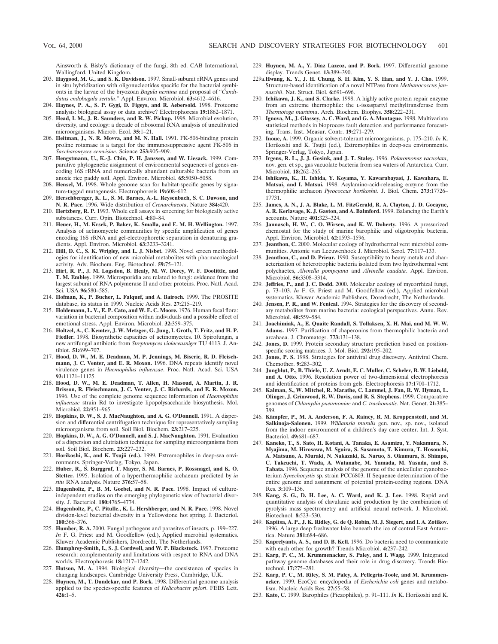Ainsworth & Bisby's dictionary of the fungi, 8th ed. CAB International, Wallingford, United Kingdom.

- 203. **Haygood, M. G., and S. K. Davidson.** 1997. Small-subunit rRNA genes and in situ hybridization with oligonucleotides specific for the bacterial symbionts in the larvae of the bryozoan *Bugula neritina* and proposal of "*Candidatus endobugula sertula*." Appl. Environ. Microbiol. **63:**4612–4616.
- 204. **Haynes, P. A., S. P. Gygi, D. Figeys, and R. Aebersold.** 1998. Proteome analysis: biological assay or data archive? Electrophoresis **19:**1862–1871.
- 205. **Head, I. M., J. R. Saunders, and R. W. Pickup.** 1998. Microbial evolution, diversity, and ecology: a decade of ribosomal RNA analysis of uncultivated microorganisms. Microb. Ecol. **35:**1–21.
- 206. **Heitman, J., N. R. Movva, and M. N. Hall.** 1991. FK-506-binding protein proline rotamase is a target for the immunosuppressive agent FK-506 in *Saccharomyces cerevisiae*. Science **253:**905–909.
- 207. **Hengstmann, U., K.-J. Chin, P. H. Janssen, and W. Liesack.** 1999. Comparative phylogenetic assignment of environmental sequences of genes encoding 16S rRNA and numerically abundant culturable bacteria from an anoxic rice paddy soil. Appl. Environ. Microbiol. **65:**5050–5058.
- 208. **Hensel, M.** 1998. Whole genome scan for habitat-specific genes by signature-tagged mutagenesis. Electrophoresis **19:**608–612.
- 209. **Herschbereger, K. L., S. M. Barnes, A.-L. Reysenbach, S. C. Dawson, and N. R. Pace.** 1996. Wide distribution of *Crenarchaeota*. Nature **384:**420.
- 210. **Hertzberg, R. P.** 1993. Whole cell assays in screening for biologically active substances. Curr. Opin. Biotechnol. **4:**80–84.
- 211. **Heuer, H., M. Krsek, P. Baker, K. Smalla, and E. M. H. Wellington.** 1997. Analysis of actinomycete communities by specific amplification of genes encoding 16S rRNA and gel-electrophoretic separation in denaturing gradients. Appl. Environ. Microbiol. **63:**3233–3241.
- 212. **Hill, D. C., S. K. Wrigley, and L. J. Nisbet.** 1998. Novel screen methodologies for identification of new microbial metabolites with pharmacological activity. Adv. Biochem. Eng. Biotechnol. **59:**75–121.
- 213. **Hirt, R. P., J. M. Logsdon, B. Healy, M. W. Dorey, W. F. Doolittle, and T. M. Embley.** 1999. Microsporidia are related to fungi: evidence from the largest subunit of RNA polymerase II and other proteins. Proc. Natl. Acad. Sci. USA **96:**580–585.
- 214. **Hofman, K., P. Bucher, L. Falquef, and A. Bairoch.** 1999. The PROSITE database, its status in 1999. Nucleic Acids Res. **27:**215–219.
- 215. **Holdemann, L. V., E. P. Cato, and W. E. C. Moore.** 1976. Human fecal flora: variation in bacterial composition within individuals and a possible effect of emotional stress. Appl. Environ. Microbiol. **32:**359–375.
- 216. **Holtzel, A., C. Kemter, J. W. Metzger, G. Jung, I. Groth, T. Fritz, and H. P. Fiedler.** 1998. Biosynthetic capacities of actinomycetes. 10. Spirofungin, a new antifungal antibiotic from *Streptomyces violaceusniger* TU 4113. J. Antibiot. **51:**699–707.
- 217. **Hood, D. W., M. E. Deadman, M. P. Jennings, M. Biseric, R. D. Fleischmann, J. C. Venter, and E. R. Moxon.** 1996. DNA repeats identify novel virulence genes in *Haemophilus influenzae*. Proc. Natl. Acad. Sci. USA **93:**11121–11125.
- 218. **Hood, D. W., M. E. Deadman, T. Allen, H. Masoud, A. Martin, J. R. Brisson, R. Fleischmann, J. C. Venter, J. C. Richards, and E. R. Moxon.** 1996. Use of the complete genome sequence information of *Haemophilus influenzae* strain Rd to investigate lipopolysaccharide biosynthesis. Mol. Microbiol. **22:**951–965.
- 219. **Hopkins, D. W., S. J. MacNaughton, and A. G. O'Donnell.** 1991. A dispersion and differential centrifugation technique for representatively sampling microorganisms from soil. Soil Biol. Biochem. **23:**217–225.
- 220. **Hopkins, D. W., A. G. O'Donnell, and S. J. MacNaughton.** 1991. Evaluation of a dispersion and elutriation technique for sampling microorganisms from soil. Soil Biol. Biochem. **23:**227–232.
- 221. **Horikoshi, K., and K. Tsujii (ed.).** 1999. Extremophiles in deep-sea environments. Springer-Verlag, Tokyo, Japan.
- 222. **Huber, R., S. Burggraf, T. Mayer, S. M. Barnes, P. Rossnagel, and K. O. Stetter.** 1995. Isolation of a hyperthermophilic archaeum predicted by *in situ* RNA analysis. Nature **376:**57–58.
- 223. **Hugenholtz, P., B. M. Goebel, and N. R. Pace.** 1998. Impact of cultureindependent studies on the emerging phylogenetic view of bacterial diversity. J. Bacteriol. **180:**4765–4774.
- 224. **Hugenholtz, P., C. Pitulle., K. L. Hershberger, and N. R. Pace.** 1998. Novel division-level bacterial diversity in a Yellowstone hot spring. J. Bacteriol. **180:**366–376.
- 225. **Humber, R. A.** 2000. Fungal pathogens and parasites of insects, p. 199–227. *In* F. G. Priest and M. Goodfellow (ed.), Applied microbial systematics. Kluwer Academic Publishers, Dordrecht, The Netherlands.
- 226. **Humphrey-Smith, I., S. J. Cordwell, and W. P. Blackstock.** 1997. Proteome research: complementarity and limitations with respect to RNA and DNA worlds. Electrophoresis **18:**1217–1242.
- 227. **Hutson, M. A.** 1994. Biological diversity—the coexistence of species in changing landscapes. Cambridge University Press, Cambridge, U.K.
- 228. **Huynen, M., T. Dandekar, and P. Bork.** 1998. Differential genome analysis applied to the species-specific features of *Helicobacter pylori*. FEBS Lett. **426:**1–5.
- 229. **Huynen, M. A., Y. Diaz Lazcoz, and P. Bork.** 1997. Differential genome display. Trends Genet. **13:**389–390.
- 229a.**Hwang, K. Y., J. H. Chung, S. H. Kim, Y. S. Han, and Y. J. Cho.** 1999. Structure-based identification of a novel NTPase from *Methanococcus jannaschii*. Nat. Struct. Biol. **6:**691–696.
- 230. **Ichikawa, J. K., and S. Clarke.** 1998. A highly active protein repair enzyme from an extreme thermophile: the L-isoaspartyl methyltransferase from *Thermotoga maritima*. Arch. Biochem. Biophys. **358:**222–231.
- 231. **Ignova, M., J. Glassey, A. C. Ward, and G. A. Montague.** 1998. Multivariate statistical methods in bioprocess fault detection and performance forecasting. Trans. Inst. Measur. Contr. **19:**271–279.
- 232. **Inoue, A.** 1999. Organic solvent-tolerant microorganisms, p. 175–210. *In* K. Horikoshi and K. Tsujii (ed.), Extremophiles in deep-sea environments. Springer-Verlag, Tokyo, Japan.
- 233. **Irgens, R. L., J. J. Gosink, and J. T. Staley.** 1996. *Polaromonas vacuolata*, nov. gen. et sp., gas vacuolate bacteria from sea waters of Antarctica. Curr. Microbiol. **18:**262–265.
- 234. **Ishikawa, K., H. Ishida, Y. Koyama, Y. Kawarabayasi, J. Kawahara, E. Matsui, and I. Matsui.** 1998. Acylamino-acid-releasing enzyme from the thermophilic archaeon *Pyrococcus horikoshii*. J. Biol. Chem. **273:**17726– 17731.
- 235. **James, A. N., J. A. Blake, L. M. FitzGerald, R. A. Clayton, J. D. Gocayne, A. R. Kerlavage, K. J. Gaston, and A. Balmford.** 1999. Balancing the Earth's accounts. Nature **401:**323–324.
- 236. **Jannasch, H. W., C. O. Wirsen, and K. W. Doherty.** 1996. A pressurized chemostat for the study of marine barophilic and oligotrophic bacteria. Appl. Environ. Microbiol. **62:**1593–1596.
- 237. **Jeanthon, C.** 2000. Molecular ecology of hydrothermal vent microbial communities. Antonie van Leeuwenhoek J. Microbiol. Serol. **77:**117–133.
- 238. **Jeanthon, C., and D. Prieur.** 1990. Susceptibility to heavy metals and characterization of heterotrophic bacteria isolated from two hydrothermal vent polychaetes, *Alvinella pompejana* and *Alvinella caudata*. Appl. Environ. Microbiol. **56:**3308–3314.
- 239. **Jeffries, P., and J. C. Dodd.** 2000. Molecular ecology of mycorrhizal fungi, p. 73–103. *In* F. G. Priest and M. Goodfellow (ed.), Applied microbial systematics. Kluwer Academic Publishers, Doredrecht, The Netherlands.
- 240. **Jensen, P. R., and W. Fenical.** 1994. Strategies for the discovery of secondary metabolites from marine bacteria: ecological perspectives. Annu. Rev. Microbiol. **48:**559–584.
- 241. **Joachimiak, A., E. Quaite Randall, S. Tollaksen, X. H. Mai, and M. W. W. Adams.** 1997. Purification of chaperonins from thermophilic bacteria and arcahaea. J. Chromatogr. **773:**131–138.
- 242. **Jones, D.** 1999. Protein secondary structure prediction based on positionspecific scoring matrices. J. Mol. Biol. **292:**195–202.
- 243. **Jones, P. S.** 1998. Strategies for antiviral drug discovery. Antiviral Chem. Chemother. **9:**283–302.
- 244. **Jungblut, P., B. Thiele, U. Z. Arndt, E. C. Muller, C. Scheler, B. W. Liebold, and A. Otto.** 1996. Resolution power of two-dimensional electrophoresis and identification of proteins from gels. Electrophoresis **17:**1700–1712.
- 245. **Kalman, S., W. Mitchel, R. Marathe, C. Lammel, J. Fan, R. W. Hyman, L. Olinger, J. Grimwood, R. W. Davis, and R. S. Stephens.** 1999. Comparative genomes of *Chlamydia pneumoniae* and *C. trachomatis*. Nat. Genet. **21:**385– 389.
- 246. **Ka¨mpfer, P., M. A. Anderson, F. A. Rainey, R. M. Kroppenstedt, and M. Salkinoja-Salonen.** 1999. *Williamsia muralis* gen. nov., sp. nov., isolated from the indoor environment of a children's day care center. Int. J. Syst. Bacteriol. **49:**681–687.
- 247. **Kaneko, T., S. Sato, H. Kotani, A. Tanaka, E. Asamizu, Y. Nakamura, N. Myajima, M. Hirosawa, M. Sguira, S. Sasamoto, T. Kimura, T. Hosouchi, A. Matsuno, A. Muraki, N. Nakazaki, K. Naruo, S. Okumura, S. Shimpo, C. Takeuchi, T. Wada, A. Watanabe, M. Yamada, M. Yasuda, and S. Tabata.** 1996. Sequence analysis of the genome of the unicellular cyanobacterium *Synechocystis* sp. strain PCC6803. II Sequence determination of the entire genome and assignment of potential protein-coding regions. DNA Res. **3:**109–136.
- 248. **Kang, S. G., D. H. Lee, A. C. Ward, and K. J. Lee.** 1998. Rapid and quantitative analysis of clavulanic acid production by the combination of pyrolysis mass spectrometry and artificial neural network. J. Microbiol. Biotechnol. **8:**523–530.
- 249. **Kapitsa, A. P., J. K. Ridley, G. de Q. Robin, M. J. Siegert, and I. A. Zotikov.** 1996. A large deep freshwater lake beneath the ice of central East Antarctica. Nature **381:**684–686.
- 250. **Kaprelyants, A. S., and D. B. Kell.** 1996. Do bacteria need to communicate with each other for growth? Trends Microbiol. **4:**237–242.
- 251. **Karp, P. C., M. Krummenacker, S. Paley, and I. Wagg.** 1999. Integrated pathway genome databases and their role in drug discovery. Trends Biotechnol. **17:**275–281.
- 252. **Karp, P. C., M. Riley, S. M. Paley, A. Pellegrin-Toole, and M. Krummenacker.** 1999. EcoCyc: encyclopedia of *Escherichia coli* genes and metabolism. Nucleic Acids Res. **27:**55–58.
- 253. **Kato, C.** 1999. Barophiles (Piezophiles), p. 91–111. *In* K. Horikoshi and K.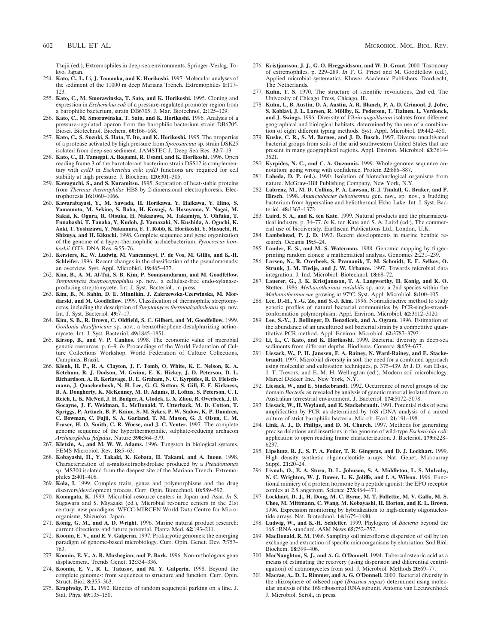Tsujii (ed.), Extremophiles in deep-sea environments. Springer-Verlag, Tokyo, Japan.

- 254. **Kato, C., L. Li, J. Tamaoka, and K. Horikoshi.** 1997. Molecular analyses of the sediment of the 11000 m deep Mariana Trench. Extremophiles **1:**117– 123.
- 255. **Kato, C., M. Smorawinska, T. Sato, and K. Horikoshi.** 1995. Cloning and expression in *Escherichia coli* of a pressure-regulated promoter region from a barophilic bacterium, strain DB6705. J. Mar. Biotechnol. **2:**125–129.
- 256. **Kato, C., M. Smorawinska, T. Sato, and K. Horikoshi.** 1996. Analysis of a pressure-regulated operon from the barophilic bacterium strain DB6705. Biosci. Biotechnol. Biochem. **60:**166–168.
- 257. **Kato, C., S. Suzuki, S. Hata, T. Ito, and K. Horikoshi.** 1995. The properties of a protease activated by high pressure from *Sporosarcina* sp. strain DSK25 isolated from deep-sea sediment. JAMSTEC J. Deep Sea Res. **32:**7–13.
- 258. **Kato, C., H. Tamegai, A. Ikegami, R. Usami, and K. Horikoshi.** 1996. Open reading frame 3 of the barotolerant bacterium strain DSS12 is complementary with *cydD* in *Escherichia coli*: *cydD* functions are required for cell stability at high pressure. J. Biochem. **120:**301–305.
- 259. **Kawaguchi, S., and S. Kuramitsu.** 1995. Separation of heat-stable proteins from *Thermus thermophilus* HB8 by 2-dimensional electrophoresis. Electrophoresis **16:**1060–1066.
- 260. **Kawarabayasi, Y., M. Sawada, H. Horikawa, Y. Haikawa, Y. Hino, S. Yamamoto, M. Sekine, S. Baba, H. Kosugi, A. Hosoyama, Y. Nagai, M. Sakai, K. Ogura, R. Otsuka, H. Nakazawa, M. Takamiya, Y. Ohfuku, T. Funahashi, T. Tanaka, Y, Kudoh, J. Yamazaki, N. Kushida, A. Oguchi, K. Aoki, T. Yoshizawa, Y. Nakamura, F. T. Robb, K. Horikoshi, Y. Masuchi, H. Shizuya, and H. Kikuchi.** 1998. Complete sequence and gene organization of the genome of a hyper-thermophilic archaebacterium, *Pyrococcus horikoshii* OT3. DNA Res. **5:**55–76.
- 261. **Kersters, K., W. Ludwig, M. Vancanneyt, P. de Vos, M. Gillis, and K.-H. Schleifer.** 1996. Recent changes in the classification of the pseudomonads: an overview. Syst. Appl. Microbiol. **19:**465–477.
- 262. **Kim, B., A. M. Al-Tai, S. B. Kim, P. Somasundaram, and M. Goodfellow.** *Streptomyces thermocoprophilus* sp. nov., a cellulase-free endo-xylanaseproducing streptomycete. Int. J. Syst. Bacteriol., in press.
- 263. **Kim, B., N. Sahin, D. E. Minnikin, J. Zakrzewska-Czerwinska, M. Mordarski, and M. Goodfellow.** 1999. Classification of thermophilic streptomycetes, including the description of *Streptomyces thermoalcalitolerans* sp. nov. Int. J. Syst. Bacteriol. **49:**7–17.
- 264. **Kim, S. B., R. Brown, C. Oldfield, S. C. Gilbert, and M. Goodfellow.** 1999. *Gordonia desulfuricans* sp. nov., a benzothiophene-desulphurizing actinomycete. Int. J. Syst. Bacteriol. **49:**1845–1851.
- 265. **Kirsop, B., and V. P. Canhos.** 1998. The economic value of microbial genetic resources, p. 6–9. *In* Proceedings of the World Federation of Culture Collections Workshop. World Federation of Culture Collections, Campinas, Brazil.
- 266. **Klenk, H. P., R. A. Clayton, J. F. Tomb, O. White, K. E. Nelson, K. A. Ketchum, R. J. Dodson, M. Gwinn, E. K. Hickey, J. D. Peterson, D. L. Richardson, A. R. Kerlavage, D. E. Graham, N. C. Kyrpides, R. D. Fleischmann, J. Quackenbush, N. H. Lee, G. G. Sutton, S. Gill, E. F. Kirkness, B. A. Dougherty, K. McKenney, M. D. Adams, B. Loftus, S. Peterson, C. I. Reich, L. K. McNeil, J. H. Badger, A. Glodek, L. X. Zhou, R. Overbeek, J. D. Gocayne, J. F. Weidman, L. McDonald, T. Utterback, M. D. Cotton, T. Spriggs, P. Artiach, B. P. Kaine, S. M. Sykes, P. W. Sadow, K. P. Dandrea, C. Bowman, C. Fujii, S. A. Garland, T. M. Mason, G. J. Olsen, C. M. Fraser, H. O. Smith, C. R. Woese, and J. C. Venter.** 1997. The complete genome sequence of the hyperthermophilic, sulphate-reducing archaeon *Archaeoglobus fulgidus*. Nature **390:**364–379.
- 267. **Kletzin, A., and M. W. W. Adams.** 1996. Tungsten in biological systems. FEMS Microbiol. Rev. **18:**5–63.
- 268. **Kobayashi, H., Y. Takaki, K. Kobata, H. Takami, and A. Inoue.** 1998. Characterization of a-maltotetraohydrolase produced by a *Pseudomonas* sp. MS300 isolated from the deepest site of the Mariana Trench. Extremophiles **2:**401–408.
- 269. **Kola, I.** 1999. Complex traits, genes and polymorphisms and the drug discovery/development process. Curr. Opin. Biotechnol. **10:**589–592.
- 270. **Komagata, K.** 1999. Microbial resource centers in Japan and Asia. *In* S. Sugawara and S. Miyazaki (ed.), Microbial resource centers in the 21st century: new paradigms. WFCC-MIRCEN World Data Centre for Microorganisms, Shizuoko, Japan.
- 271. **König, G. M., and A. D. Wright.** 1996. Marine natural product research: current directions and future potential. Planta Med. **62:**193–211.
- 272. **Koonin, E. V., and E. V. Galperin.** 1997. Prokaryotic genomes: the emerging paradigm of genome-based microbiology. Curr. Opin. Genet. Dev. **7:**757– 763.
- 273. **Koonin, E. V., A. R. Mushegian, and P. Bork.** 1996. Non-orthologous gene displacement. Trends Genet. **12:**334–336.
- 274. **Koonin, E. V., R. L. Tatusov, and M. Y. Galperin.** 1998. Beyond the complete genomes: from sequences to structure and function. Curr. Opin. Struct. Biol. **8:**355–363.
- 275. **Krapivsky, P. L.** 1992. Kinetics of random sequential parking on a line. J. Stat. Phys. **69:**135–150.
- 276. **Kristjansson, J. J., G. O. Hreggvidsson, and W. D. Grant.** 2000. Taxonomy of extremophiles, p. 229–289. *In* F. G. Priest and M. Goodfellow (ed.), Applied microbial systematics. Kluwer Academic Publishers, Dordrecht, The Netherlands.
- 277. **Kuhn, T. S.** 1970. The structure of scientific revolutions, 2nd ed. The University of Chicago Press, Chicago, Ill.
- 278. **Ku¨hn, I., B. Austin, D. A. Austin, A. R. Blanch, P. A. D. Grimont, J. Jofre,** S. Koblavi, J. L. Larsen, R. Möllby, K. Pedersen, T. Tiainen, L. Verdonck, **and J. Swings.** 1996. Diversity of *Vibrio anguillarum* isolates from different geographical and biological habitats, determined by the use of a combination of eight different typing methods. Syst. Appl. Microbiol. **19:**442–450.
- 279. **Kuske, C. R., S. M. Barnes, and J. D. Busch.** 1997. Diverse uncultivated bacterial groups from soils of the arid southwestern United States that are present in many geographical regions. Appl. Environ. Microbiol. **63:**3614– 3621.
- 280. **Kyrpides, N. C., and C. A. Ouzounis.** 1999. Whole-genome sequence annotation: going wrong with confidence. Protein **32:**886–887.
- 281. **Labeda, D. P. (ed.).** 1990. Isolation of biotechnological organisms from nature. McGraw-Hill Publishing Company, New York, N.Y.
- 282. **Labrenz, M., M. D. Collins, P. A. Lawson, B. J. Tindall, G. Braker, and P. Hirsch.** 1998. *Antarctobacter heliothermus* gen. nov., sp. nov., a budding bacterium from hypersaline and heliothermal Ekho Lake. Int. J. Syst. Bacteriol. **48:**1363–1372.
- 283. **Laird, S. A., and K. ten Kate.** 1999. Natural products and the pharmaceutical industry, p. 34–77. *In* K. ten Kate and S. A. Laird (ed.), The commercial use of biodiversity. Earthscan Publications Ltd., London, U.K.
- 284. **Lambshead, P. J. D.** 1993. Recent developments in marine benthic research. Oceanis **19:**5–24.
- 285. **Lander, E. S., and M. S. Waterman.** 1988. Genomic mapping by fingerprinting random clones: a mathematical analysis. Genomics **2:**231–239.
- 286. **Larsen, N., R. Overbeek, S. Pramanik, T. M. Schmidt, E. E. Selkov, O. Strunk, J. M. Tiedje, and J. W. Urbance.** 1997. Towards microbial data integration. J. Ind. Microbiol. Biotechnol. **18:**68–72.
- 287. **Lauerer, G., J. K. Kristjansson, T. A. Langworthy, H. Konig, and K. O. Stetter.** 1986. *Methanothermus sociabilis* sp. nov, a 2nd species within the *Methanothermaceae* growing at 97°C. Syst. Appl. Microbiol. **8:**100–105.
- 288. **Lee, D.-H., Y.-G. Zo, and S.-J. Kim.** 1996. Nonradioactive method to study genetic profiles of natural bacterial communities by PCR-single-strandconformation polymorphism. Appl. Environ. Microbiol. **62:**3112–3120.
- 289. **Lee, S.-Y., J. Bollinger, D. Benzdicek, and A. Ogram.** 1996. Estimation of the abundance of an uncultured soil bacterial strain by a competitive quantitative PCR method. Appl. Environ. Microbiol. **62:**3787–3793.
- 290. **Li, L., C. Kato, and K. Horikoshi.** 1999. Bacterial diversity in deep-sea sediments from different depths. Biodivers. Conserv. **8:**659–677.
- 291. **Liesack, W., P. H. Janssen, F. A. Rainey, N. Ward-Rainey, and E. Stackebrandt.** 1997. Microbial diversity in soil: the need for a combined approach using molecular and cultivation techniques, p. 375–439. *In* J. D. van Elsas, J. T. Trevors, and E. M. H. Wellington (ed.), Modern soil microbiology. Marcel Dekker Inc., New York, N.Y.
- 292. **Liesack, W., and E. Stackebrandt.** 1992. Occurrence of novel groups of the domain *Bacteria* as revealed by analysis of genetic material isolated from an Australian terrestrial environment. J. Bacteriol. **174:**5072–5078.
- 293. **Liesack, W., H. Weyland, and E. Stackebrandt.** 1991. Potential risks of gene amplification by PCR as determined by 16S rDNA analysis of a mixed culture of strict barophilic bacteria. Microb. Ecol. **21:**191–198.
- 294. **Link, A. J., D. Philips, and D. M. Church.** 1997. Methods for generating precise deletions and insertions in the genome of wild-type *Escherichia coli*: application to open reading frame characterization. J. Bacteriol. **179:**6228– 6237.
- 295. **Lipshutz, R. J., S. P. A. Fodor, T. R. Gingeras, and D. J. Lockhart.** 1999. High density synthetic oligonucleotide arrays. Nat. Genet. Microarray Suppl. **21:**20–24.
- 296. **Livnah, O., E. A. Stura, D. L. Johnson, S. A. Middleton, L. S. Mulcahy, N. C. Wrighton, W. J. Dower, L. K. Joliffe, and I. A. Wilson.** 1996. Functional mimicry of a protein hormone by a peptide agonist: the EPO receptor comlex at 2.8 angstrom. Science **273:**464–471.
- 297. **Lockhart, D. J., H. Dong, M. C. Byrne, M. T. Follettie, M. V. Gallo, M. S. Chee, M. Mittmann, C. Wang, M. Kobayashi, H. Horton, and E. L. Brown.** 1996. Expression monitoring by hybridization to high-density oligonucleotide arrays. Nat. Biotechnol. **14:**1675–1680.
- 298. **Ludwig, W., and K.-H. Schleifer.** 1999. Phylogeny of *Bacteria* beyond the 16S rRNA standard. ASM News **65:**752–757.
- 299. **MacDonald, R. M.** 1986. Sampling soil microfloras: dispersion of soil by ion exchange and extraction of specific microorganisms by elutriation. Soil Biol. Biochem. **18:**399–406.
- 300. **MacNaughton, S. J., and A. G. O'Donnell.** 1994. Tuberculostearic acid as a means of estimating the recovery (using dispersion and differential centrifugation) of actinomycetes from soil. J. Microbiol. Methods **20:**69–77.
- 301. **Macrae, A., D. L. Rimmer, and A. G. O'Donnell.** 2000. Bacterial diversity in the rhizosphere of oilseed rape (*Brassica napus*) determined using molecular analysis of the 16S ribosomal RNA subunit. Antonie van Leeuwenhoek J. Microbiol. Serol., in press.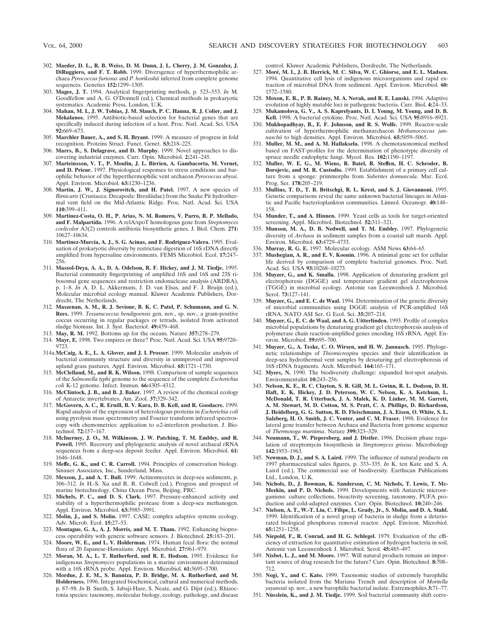- 302. **Maeder, D. L., R. B. Weiss, D. M. Dunn, J. L. Cherry, J. M. Gonzalez, J. DiRuggiero, and F. T. Robb.** 1999. Diversgence of hyperthermophilic archaea *Pyrococcus furiosus* and *P. horikoshii* inferred from complete genome sequences. Genetics **152:**1299–1305.
- 303. **Magee, J. T.** 1994. Analytical fingerprinting methods, p. 523–553. *In* M. Goodfellow and A. G. O'Donnell (ed.), Chemical methods in prokaryotic systematics. Academic Press, London, U.K.
- 304. **Mahan, M. I., J. W. Tobias, J. M. Slauch, P. C. Hanna, R. J. Colier, and J. Mekalanos.** 1995. Antibiotic-based selection for bacterial genes that are specifically induced during infection of a host. Proc. Natl. Acad. Sci. USA **92:**669–673.
- 305. **Marchler Bauer, A., and S. H. Bryant.** 1999. A measure of progress in fold recognition. Proteins Struct. Funct. Genet. **S3:**218–225.
- 306. **Marrs, B., S. Delagrave, and D. Murphy.** 1999. Novel approaches to discovering industrial enzymes. Curr. Opin. Microbiol. **2:**241–245.
- 307. **Marteinsson, V. T., P. Moulin, J. L. Birrien, A. Gambacorta, M. Vernet, and D. Prieur.** 1997. Physiological responses to stress conditions and barophilic behavior of the hyperthermophilic vent archaeon *Pyrococcus abyssi*. Appl. Environ. Microbiol. **63:**1230–1236.
- 308. **Martin, J. W., J. Signorovitch, and H. Patel.** 1997. A new species of *Rimicaris* (Crustacea: Decapoda: Bresiliidae) from the Snake Pit hydrothermal vent field on the Mid-Atlantic Ridge. Proc. Natl. Acad. Sci. USA **110:**399–411.
- 309. **Martinez-Costa, O. H., P. Arias, N. M. Romero, V. Parro, R. P. Mellado, and F. Malpartida.** 1996. A relA/spoT homologous gene from *Streptomyces coelicolor* A3(2) controls antibiotic biosynthetic genes. J. Biol. Chem. **271:** 10627–10634.
- 310. **Martinez-Murcia, A. J., S. G. Acinas, and F. Rodriguez-Valera.** 1995. Evaluation of prokaryotic diversity by restrictase digestion of 16S rDNA directly amplified from hypersaline environments. FEMS Microbiol. Ecol. **17:**247– 256.
- 311. **Massol-Deya, A. A., D. A. Odelson, R. F. Hickey, and J. M. Tiedje.** 1995. Bacterial community fingerprinting of amplified 16S and 16S and 23S ribosomal gene sequences and restriction endonuclease analysis (ARDRA), p. 1–8. *In* A. D. L. Akkermans, J. D. van Elsas, and F. J. Bruijn (ed.), Molecular microbial ecology manual. Kluwer Academic Publishers, Dordrecht, The Netherlands.
- 312. **Maszenan, A. M., R. J. Seviour, B. K. C. Patel, P. Schumann, and G. N. Rees.** 1999. *Tessaracoccus bendigoensis* gen. nov., sp. nov., a gram-positive coccus occurring in regular packages or tetrads, isolated from activated sludge biomass. Int. J. Syst. Bacteriol. **49:**459–468.
- 313. **May, R. M.** 1992. Bottoms up for the oceans. Nature **357:**278–279.
- 314. **Mayr, E.** 1998. Two empires or three? Proc. Natl. Acad. Sci. USA **95:**9720– 9723.
- 314a.**McCaig, A. E., L. A. Glover, and J. I. Prosser.** 1999. Molecular analysis of bacterial community structure and diversity in unimproved and improved upland grass pastures. Appl. Environ. Microbiol. **65:**1721–1730.
- 315. **McClelland, M., and R. K. Wilson.** 1998. Comparison of sample sequences of the *Salmonella typhi* genome to the sequence of the complete *Escherichia coli* K-12 genome. Infect. Immun. **66:**4305–4312.
- 316. **McClintock, J. B., and B. J. Baker.** 1997. A review of the chemical ecology of Antarctic invertebrates. Am. Zool. **37:**329–342.
- 317. **McGovern, A. C., R. Ernill, B. V. Kara, D. B. Kell, and R. Goodacre.** 1999. Rapid analysis of the expression of heterologous proteins in *Escherichia coli* using pyrolysis mass spectrometry and Fourier transform infrared spectroscopy with chemometrics: application to  $\alpha$ 2-interferon production. J. Biotechnol. **72:**157–167.
- 318. **McInerney, J. O., M. Wilkinson, J. W. Patching, T. M. Embley, and R. Powell.** 1995. Recovery and phylogenetic analysis of novel archaeal rRNA sequences from a deep-sea deposit feeder. Appl. Environ. Microbiol. **61:** 1646–1648.
- 319. **Meffe, G. K., and C. R. Carroll.** 1994. Principles of conservation biology. Sinauer Associates, Inc., Sunderland, Mass.
- 320. **Mexson, J., and A. T. Bull.** 1999. Actinomycetes in deep-sea sediments, p. 306–312. *In* H.-S. Xu and R. R. Colwell (ed.), Progress and prospect of marine biotechnology. China Ocean Press, Beijing, PRC.
- 321. **Michels, P. C., and D. S. Clark.** 1997. Pressure-enhanced activity and stability of a hyperthermophilic protease from a deep-sea methanogen. Appl. Environ. Microbiol. **63:**3985–3991.
- 322. **Molin, J., and S. Molin.** 1997. CASE: complex adaptive systems ecology. Adv. Microb. Ecol. **15:**27–53.
- 323. **Montague, G. A., A. J. Morris, and M. T. Tham.** 1992. Enhancing bioprocess operability with generic software sensors. J. Biotechnol. **25:**183–201.
- 324. **Moore, W. E., and L. V. Holderman.** 1974. Human fecal flora: the normal flora of 20 Japanese-Hawaiians. Appl. Microbiol. **27:**961–979.
- 325. **Moran, M. A., L. T. Rutherford, and R. E. Hodson.** 1995. Evidence for indigenous *Streptomyces* populations in a marine environment determined with a 16S rRNA probe. Appl. Environ. Microbiol. **61:**3695–3700.
- 326. **Mordue, J. E. M., S. Banniza, P. D. Bridge, M. A. Rutherford, and M. Holderness.** 1996. Integrated biochemical, cultural and numerical methods, p. 87–98. *In* B. Sneth, S. Jabaji-Hare, S. Neate, and G. Dijst (ed.), Rhizoctonia species: taxonomy, molecular biology, ecology, pathology, and disease

control. Kluwer Academic Publishers, Dordrecht, The Netherlands.

- 327. **More´, M. I., J. B. Herrick, M. C. Silva, W. C. Ghiorse, and E. L. Madsen.** 1994. Quantitative cell lysis of indigenous microorganisms and rapid extraction of microbial DNA from sediment. Appl. Environ. Microbiol. **60:** 1572–1580.
- 328. **Moxon, E. R., P. B. Rainey, M. A. Novak, and R. E. Lanski.** 1994. Adaptive evolution of highly mutable loci in pathogenic bacteria. Curr. Biol. **4:**24–33.
- 329. **Mukamolova, G. V., A. S. Kaprelyants, D. I. Young, M. Young, and D. B. Kell.** 1998. A bacterial cytokine. Proc. Natl. Acad. Sci. USA **95:**8916–8921.
- 330. **Mukhopadhyay, B., E. F. Johnson, and R. S. Wolfe.** 1999. Reactor-scale cultivation of hyperthermophilic methanarchaeon *Methanococcus jannaschii* to high densities. Appl. Environ. Microbiol. **65:**5059–5065.
- 331. **Muller, M. M., and A. M. Hallaksela.** 1998. A chemotaxonomical method based on FAST-profiles for the determination of phenotypic diversity of spruce needle endophytic fungi. Mycol. Res. **102:**1190–1197.
- 332. **Muller, W. E. G., M. Wiens, R. Batel, R. Steffen, H. C. Schroder, R. Borojevic, and M. R. Custodio.** 1999. Establishment of a primary cell culture from a sponge: primmorphs from *Suberites domuncula*. Mar. Ecol. Prog. Ser. **178:**205–219.
- 333. **Mullins, T. D., T. B. Britschgi, R. L. Krest, and S. J. Giovannoni.** 1995. Genetic comparisons reveal the same unknown bacterial lineages in Atlantic and Pacific bacterioplankton communities. Limnol. Oceanogr. **40:**148– 158.
- 334. **Munder, T., and A. Hinnen.** 1999. Yeast cells as tools for target-oriented screening. Appl. Microbiol. Biotechnol. **52:**311–321.
- 335. **Munson, M. A., D. B. Nedwell, and T. M. Embley.** 1997. Phylogenetic diversity of *Archaea* in sediment samples from a coastal salt marsh. Appl. Environ. Microbiol. **63:**4729–4733.
- 336. **Murray, R. G. E.** 1997. Molecular ecology. ASM News **63:**64–65.
- 337. **Mushegian, A. R., and E. V. Koonin.** 1996. A minimal gene set for cellular life derived by comparison of complete bacterial genomes. Proc. Natl. Acad. Sci. USA **93:**10268–10273.
- 338. **Muyzer, G., and K. Smalla.** 1998. Application of denaturing gradient gel electrophoresis (DGGE) and temperature gradient gel electrophoresis (TGGE) in microbial ecology. Antonie van Leeuwenhoek J. Microbiol. Serol. **73:**127–141.
- 339. **Muyzer, G., and E. C. de Waal.** 1994. Determination of the genetic diversity of microbial communities using DGGE analysis of PCR-amplified 16S rRNA. NATO ASI Ser. G Ecol. Sci. **35:**207–214.
- 340. **Muyzer, G., E. C. de Waal, and A. G. Uitterlinden.** 1993. Profile of complex microbial populations by denaturing gradient gel electrophoresis analysis of polymerase chain reaction-amplified genes encoding 16S rRNA. Appl. Environ. Microbiol. **59:**695–700.
- 341. **Muyzer, G., A. Teske, C. O. Wirsen, and H. W. Jannasch.** 1995. Phylogenetic relationships of *Thiomicrospira* species and their identification in deep-sea hydrothermal vent samples by denaturing gel electrophoresis of 16S rDNA fragments. Arch. Microbiol. **164:**165–171.
- 342. **Myers, N.** 1990. The biodiversity challenge: expanded hot-spot analysis. Environmentalist **10:**243–256.
- 343. **Nelson, K. E., R. C. Clayton, S. R. Gill, M. L. Gwinn, R. L. Dodson, D. H. Haft, E. K. Hickey, J. D. Peterson, W. C. Nelson, K. A. Ketchum, L. McDonald, T. R. Utterback, J. A. Malek, K. D. Linher, M. M. Garrett, A. M. Stewart, M. D. Cotton, M. S. Pratt, C. A. Phillips, D. Richardson, J. Heidelberg, G. G. Sutton, R. D. Fleischmann, J. A. Eisen, O. White, S. L. Salzberg, H. O. Smith, J. C. Venter, and C. M. Fraser.** 1998. Evidence for lateral gene transfer between Archaea and Bacteria from genome sequence of *Thermotoga maritima*. Nature **399:**323–329.
- 344. **Neumann, T., W. Piepersberg, and J. Distler.** 1996. Decision phase regulation of streptomycin biosynthesis in *Streptomyces griseus*. Microbiology **142:**1953–1963.
- 345. **Newman, D. J., and S. A. Laird.** 1999. The influence of natural products on 1997 pharmaceutical sales figures, p. 333–335. *In* K. ten Kate and S. A. Laird (ed.), The commercial use of biodiversity. Earthscan Publications Ltd., London, U.K.
- 346. **Nichols, D., J. Bowman, K. Sanderson, C. M. Nichols, T. Lewis, T. Mc-Meekin, and P. D. Nichols.** 1999. Developments with Antarctic microorganisms: culture collections, bioactivity screening, taxonomy, PUFA production and cold-adapted enzymes. Curr. Opin. Biotechnol. **10:**240–246.
- 347. **Nielsen, A. T., W.-T. Liu, C. Filipe, L. Grady, Jr., S. Molin, and D. A. Stahl.** 1999. Identification of a novel group of bacteria in sludge from a deteriorated biological phosphorus removal reactor. Appl. Environ. Microbiol. **65:**1251–1258.
- 348. **Niepold, F., R. Conrad, and H. G. Schlegel.** 1979. Evaluation of the efficiency of extraction for quantitative estimation of hydrogen bacteria in soil. Antonie van Leeuwenhoek J. Microbiol. Serol. **45:**485–497.
- 349. **Nisbet, L. J., and M. Moore.** 1997. Will natural products remain an important source of drug research for the future? Curr. Opin. Biotechnol. **8:**708– 712.
- 350. **Nogi, Y., and C. Kato.** 1999. Taxonomic studies of extremely barophilic bacteria isolated from the Mariana Trench and description of *Moritella yayanosii* sp. nov., a new barophilic bacterial isolate. Extremophiles **3:**71–77.
- 351. **Nu¨sslein, K., and J. M. Tiedje.** 1999. Soil bacterial community shift corre-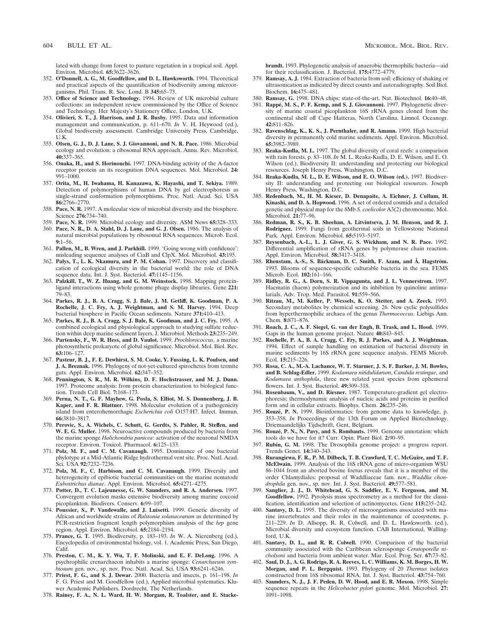lated with change from forest to pasture vegetation in a tropical soil. Appl. Environ. Microbiol. **65:**3622–3626.

- 352. **O'Donnell, A. G., M. Goodfellow, and D. L. Hawksworth.** 1994. Theoretical and practical aspects of the quantification of biodiversity among microorganisms. Phil. Trans. R. Soc. Lond. B **345:**65–73.
- 353. **Office of Science and Technology.** 1994. Review of UK microbial culture collections: an independent review commissioned by the Office of Science and Technology. Her Majesty's Stationery Office, London, U.K.
- 354. **Olivieri, S. T., J. Harrison, and J. R. Busby.** 1995. Data and information management and communication, p. 611–670. *In* V. H. Heywood (ed.), Global biodiversity assessment. Cambridge University Press, Cambridge, U.K.
- 355. **Olsen, G. J., D. J. Lane, S. J. Giovannoni, and N. R. Pace.** 1986. Microbial ecology and evolution: a ribosomal RNA approach. Annu. Rev. Microbiol. **40:**337–365.
- 356. **Onaka, H., and S. Horinouchi.** 1997. DNA-binding activity of the A-factor receptor protein an its recognition DNA sequences. Mol. Microbiol. **24:** 991–1000.
- 357. **Orita, M., H. Iwahama, H. Kanazawa, K. Hayashi, and T. Sekiya.** 1989. Detection of polymorphisms of human DNA by gel electrophoresis as single-strand conformation polymorphisms. Proc. Natl. Acad. Sci. USA **86:**2766–2770.
- 358. **Pace, N. R.** 1997. A molecular view of microbial diversity and the biosphere. Science **276:**734–740.
- 359. **Pace, N. R.** 1999. Microbial ecology and diversity. ASM News **65:**328–333.
- 360. **Pace, N. R., D. A. Stahl, D. J. Lane, and G. J. Olsen.** 1986. The analysis of natural microbial populations by ribosomal RNA sequences. Microb. Ecol. **9:**1–56.
- 361. **Pallen, M., B. Wren, and J. Parkhill.** 1999. 'Going wrong with confidence': misleading sequence analyses of CiaB and ClpX. Mol. Microbiol. **43:**195.
- 362. **Palys, T., L. K. Nkamura, and P. M. Cohan.** 1997. Discovery and classification of ecological diversity in the bacterial world: the role of DNA sequence data. Int. J. Syst. Bacteriol. **47:**1145–1156.
- 363. **Palzkill, T., W. Z. Huang, and G. M. Weinstock.** 1998. Mapping proteinligand interactions using whole genome phage display libraries. Gene **221:** 79–83.
- 364. **Parkes, R. J., B. A. Cragg, S. J. Bale, J. M. Getliff, K. Goodman, P. A. Rochelle, J. C. Fry, A. J. Weightman, and S. M. Harvey.** 1994. Deep bacterial biosphere in Pacific Ocean sediments. Nature **371:**410–413.
- 365. **Parkes, R. J., B. A. Cragg, S. J. Bale, K. Goodman, and J. C. Fry.** 1995. A combined ecological and physiological approach to studying sulfate reduction within deep marine sediment layers. J. Microbiol. Methods **23:**235–249.
- 366. **Partensky, F., W. R. Hess, and D. Vaulot.** 1999. *Prochlorococcus*, a marine photosynthetic prokaryote of global significance. Microbiol. Mol. Biol. Rev. **63:**106–127.
- 367. **Pasteur, B. J., F. E. Dewhirst, S. M. Cooke, Y. Fussing, L. K. Poulsen, and J. A. Breznak.** 1996. Phylogeny of not-yet-cultured spirochetes from termite guts. Appl. Environ. Microbiol. **62:**347–352.
- 368. **Pennington, S. R., M. R. Wilkins, D. F. Hochstrasser, and M. J. Dunn.** 1997. Proteome analysis: from protein characterization to biological function. Trends Cell Biol. **7:**168–173.
- 369. **Perna, N. T., G. F. Mayhew, G. Posla, S. Elliot, M. S. Donnenberg, J. B. Kaper, and F. R. Blattner.** 1998. Molecular evolution of a pathogenicity island from enterohemorrhagic *Escherichia coli* O157:H7. Infect. Immun. **66:**3810–3817.
- 370. **Perovic, S., A. Wichels, C. Schutt, G. Gerdts, S. Pahler, R. Steffen, and W. E. G. Muller.** 1998. Neuroactive compounds produced by bacteria from the marine sponge *Halichondria panicea*: activation of the neuronal NMDA receptor. Environ. Toxicol. Pharmacol. **6:**125–133.
- 371. **Polz, M. F., and C. M. Cavanaugh.** 1995. Dominance of one bacterial phylotype at a Mid-Atlantic Ridge hydrothermal vent site. Proc. Natl. Acad. Sci. USA **92:**7232–7236.
- 372. **Polz, M. F., C. Harbison, and C. M. Cavanaugh.** 1999. Diversity and heterogeneity of epibiotic bacterial communities on the marine nematode *Eubostrichus dianae*. Appl. Environ. Microbiol. **65:**4271–4275.
- 373. **Potter, D., T. C. Lajeunesse, G. W. Saunders, and R. A. Andersen.** 1997. Convergent evolution masks extensive biodiversity among marine coccoid picoplankton. Biodivers. Conserv. **6:**99–107.
- 374. **Poussier, S., P. Vandewalle, and J. Luisetti.** 1999. Genetic diversity of African and worldwide strains of *Ralstonia solanacearum* as determined by PCR-restriction fragment length polymorphism analysis of the *hrp* gene region. Appl. Environ. Microbiol. **65:**2184–2194.
- 375. **Prance, G. T.** 1995. Biodiversity, p. 183–193. *In* W. A. Nierenberg (ed.), Encyclopedia of environmental biology, vol. 1. Academic Press, San Diego, Calif.
- 376. **Preston, C. M., K. Y. Wu, T. F. Molinski, and E. F. DeLong.** 1996. A psychrophilic crenarchaeon inhabits a marine sponge: *Cenarchaeum symbiosum* gen. nov., sp. nov. Proc. Natl. Acad. Sci. USA **93:**6241–6246.
- 377. **Priest, F. G., and S. J. Dewar.** 2000. Bacteria and insects, p. 161–198. *In* F. G. Priest and M. Goodfellow (ed.), Applied microbial systematics. Kluwer Academic Publishers, Dordrecht, The Netherlands.
- 378. **Rainey, F. A., N. L. Ward, H. W. Morgam, R. Toalster, and E. Stacke-**

**brandt.** 1993. Phylogenetic analysis of anaerobic thermophilic bacteria—aid for their reclassification. J. Bacteriol. **175:**4772–4779.

- 379. **Ramsay, A. J.** 1984. Extraction of bacteria from soil: efficiency of shaking or ultrasonication as indicated by direct counts and autoradiography. Soil Biol. Biochem. **16:**475–481.
- 380. **Ramsay, G.** 1998. DNA chips: state-of-the-art. Nat. Biotechnol. **16:**40–48.
- 381. **Rappe´, M. S., P. F. Kemp, and S. J. Giovannoni.** 1997. Phylogenetic diversity of marine coastal picoplankton 16S rRNA genes cloned from the continental shelf off Cape Hatteras, North Carolina. Limnol. Oceanogr. **42:**811–826.
- 382. **Ravenschlag, K., K. S., J. Pernthaler, and R. Amann.** 1999. High bacterial diversity in permanently cold marine sediments. Appl. Environ. Microbiol. **65:**3982–3989.
- 383. **Reaka-Kudla, M. L.** 1997. The global diversity of coral reefs: a comparison with rain forests, p. 83–108. *In* M. L. Reaka-Kudla, D. E. Wilson, and E. O. Wilson (ed.), Biodiversity II: understanding and protecting our biological resources. Joseph Henry Press, Washington, D.C.
- 384. **Reaka-Kudla, M. L., D. E. Wilson, and E. O. Wilson (ed.).** 1997. Biodiversity II: understanding and protecting our biological resources. Joseph Henry Press, Washington, D.C.
- 385. **Redenbach, M., H. M. Kieser, D. Denapaite, A. Eichner, J. Cullum, H. Kinashi, and D. A. Hopwood.** 1996. A set of ordered cosmids and a detailed genetic and physical map for the 8Mb *S. coelicolor* A3(2) chromosome. Mol. Microbiol. **21:**77–96.
- 386. **Redman, R. S., K. B. Sheehan, A. Litvintseva, J. M. Henson, and R. J. Rodriguez.** 1999. Fungi from geothermal soils in Yellowstone National Park. Appl. Environ. Microbiol. **65:**5193–5197.
- 387. **Reysenbach, A.-L., L. J. Giver, G. S. Wickham, and N. R. Pace.** 1992. Differential amplification of rRNA genes by polymerase chain reaction. Appl. Environ. Microbiol. **58:**3417–3418.
- 388. Rhenstam, A.-S., S. Bäckman, D. C. Smith, F. Azam, and Å. Hagström. 1993. Blooms of sequence-specific culturable bacteria in the sea. FEMS Microb. Ecol. **102:**161–166.
- 389. **Ridley, R. G., A. Dorn, S. R. Vippagunta, and J. L. Vennerstrom.** 1997. Haematin (haem) polymerization and its inhibition by quinoline antimalarials. Adv. Trop. Med. Parasitol. **91:**559–566.
- 390. **Ritzau, M., M. Keller, P. Wessels, K. O. Stetter, and A. Zeeck.** 1993. Secondary metabolites by chemical screening. 26. New cyclic polysulfides from hyperthermophilic archaea of the genus *Thermococcus*. Liebigs Ann. Chem. **8:**871–876.
- 391. **Roach, J. C., A. F. Siegel, G. van der Engh, B. Trask, and L. Hood.** 1999. Gaps in the human genome project. Nature **40:**843–845.
- 392. **Rochelle, P. A., B. A. Cragg, C. Fry, R. J. Parkes, and A. J. Weightman.** 1994. Effect of sample handling on estimation of bacterial diversity in marine sediments by 16S rRNA gene sequence analysis. FEMS Microb. Ecol. **15:**215–226.
- 393. **Rosa, C. A., M.-A. Lachance, W. T. Starmer, J. S. F. Barker, J. M. Bowles, and B. Schlag-Edler.** 1999. *Kodamaea nitidulidarum*, *Candida restingae*, and *Kodamaea anthophila*, three new related yeast species from ephemeral flowers. Int. J. Syst. Bacteriol. **49:**309–318.
- 394. **Rosenbaum, V., and D. Riesner.** 1987. Temperature-gradient gel electrophoresis; thermodynamic analysis of nucleic acids and proteins in purified form and in cellular extracts. Biophys. Chem. **26:**235–246.
- 395. **Rouze´, P. N.** 1999. Bioinformatics: from genome data to knowledge, p. 353–358. *In* Proceedings of the 13th Forum on Applied Biotechnology. Driemaandelijks Tijdschrift, Gent, Belgium.
- 396. **Rouze´, P. N., N. Pavy, and S. Rombauts.** 1999. Genome annotation: which tools do we have for it? Curr. Opin. Plant Biol. **2:**90–95.
- 397. **Rubin, G. M.** 1998. The Drosophila genome project: a progress report. Trends Genet. **14:**340–343.
- 398. **Rurangirwa, F. R., P. M. Dilbeck, T. B. Crawford, T. C. McGuire, and T. F. McElwain.** 1999. Analysis of the 16S rRNA gene of micro-organism WSU 86-1044 from an aborted bovine foetus reveals that it is a member of the order Chlamydiales: proposal of Waddliaceae fam. nov., *Waddlia chondrophila* gen. nov., sp. nov. Int. J. Syst. Bacteriol. **49:**577–581.
- 399. **Sanglier, J. J., D. Whitehead, G. S. Saddler, E. V. Ferguson, and M. Goodfellow.** 1992. Pyrolysis mass spectrometry as a method for the classification, identification and selection of actinomycetes. Gene **115:**235–242.
- 400. **Santavy, D. L.** 1995. The diversity of microorganisms associated with marine invertebrates and their roles in the maintenance of ecosystems, p. 211–229. *In* D. Allsopp, R. R. Colwell, and D. L. Hawksworth. (ed.), Microbial diversity and ecosystem function. CAB International, Wallingford, U.K.
- 401. **Santavy, D. L., and R. R. Colwell.** 1990. Comparison of the bacterial community associated with the Caribbean sclerosponge *Ceratoporella nicholsoni* and bacteria from ambient water. Mar. Ecol. Prog. Ser. **67:**73–82.
- 402. **Saul, D. J., A. G. Rodrigo, R. A. Reeves, L. C. Williams, K. M. Borges, H. W. Morgan, and P. L. Bergquist.** 1993. Phylogeny of 20 *Thermus* isolates constructed from 16S ribosomal RNA. Int. J. Syst. Bacteriol. **43:**754–760.
- 403. **Saunders, N. J., J. F. Peden, D. W. Hood, and E. R. Moxon.** 1998. Simple sequence repeats in the *Helicobacter pylori* genome. Mol. Microbiol. **27:** 1091–1098.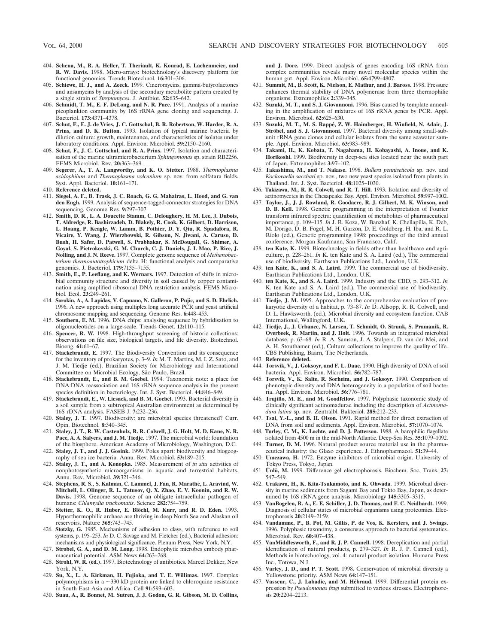- 404. **Schena, M., R. A. Heller, T. Theriault, K. Konrad, E. Lachenmeier, and R. W. Davis.** 1998. Micro-arrays: biotechnology's discovery platform for functional genomics. Trends Biotechnol. **16:**301–306.
- 405. **Schiewe, H. J., and A. Zeeck.** 1999. Cineromycins, gamma-butyrolactones and ansamycins by analysis of the secondary metabolite pattern created by a single strain of *Streptomyces*. J. Antibiot. **52:**635–642.
- 406. **Schmidt, T. M., E. F. DeLong, and N. R. Pace.** 1991. Analysis of a marine picoplankton community by 16S rRNA gene cloning and sequencing. J. Bacteriol. **173:**4371–4378.
- 407. **Schut, F., E. J. de Vries, J. C. Gottschal, B. R. Robertson, W. Harder, R. A. Prins, and D. K. Button.** 1993. Isolation of typical marine bacteria by dilution culture: growth, maintenance, and characteristics of isolates under laboratory conditions. Appl. Environ. Microbiol. **59:**2150–2160.
- 408. **Schut, F., J. C. Gottschal, and R. A. Prins.** 1997. Isolation and characterisation of the marine ultramicrobacterium *Sphingomonas* sp. strain RB2256. FEMS Microbiol. Rev. **20:**363–369.
- 409. **Segerer, A., T. A. Langworthy, and K. O. Stetter.** 1988. *Thermoplasma acidophilum* and *Thermoplasma volcanium* sp. nov. from solfatara fields. Syst. Appl. Bacteriol. **10:**161–171.
- 410. **Reference deleted.**
- 411. **Siegel, A. F., B. Trask, J. C. Roach, G. G. Mahairas, L. Hood, and G. van den Engh.** 1999. Analysis of sequence-tagged-connector strategies for DNA sequencing. Genome Res. **9:**297–307.
- 412. **Smith, D. R., L. A. Doucette Stamm, C. Deloughery, H. M. Lee, J. Dubois, T. Aldredge, R. Bashirzadeh, D. Blakely, R. Cook, K. Gilbert, D. Harrison, L. Hoang, P. Keagle, W. Lumm, B. Pothier, D. Y. Qiu, R. Spadafora, R. Vicaire, Y. Wang, J. Wierzbowski, R. Gibson, N. Jiwani, A. Caruso, D. Bush, H. Safer, D. Patwell, S. Prabhakar, S. McDougall, G. Shimer, A. Goyal, S. Pietrokovski, G. M. Church, C. J. Daniels, J. I. Mao, P. Rice, J. Nolling, and J. N. Reeve.** 1997. Complete genome sequence of *Methanobacterium thermoautotrophicum* delta H: functional analysis and comparative genomics. J. Bacteriol. **179:**7135–7155.
- 413. **Smith, E., P. Leeflang, and K. Wernars.** 1997. Detection of shifts in microbial community structure and diversity in soil caused by copper contamination using amplified ribosomal DNA restriction analysis. FEMS Microbiol. Ecol. **23:**249–261.
- 414. **Sorokin, A., A. Lapidas, V. Capuano, N. Galleron, P. Pujic, and S. D. Ehrlich.** 1996. A new approach using multiplex long accurate PCR and yeast artificial chromosome mapping and sequencing. Genome Res. **6:**448–453.
- 415. **Southern, E. M.** 1996. DNA chips: analysing sequence by hybridisation to oligonucleotides on a large-scale. Trends Genet. **12:**110–115.
- 416. **Spencer, R. W.** 1998. High-throughput screening of historic collections: observations on file size, biological targets, and file diversity. Biotechnol. Bioeng. **61:**61–67.
- 417. **Stackebrandt, E.** 1997. The Biodiversity Convention and its consequence for the inventory of prokaryotes, p. 3–9. *In* M. T. Martins, M. I. Z. Sato, and J. M. Tiedje (ed.). Brazilian Society for Microbiology and International Committee on Microbial Ecology, São Paulo, Brazil.
- 418. **Stackebrandt, E., and B. M. Goebel.** 1994. Taxonomic note: a place for DNA:DNA reassociation and 16S rRNA sequence analysis in the present species definition in bacteriology. Int. J. Syst. Bacteriol. **44:**846–849.
- 419. **Stackebrandt, E., W. Liesack, and B. M. Goebel.** 1993. Bacterial diversity in a soil sample from a subtropical Australian environment as determined by 16S rDNA analysis. FASEB J. **7:**232–236.
- 420. **Staley, J. T.** 1997. Biodiversity: are microbial species threatened? Curr. Opin. Biotechnol. **8:**340–345.
- 421. **Staley, J. T., R. W. Castenholz, R. R. Colwell, J. G. Holt, M. D. Kane, N. R. Pace, A. A. Salyers, and J. M. Tiedje.** 1997. The microbial world: foundation of the biosphere. American Academy of Microbiology, Washington, D.C.
- 422. **Staley, J. T., and J. J. Gosink.** 1999. Poles apart: biodiversity and biogeography of sea ice bacteria. Annu. Rev. Microbiol. **53:**189–215.
- 423. **Staley, J. T., and A. Konopka.** 1985. Measurement of *in situ* activities of nonphotosynthetic microorganisms in aquatic and terrestrial habitats. Annu. Rev. Microbiol. **39:**321–346.
- 424. **Stephens, R. S., S. Kalman, C. Lammel, J. Fan, R. Marathe, L. Aravind, W. Mitchell, L. Olinger, R. L. Tatusov, Q. X. Zhao, E. V. Koonin, and R. W. Davis.** 1998. Genome sequence of an obligate intracellular pathogen of humans: *Chlamydia trachomatis*. Science **282:**754–759.
- 425. Stetter, K. O., R. Huber, E. Blöchl, M. Kurr, and R. D. Eden. 1993. Hyperthermophilic archaea are thriving in deep North Sea and Alaskan oil reservoirs. Nature **365:**743–745.
- 426. **Stotzky, G.** 1985. Mechanisms of adhesion to clays, with reference to soil systems, p. 195–253. *In* D. C. Savage and M. Fletcher (ed.), Bacterial adhesion: mechanisms and physiological significance. Plenum Press, New York, N.Y.
- 427. **Strobel, G. A., and D. M. Long.** 1998. Endophytic microbes embody pharmaceutical potential. ASM News **64:**263–268.
- 428. **Strohl, W. R. (ed.).** 1997. Biotechnology of antibiotics. Marcel Dekker, New York, N.Y.
- 429. **Su, X., L. A. Kirkman, H. Fujioka, and T. E. Willimas.** 1997. Complex polymorphisms in a  $\sim$ 330 kD protein are linked to chloroquine resistance in South East Asia and Africa. Cell **91:**593–603.
- 430. **Suau, A., R. Bonnet, M. Sutren, J. J. Godon, G. R. Gibson, M. D. Collins,**

**and J. Dore.** 1999. Direct analysis of genes encoding 16S rRNA from complex communities reveals many novel molecular species within the human gut. Appl. Environ. Microbiol. **65:**4799–4807.

- 431. **Summit, M., B. Scott, K. Nielson, E. Mathur, and J. Baross.** 1998. Pressure enhances thermal stability of DNA polymerase from three thermophilic organisms. Extremophiles **2:**339–345.
- 432. **Suzuki, M. T., and S. J. Giovannoni.** 1996. Bias caused by template annealing in the amplification of mixtures of 16S rRNA genes by PCR. Appl. Environ. Microbiol. **62:**625–630.
- 433. **Suzuki, M. T., M. S. Rappe´, Z. W. Haimberger, H. Winfield, N. Adair, J.** Ströbel, and S. J. Giovannoni. 1997. Bacterial diversity among small-subunit rRNA gene clones and cellular isolates from the same seawater sample. Appl. Environ. Microbiol. **63:**983–989.
- 434. **Takami, H., K. Kobata, T. Nagahama, H. Kobayashi, A. Inoue, and K. Horikoshi.** 1999. Biodiversity in deep-sea sites located near the south part of Japan. Extremophiles **3:**97–102.
- 435. **Takashima, M., and T. Nakase.** 1998. *Bullera penniseticola* sp. nov. and *Kockovaella sacchari* sp. nov., two new yeast species isolated from plants in Thailand. Int. J. Syst. Bacteriol. **48:**1025–1030.
- 436. **Takizawa, M., R. R. Colwell, and R. T. Hill.** 1993. Isolation and diversity of actinomycetes in the Chesapeake Bay. Appl. Environ. Microbiol. **59:**997–1002.
- 437. **Taylor, J., J. J. Rowland, R. Goodacre, R. J. Gilbert, M. K. Winson, and D. B. Kell.** 1998. Genetic programming in the interpretation of Fourier transform infrared spectra: quantification of metabolites of pharmaceutical importance, p. 109–115. *In* J. R. Koza, W. Banzhaf, K. Chellapilla, K. Deb, M. Dorigo, D. B. Fogel, M. H. Garzon, D. E. Goldberg, H. Iba, and R. L. Riolo (ed.), Genetic programming 1998: proceedings of the third annual conference. Morgan Kaufmann, San Francisco, Calif.
- 438. **ten Kate, K.** 1999. Biotechnology in fields other than healthcare and agriculture, p. 228–261. *In* K. ten Kate and S. A. Laird (ed.), The commercial use of biodiversity. Earthscan Publications Ltd., London, U.K.
- 439. **ten Kate, K., and S. A. Laird.** 1999. The commercial use of biodiversity. Earthscan Publications Ltd., London, U.K.
- 440. **ten Kate, K., and S. A. Laird.** 1999. Industry and the CBD, p. 293–312. *In* K. ten Kate and S. A. Laird (ed.), The commercial use of biodiversity. Earthscan Publications Ltd., London, U.K.
- 441. **Tiedje, J. M.** 1995. Approaches to the comprehensive evaluation of prokaryotic diversity of a habitat, p. 73–87. *In* D. Allsopp, R. R. Colwell, and D. L. Hawksworth. (ed.), Microbial diversity and ecosystem function. CAB International, Wallingford, U.K.
- 442. **Tiedje, J., J. Urbance, N. Larsen, T. Schmidt, O. Strunk, S. Pramanik, R. Overbeek, R. Martin, and J. Holt.** 1996. Towards an integrated microbial database, p. 63–68. *In* R. A. Samson, J. A. Stalpers, D. van der Mei, and A. H. Stouthamer (ed.), Culture collections to improve the quality of life. CBS Publishing, Baarn, The Netherlands.
- 443. **Reference deleted.**
- 444. **Torsvik, V., J. Goksoyr, and F. L. Daae.** 1990. High diversity of DNA of soil bacteria. Appl. Environ. Microbiol. **56:**782–787.
- 445. **Torsvik, V., K. Salte, R. Sorheim, and J. Goksoyr.** 1990. Comparison of phenotypic diversity and DNA heterogeneity in a population of soil bacteria. Appl. Environ. Microbiol. **56:**776–781.
- 446. **Trujillo, M. E., and M. Goodfellow.** 1997. Polyphasic taxonomic study of clinically significant actinomadurae including the description of *Actinomadura latina* sp. nov. Zentralbl. Bakteriol. **285:**212–233.
- 447. **Tsai, Y.-L., and B. H. Olson.** 1991. Rapid method for direct extraction of DNA from soil and sediments. Appl. Environ. Microbiol. **57:**1070–1074.
- 448. **Turley, C. M., K. Lochte, and D. J. Patterson.** 1988. A barophilic flagellate isolated from 4500 m in the mid-North Atlantic. Deep-Sea Res. **35:**1079–1092.
- 449. **Turner, D. M.** 1996. Natural product source material use in the pharmaceutical industry: the Glaxo experience. J. Ethnopharmacol. **51:**39–44.
- 450. **Umezawa, H.** 1972. Enzyme inhibitors of microbial origin. University of Tokyo Press, Tokyo, Japan.
- 451. **U¨nlu¨, M.** 1999. Difference gel electrophoresis. Biochem. Soc. Trans. **27:** 547–549.
- 452. **Urakawa, H., K. Kita-Tsukamoto, and K. Ohwada.** 1999. Microbial diversity in marine sediments from Sagami Bay and Tokto Bay, Japan, as determined by 16S rRNA gene analysis. Microbiology **145:**3305–3315.
- 453. **VanBogelen, R. A., E. E. Schiller, J. D. Thomas, and F. C. Neidhardt.** 1999. Diagnosis of cellular states of microbial organisms using proteomics. Electrophoresis **20:**2149–2159.
- 454. **Vandamme, P., B. Pot, M. Gillis, P. de Vos, K. Kersters, and J. Swings.** 1996. Polyphasic taxonomy, a consensus approach to bacterial systematics. Microbiol. Rev. **60:**407–438.
- 455. **VanMiddlesworth, F., and R. J. P. Cannell.** 1998. Dereplication and partial identification of natural products, p. 279–327. *In* R. J. P. Cannell (ed.), Methods in biotechnology, vol. 4: natural product isolation. Humana Press Inc., Totowa, N.J.
- 456. **Varley, J. D., and P. T. Scott.** 1998. Conservation of microbial diversity a Yellowstone priority. ASM News **64:**147–151.
- 457. Vasseur, C., J. Labadie, and M. Hébraud. 1999. Differential protein expression by *Pseudomonas fragi* submitted to various stresses. Electrophoresis **20:**2204–2213.